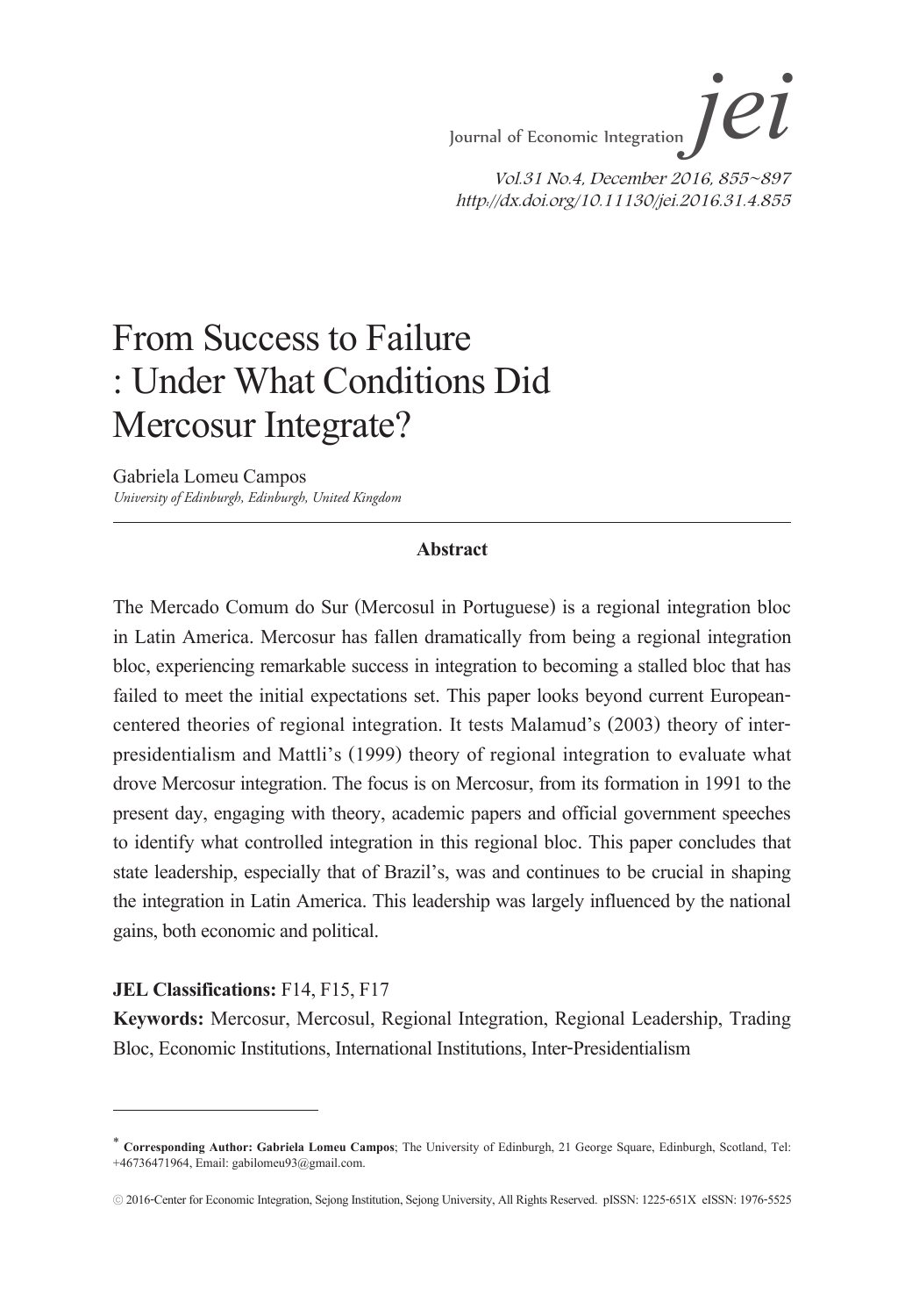### From Success to Failure : Under What Conditions Did Mercosur Integrate?

Gabriela Lomeu Campos *University of Edinburgh, Edinburgh, United Kingdom*

#### **Abstract**

The Mercado Comum do Sur (Mercosul in Portuguese) is a regional integration bloc in Latin America. Mercosur has fallen dramatically from being a regional integration bloc, experiencing remarkable success in integration to becoming a stalled bloc that has failed to meet the initial expectations set. This paper looks beyond current Europeancentered theories of regional integration. It tests Malamud's (2003) theory of interpresidentialism and Mattli's (1999) theory of regional integration to evaluate what drove Mercosur integration. The focus is on Mercosur, from its formation in 1991 to the present day, engaging with theory, academic papers and official government speeches to identify what controlled integration in this regional bloc. This paper concludes that state leadership, especially that of Brazil's, was and continues to be crucial in shaping the integration in Latin America. This leadership was largely influenced by the national gains, both economic and political.

#### **JEL Classifications:** F14, F15, F17

**Keywords:** Mercosur, Mercosul, Regional Integration, Regional Leadership, Trading Bloc, Economic Institutions, International Institutions, Inter-Presidentialism

<sup>∗</sup> **Corresponding Author: Gabriela Lomeu Campos**; The University of Edinburgh, 21 George Square, Edinburgh, Scotland, Tel: +46736471964, Email: gabilomeu93@gmail.com.

<sup>ⓒ</sup> 2016-Center for Economic Integration, Sejong Institution, Sejong University, All Rights Reserved. pISSN: 1225-651X eISSN: 1976-5525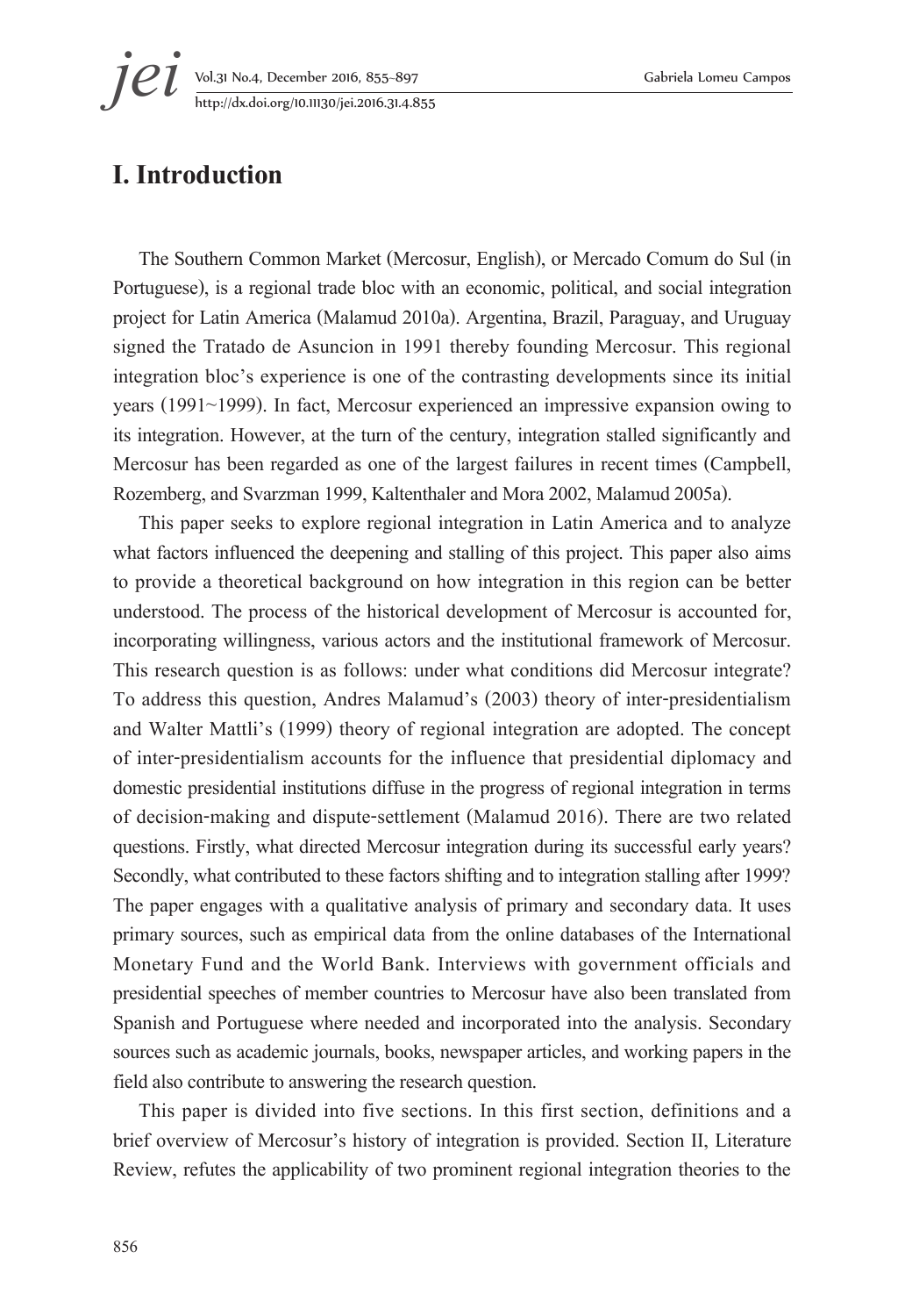**jei** Vol.31 No.4, December 2016, 855–897 Gabriela Lomeu Campos<br>http://dx.doi.org/10.11130/jei.2016.31.4.855 http://dx.doi.org/10.11130/jei.2016.31.4.855

### **I. Introduction**

The Southern Common Market (Mercosur, English), or Mercado Comum do Sul (in Portuguese), is a regional trade bloc with an economic, political, and social integration project for Latin America (Malamud 2010a). Argentina, Brazil, Paraguay, and Uruguay signed the Tratado de Asuncion in 1991 thereby founding Mercosur. This regional integration bloc's experience is one of the contrasting developments since its initial years (1991~1999). In fact, Mercosur experienced an impressive expansion owing to its integration. However, at the turn of the century, integration stalled significantly and Mercosur has been regarded as one of the largest failures in recent times (Campbell, Rozemberg, and Svarzman 1999, Kaltenthaler and Mora 2002, Malamud 2005a).

This paper seeks to explore regional integration in Latin America and to analyze what factors influenced the deepening and stalling of this project. This paper also aims to provide a theoretical background on how integration in this region can be better understood. The process of the historical development of Mercosur is accounted for, incorporating willingness, various actors and the institutional framework of Mercosur. This research question is as follows: under what conditions did Mercosur integrate? To address this question, Andres Malamud's (2003) theory of inter-presidentialism and Walter Mattli's (1999) theory of regional integration are adopted. The concept of inter-presidentialism accounts for the influence that presidential diplomacy and domestic presidential institutions diffuse in the progress of regional integration in terms of decision-making and dispute-settlement (Malamud 2016). There are two related questions. Firstly, what directed Mercosur integration during its successful early years? Secondly, what contributed to these factors shifting and to integration stalling after 1999? The paper engages with a qualitative analysis of primary and secondary data. It uses primary sources, such as empirical data from the online databases of the International Monetary Fund and the World Bank. Interviews with government officials and presidential speeches of member countries to Mercosur have also been translated from Spanish and Portuguese where needed and incorporated into the analysis. Secondary sources such as academic journals, books, newspaper articles, and working papers in the field also contribute to answering the research question.

This paper is divided into five sections. In this first section, definitions and a brief overview of Mercosur's history of integration is provided. Section II, Literature Review, refutes the applicability of two prominent regional integration theories to the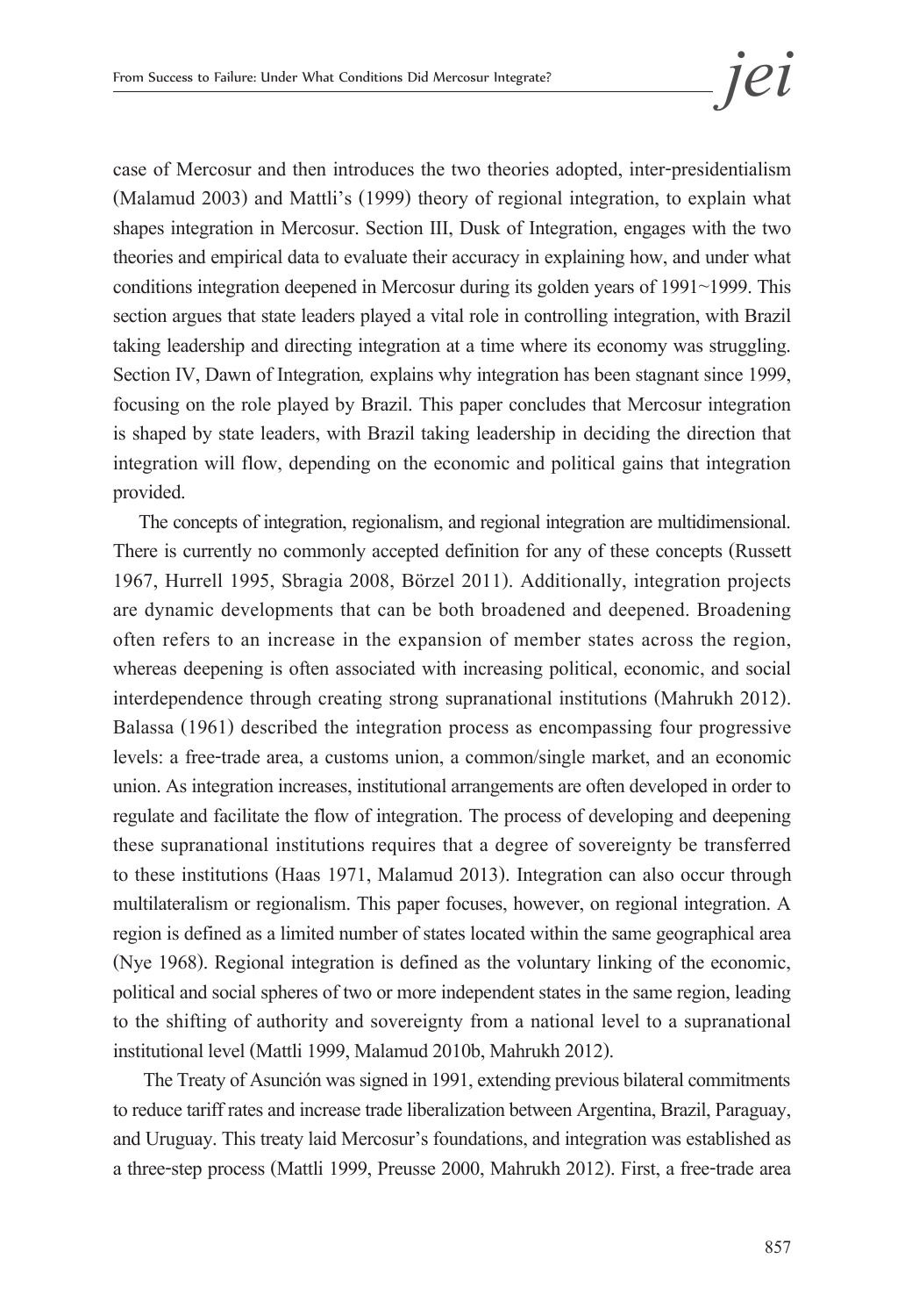case of Mercosur and then introduces the two theories adopted, inter-presidentialism (Malamud 2003) and Mattli's (1999) theory of regional integration, to explain what shapes integration in Mercosur. Section III, Dusk of Integration, engages with the two theories and empirical data to evaluate their accuracy in explaining how, and under what conditions integration deepened in Mercosur during its golden years of 1991~1999. This section argues that state leaders played a vital role in controlling integration, with Brazil taking leadership and directing integration at a time where its economy was struggling. Section IV, Dawn of Integration*,* explains why integration has been stagnant since 1999, focusing on the role played by Brazil. This paper concludes that Mercosur integration is shaped by state leaders, with Brazil taking leadership in deciding the direction that integration will flow, depending on the economic and political gains that integration provided.

The concepts of integration, regionalism, and regional integration are multidimensional. There is currently no commonly accepted definition for any of these concepts (Russett 1967, Hurrell 1995, Sbragia 2008, Börzel 2011). Additionally, integration projects are dynamic developments that can be both broadened and deepened. Broadening often refers to an increase in the expansion of member states across the region, whereas deepening is often associated with increasing political, economic, and social interdependence through creating strong supranational institutions (Mahrukh 2012). Balassa (1961) described the integration process as encompassing four progressive levels: a free-trade area, a customs union, a common/single market, and an economic union. As integration increases, institutional arrangements are often developed in order to regulate and facilitate the flow of integration. The process of developing and deepening these supranational institutions requires that a degree of sovereignty be transferred to these institutions (Haas 1971, Malamud 2013). Integration can also occur through multilateralism or regionalism. This paper focuses, however, on regional integration. A region is defined as a limited number of states located within the same geographical area (Nye 1968). Regional integration is defined as the voluntary linking of the economic, political and social spheres of two or more independent states in the same region, leading to the shifting of authority and sovereignty from a national level to a supranational institutional level (Mattli 1999, Malamud 2010b, Mahrukh 2012).

 The Treaty of Asunción was signed in 1991, extending previous bilateral commitments to reduce tariff rates and increase trade liberalization between Argentina, Brazil, Paraguay, and Uruguay. This treaty laid Mercosur's foundations, and integration was established as a three-step process (Mattli 1999, Preusse 2000, Mahrukh 2012). First, a free-trade area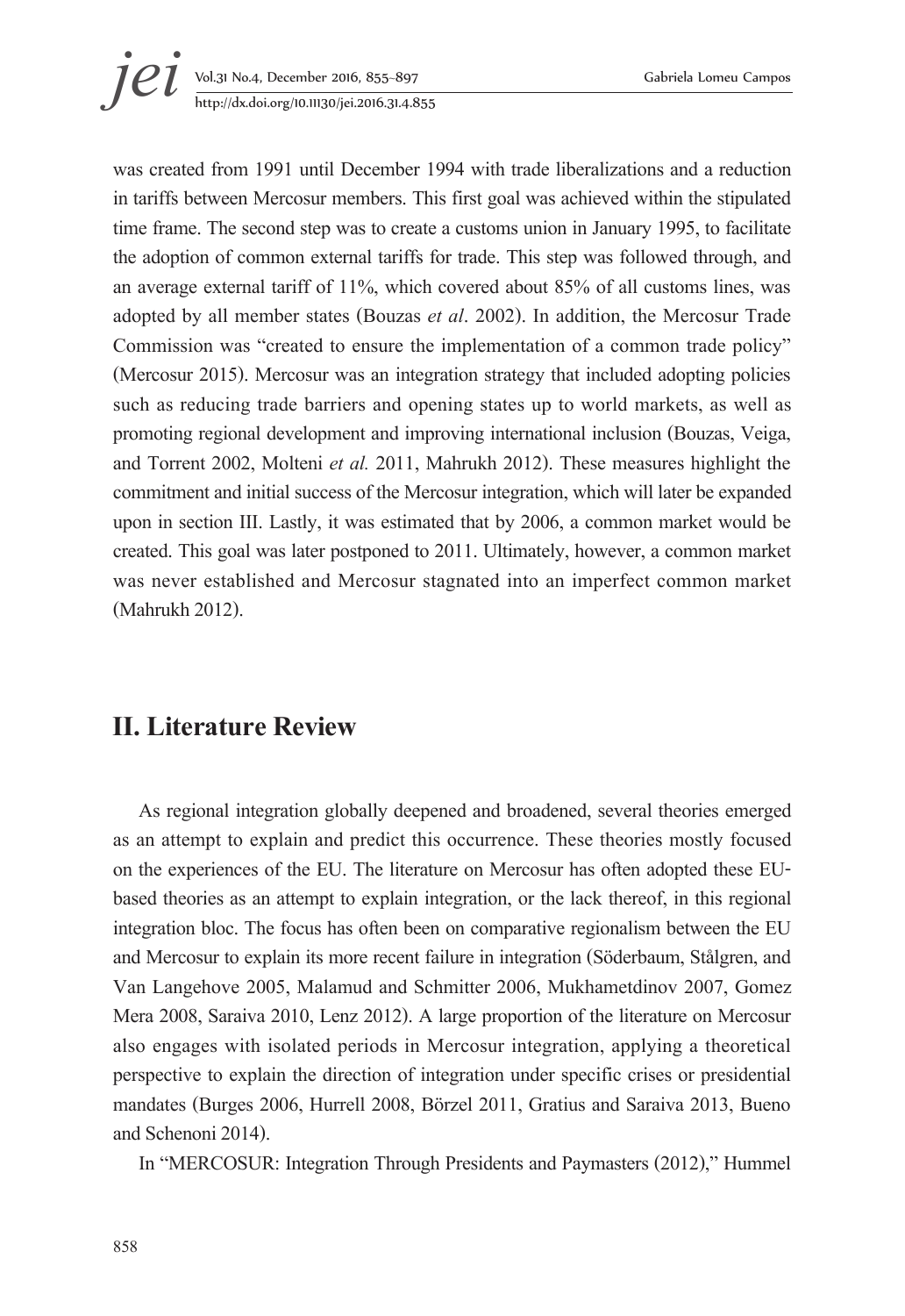was created from 1991 until December 1994 with trade liberalizations and a reduction in tariffs between Mercosur members. This first goal was achieved within the stipulated time frame. The second step was to create a customs union in January 1995, to facilitate the adoption of common external tariffs for trade. This step was followed through, and an average external tariff of 11%, which covered about 85% of all customs lines, was adopted by all member states (Bouzas *et al*. 2002). In addition, the Mercosur Trade Commission was "created to ensure the implementation of a common trade policy" (Mercosur 2015). Mercosur was an integration strategy that included adopting policies such as reducing trade barriers and opening states up to world markets, as well as promoting regional development and improving international inclusion (Bouzas, Veiga, and Torrent 2002, Molteni *et al.* 2011, Mahrukh 2012). These measures highlight the commitment and initial success of the Mercosur integration, which will later be expanded upon in section III. Lastly, it was estimated that by 2006, a common market would be created. This goal was later postponed to 2011. Ultimately, however, a common market was never established and Mercosur stagnated into an imperfect common market (Mahrukh 2012).

### **II. Literature Review**

As regional integration globally deepened and broadened, several theories emerged as an attempt to explain and predict this occurrence. These theories mostly focused on the experiences of the EU. The literature on Mercosur has often adopted these EUbased theories as an attempt to explain integration, or the lack thereof, in this regional integration bloc. The focus has often been on comparative regionalism between the EU and Mercosur to explain its more recent failure in integration (Söderbaum, Stålgren, and Van Langehove 2005, Malamud and Schmitter 2006, Mukhametdinov 2007, Gomez Mera 2008, Saraiva 2010, Lenz 2012). A large proportion of the literature on Mercosur also engages with isolated periods in Mercosur integration, applying a theoretical perspective to explain the direction of integration under specific crises or presidential mandates (Burges 2006, Hurrell 2008, Börzel 2011, Gratius and Saraiva 2013, Bueno and Schenoni 2014).

In "MERCOSUR: Integration Through Presidents and Paymasters (2012)," Hummel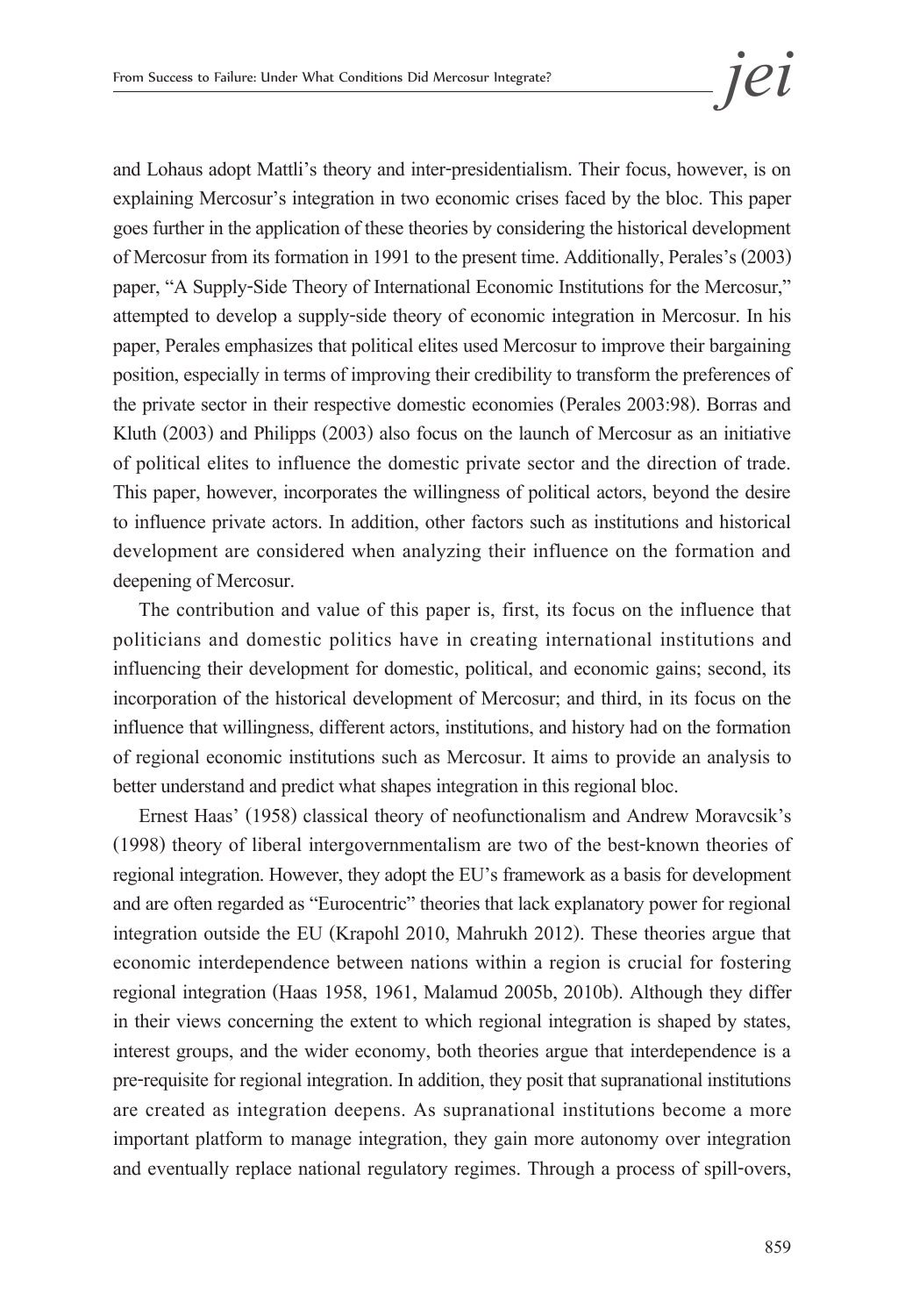and Lohaus adopt Mattli's theory and inter-presidentialism. Their focus, however, is on explaining Mercosur's integration in two economic crises faced by the bloc. This paper goes further in the application of these theories by considering the historical development of Mercosur from its formation in 1991 to the present time. Additionally, Perales's (2003) paper, "A Supply-Side Theory of International Economic Institutions for the Mercosur," attempted to develop a supply-side theory of economic integration in Mercosur. In his paper, Perales emphasizes that political elites used Mercosur to improve their bargaining position, especially in terms of improving their credibility to transform the preferences of the private sector in their respective domestic economies (Perales 2003:98). Borras and Kluth (2003) and Philipps (2003) also focus on the launch of Mercosur as an initiative of political elites to influence the domestic private sector and the direction of trade. This paper, however, incorporates the willingness of political actors, beyond the desire to influence private actors. In addition, other factors such as institutions and historical development are considered when analyzing their influence on the formation and deepening of Mercosur.

The contribution and value of this paper is, first, its focus on the influence that politicians and domestic politics have in creating international institutions and influencing their development for domestic, political, and economic gains; second, its incorporation of the historical development of Mercosur; and third, in its focus on the influence that willingness, different actors, institutions, and history had on the formation of regional economic institutions such as Mercosur. It aims to provide an analysis to better understand and predict what shapes integration in this regional bloc.

Ernest Haas' (1958) classical theory of neofunctionalism and Andrew Moravcsik's (1998) theory of liberal intergovernmentalism are two of the best-known theories of regional integration. However, they adopt the EU's framework as a basis for development and are often regarded as "Eurocentric" theories that lack explanatory power for regional integration outside the EU (Krapohl 2010, Mahrukh 2012). These theories argue that economic interdependence between nations within a region is crucial for fostering regional integration (Haas 1958, 1961, Malamud 2005b, 2010b). Although they differ in their views concerning the extent to which regional integration is shaped by states, interest groups, and the wider economy, both theories argue that interdependence is a pre-requisite for regional integration. In addition, they posit that supranational institutions are created as integration deepens. As supranational institutions become a more important platform to manage integration, they gain more autonomy over integration and eventually replace national regulatory regimes. Through a process of spill-overs,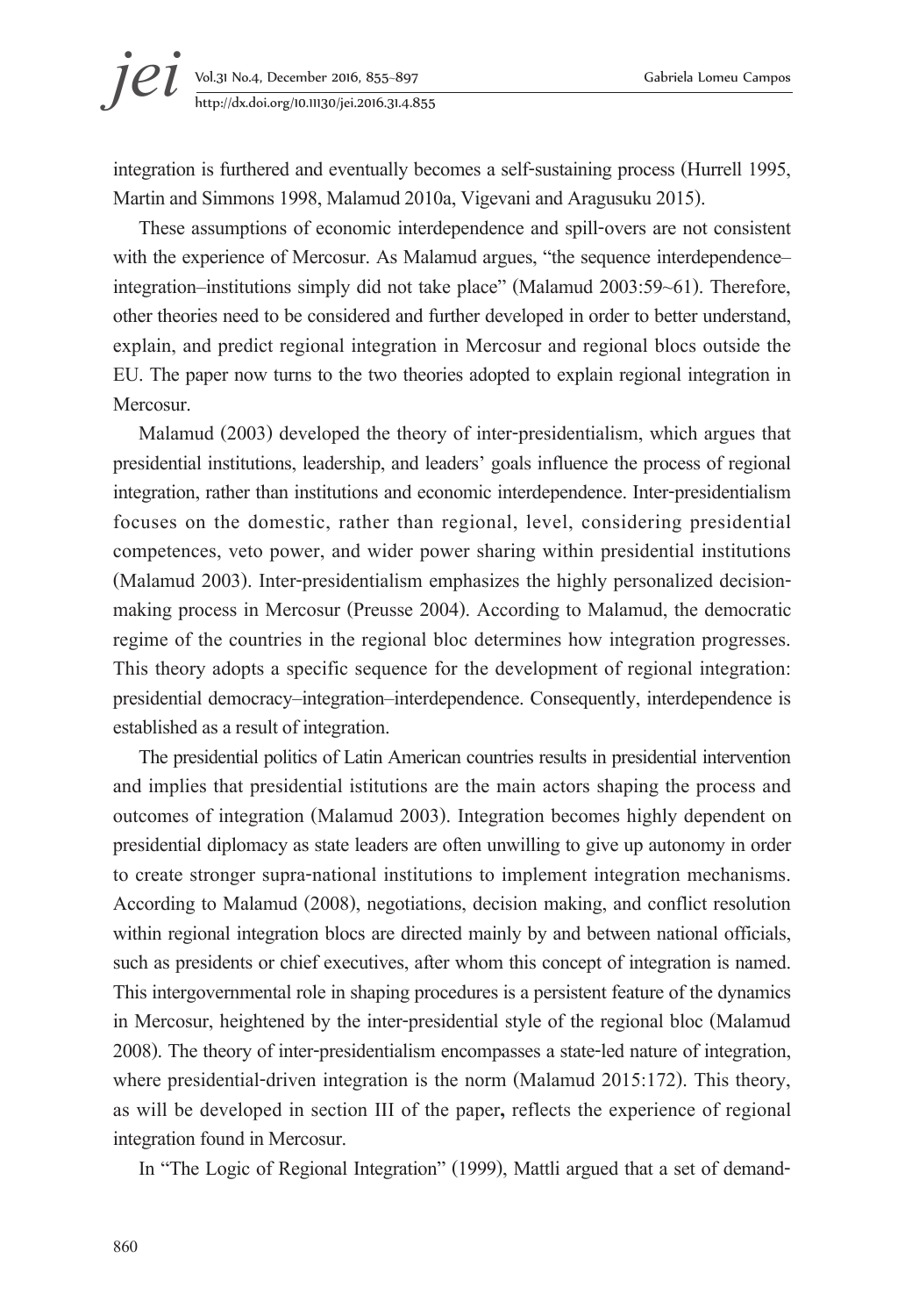# **jei** Vol.31 No.4, December 2016, 855–897 Gabriela Lomeu Campos<br>http://dx.doi.org/10.11130/jei.2016.31.4.855 http://dx.doi.org/10.11130/jei.2016.31.4.855

integration is furthered and eventually becomes a self-sustaining process (Hurrell 1995, Martin and Simmons 1998, Malamud 2010a, Vigevani and Aragusuku 2015).

These assumptions of economic interdependence and spill-overs are not consistent with the experience of Mercosur. As Malamud argues, "the sequence interdependenceintegration–institutions simply did not take place" (Malamud 2003:59~61). Therefore, other theories need to be considered and further developed in order to better understand, explain, and predict regional integration in Mercosur and regional blocs outside the EU. The paper now turns to the two theories adopted to explain regional integration in Mercosur.

Malamud (2003) developed the theory of inter-presidentialism, which argues that presidential institutions, leadership, and leaders' goals influence the process of regional integration, rather than institutions and economic interdependence. Inter-presidentialism focuses on the domestic, rather than regional, level, considering presidential competences, veto power, and wider power sharing within presidential institutions (Malamud 2003). Inter-presidentialism emphasizes the highly personalized decisionmaking process in Mercosur (Preusse 2004). According to Malamud, the democratic regime of the countries in the regional bloc determines how integration progresses. This theory adopts a specific sequence for the development of regional integration: presidential democracy–integration–interdependence. Consequently, interdependence is established as a result of integration.

The presidential politics of Latin American countries results in presidential intervention and implies that presidential istitutions are the main actors shaping the process and outcomes of integration (Malamud 2003). Integration becomes highly dependent on presidential diplomacy as state leaders are often unwilling to give up autonomy in order to create stronger supra-national institutions to implement integration mechanisms. According to Malamud (2008), negotiations, decision making, and conflict resolution within regional integration blocs are directed mainly by and between national officials, such as presidents or chief executives, after whom this concept of integration is named. This intergovernmental role in shaping procedures is a persistent feature of the dynamics in Mercosur, heightened by the inter-presidential style of the regional bloc (Malamud 2008). The theory of inter-presidentialism encompasses a state-led nature of integration, where presidential-driven integration is the norm (Malamud 2015:172). This theory, as will be developed in section III of the paper**,** reflects the experience of regional integration found in Mercosur.

In "The Logic of Regional Integration" (1999), Mattli argued that a set of demand-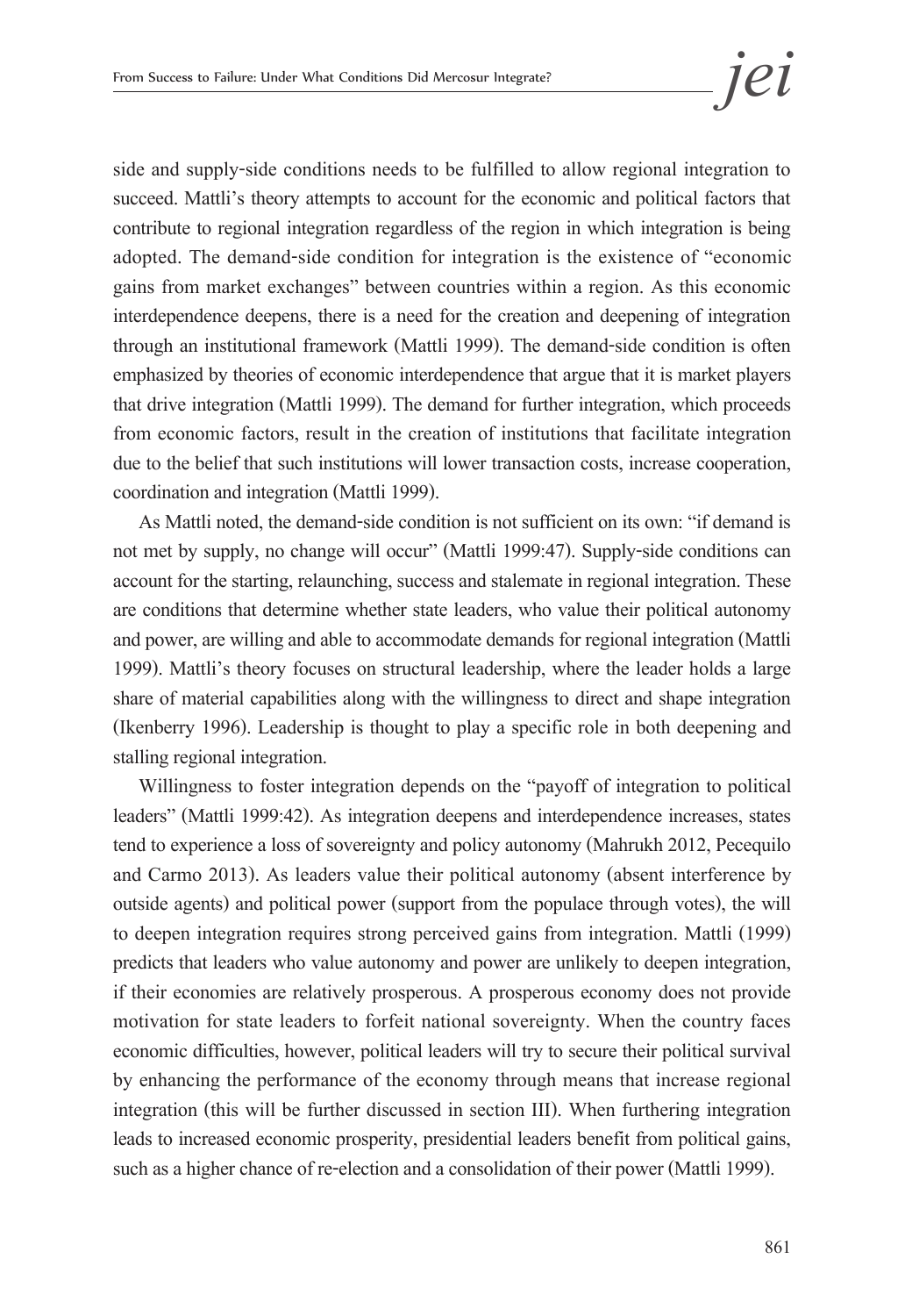side and supply-side conditions needs to be fulfilled to allow regional integration to succeed. Mattli's theory attempts to account for the economic and political factors that contribute to regional integration regardless of the region in which integration is being adopted. The demand-side condition for integration is the existence of "economic gains from market exchanges" between countries within a region. As this economic interdependence deepens, there is a need for the creation and deepening of integration through an institutional framework (Mattli 1999). The demand-side condition is often emphasized by theories of economic interdependence that argue that it is market players that drive integration (Mattli 1999). The demand for further integration, which proceeds from economic factors, result in the creation of institutions that facilitate integration due to the belief that such institutions will lower transaction costs, increase cooperation, coordination and integration (Mattli 1999).

As Mattli noted, the demand-side condition is not sufficient on its own: "if demand is not met by supply, no change will occur" (Mattli 1999:47). Supply-side conditions can account for the starting, relaunching, success and stalemate in regional integration. These are conditions that determine whether state leaders, who value their political autonomy and power, are willing and able to accommodate demands for regional integration (Mattli 1999). Mattli's theory focuses on structural leadership, where the leader holds a large share of material capabilities along with the willingness to direct and shape integration (Ikenberry 1996). Leadership is thought to play a specific role in both deepening and stalling regional integration.

Willingness to foster integration depends on the "payoff of integration to political leaders" (Mattli 1999:42). As integration deepens and interdependence increases, states tend to experience a loss of sovereignty and policy autonomy (Mahrukh 2012, Pecequilo and Carmo 2013). As leaders value their political autonomy (absent interference by outside agents) and political power (support from the populace through votes), the will to deepen integration requires strong perceived gains from integration. Mattli (1999) predicts that leaders who value autonomy and power are unlikely to deepen integration, if their economies are relatively prosperous. A prosperous economy does not provide motivation for state leaders to forfeit national sovereignty. When the country faces economic difficulties, however, political leaders will try to secure their political survival by enhancing the performance of the economy through means that increase regional integration (this will be further discussed in section III). When furthering integration leads to increased economic prosperity, presidential leaders benefit from political gains, such as a higher chance of re-election and a consolidation of their power (Mattli 1999).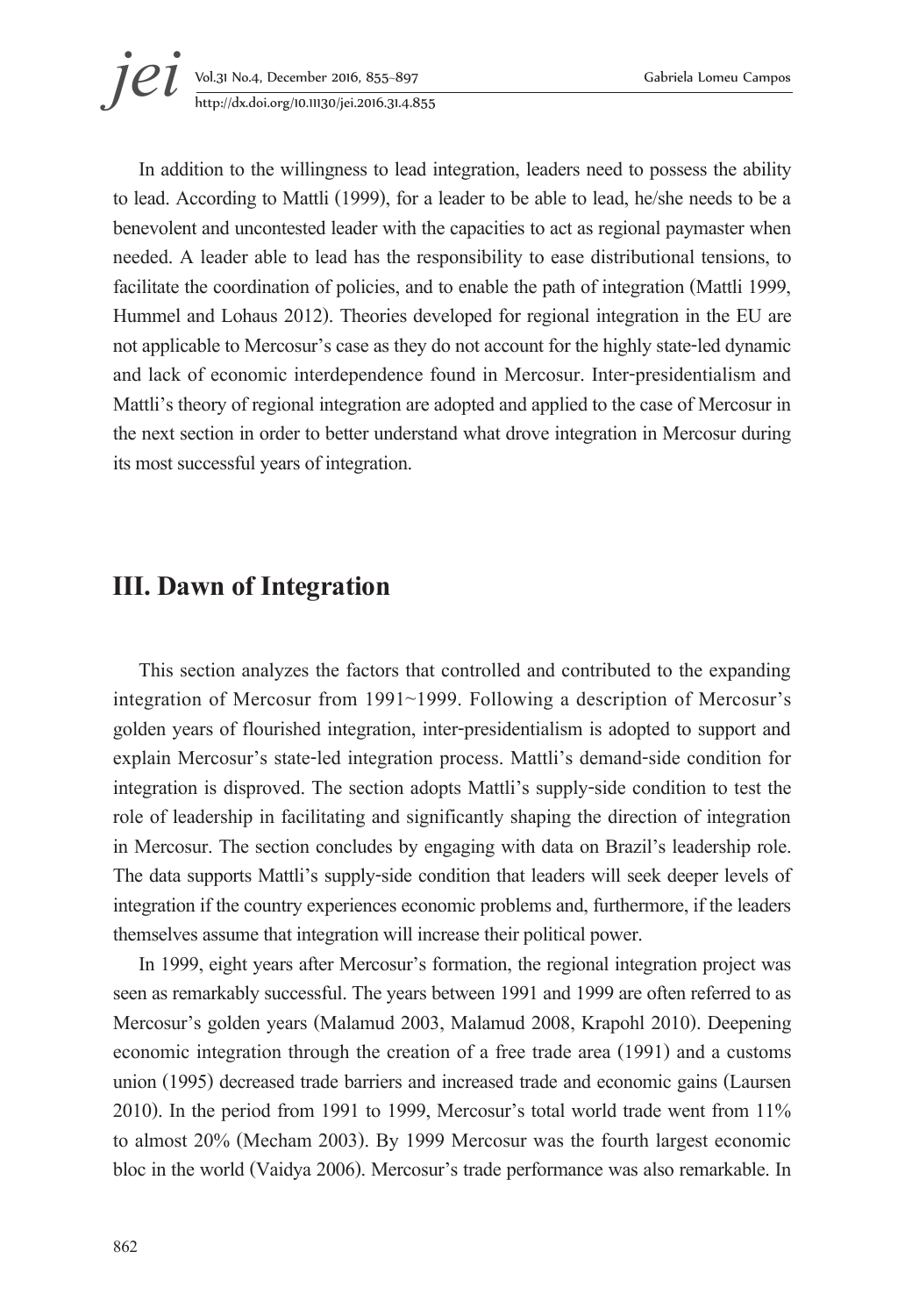In addition to the willingness to lead integration, leaders need to possess the ability to lead. According to Mattli (1999), for a leader to be able to lead, he/she needs to be a benevolent and uncontested leader with the capacities to act as regional paymaster when needed. A leader able to lead has the responsibility to ease distributional tensions, to facilitate the coordination of policies, and to enable the path of integration (Mattli 1999, Hummel and Lohaus 2012). Theories developed for regional integration in the EU are not applicable to Mercosur's case as they do not account for the highly state-led dynamic and lack of economic interdependence found in Mercosur. Inter-presidentialism and Mattli's theory of regional integration are adopted and applied to the case of Mercosur in the next section in order to better understand what drove integration in Mercosur during its most successful years of integration.

#### **III. Dawn of Integration**

This section analyzes the factors that controlled and contributed to the expanding integration of Mercosur from 1991~1999. Following a description of Mercosur's golden years of flourished integration, inter-presidentialism is adopted to support and explain Mercosur's state-led integration process. Mattli's demand-side condition for integration is disproved. The section adopts Mattli's supply-side condition to test the role of leadership in facilitating and significantly shaping the direction of integration in Mercosur. The section concludes by engaging with data on Brazil's leadership role. The data supports Mattli's supply-side condition that leaders will seek deeper levels of integration if the country experiences economic problems and, furthermore, if the leaders themselves assume that integration will increase their political power.

In 1999, eight years after Mercosur's formation, the regional integration project was seen as remarkably successful. The years between 1991 and 1999 are often referred to as Mercosur's golden years (Malamud 2003, Malamud 2008, Krapohl 2010). Deepening economic integration through the creation of a free trade area (1991) and a customs union (1995) decreased trade barriers and increased trade and economic gains (Laursen 2010). In the period from 1991 to 1999, Mercosur's total world trade went from 11% to almost 20% (Mecham 2003). By 1999 Mercosur was the fourth largest economic bloc in the world (Vaidya 2006). Mercosur's trade performance was also remarkable. In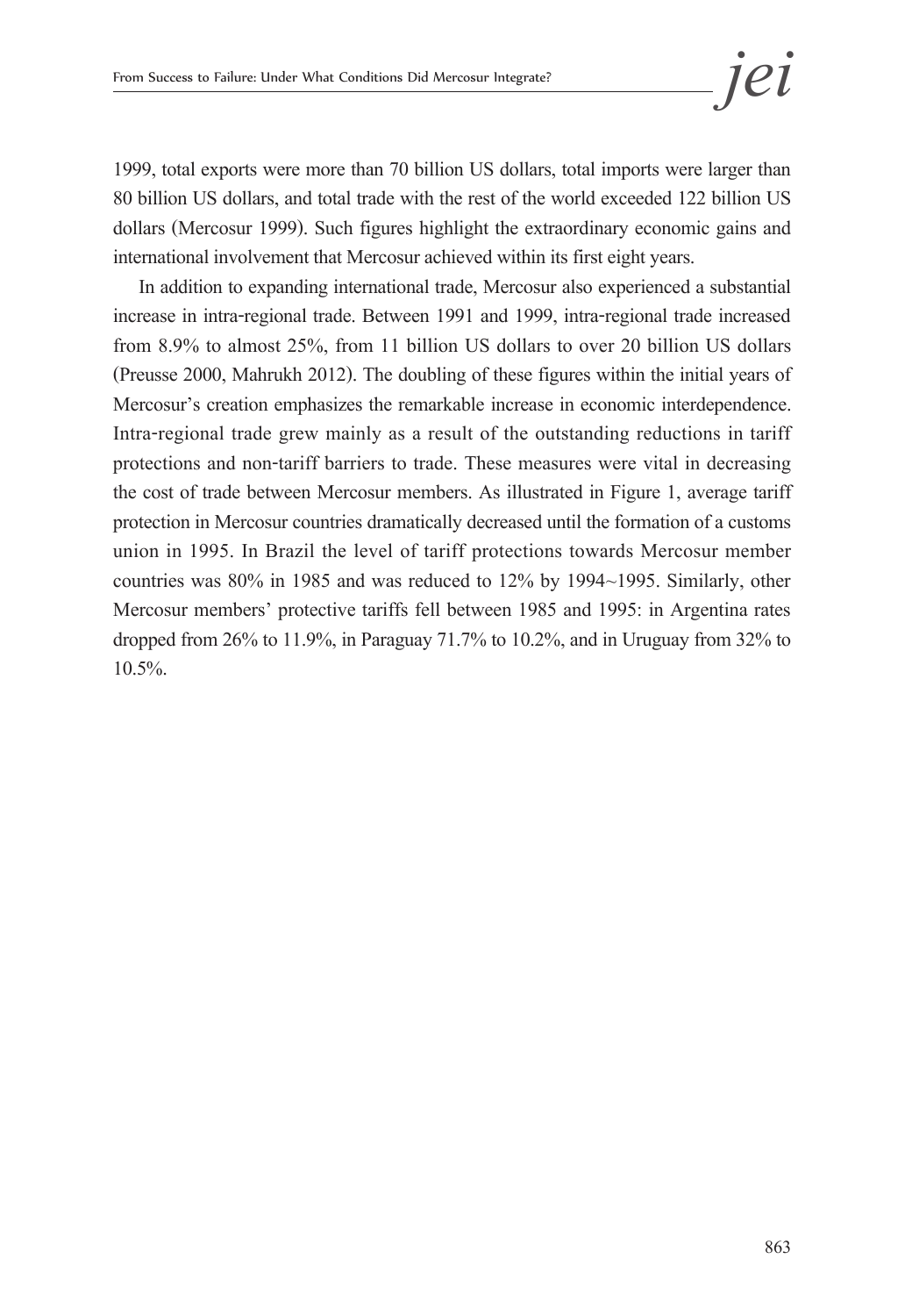1999, total exports were more than 70 billion US dollars, total imports were larger than 80 billion US dollars, and total trade with the rest of the world exceeded 122 billion US dollars (Mercosur 1999). Such figures highlight the extraordinary economic gains and international involvement that Mercosur achieved within its first eight years.

In addition to expanding international trade, Mercosur also experienced a substantial increase in intra-regional trade. Between 1991 and 1999, intra-regional trade increased from 8.9% to almost 25%, from 11 billion US dollars to over 20 billion US dollars (Preusse 2000, Mahrukh 2012). The doubling of these figures within the initial years of Mercosur's creation emphasizes the remarkable increase in economic interdependence. Intra-regional trade grew mainly as a result of the outstanding reductions in tariff protections and non-tariff barriers to trade. These measures were vital in decreasing the cost of trade between Mercosur members. As illustrated in Figure 1, average tariff protection in Mercosur countries dramatically decreased until the formation of a customs union in 1995. In Brazil the level of tariff protections towards Mercosur member countries was 80% in 1985 and was reduced to 12% by 1994~1995. Similarly, other Mercosur members' protective tariffs fell between 1985 and 1995: in Argentina rates dropped from 26% to 11.9%, in Paraguay 71.7% to 10.2%, and in Uruguay from 32% to 10.5%.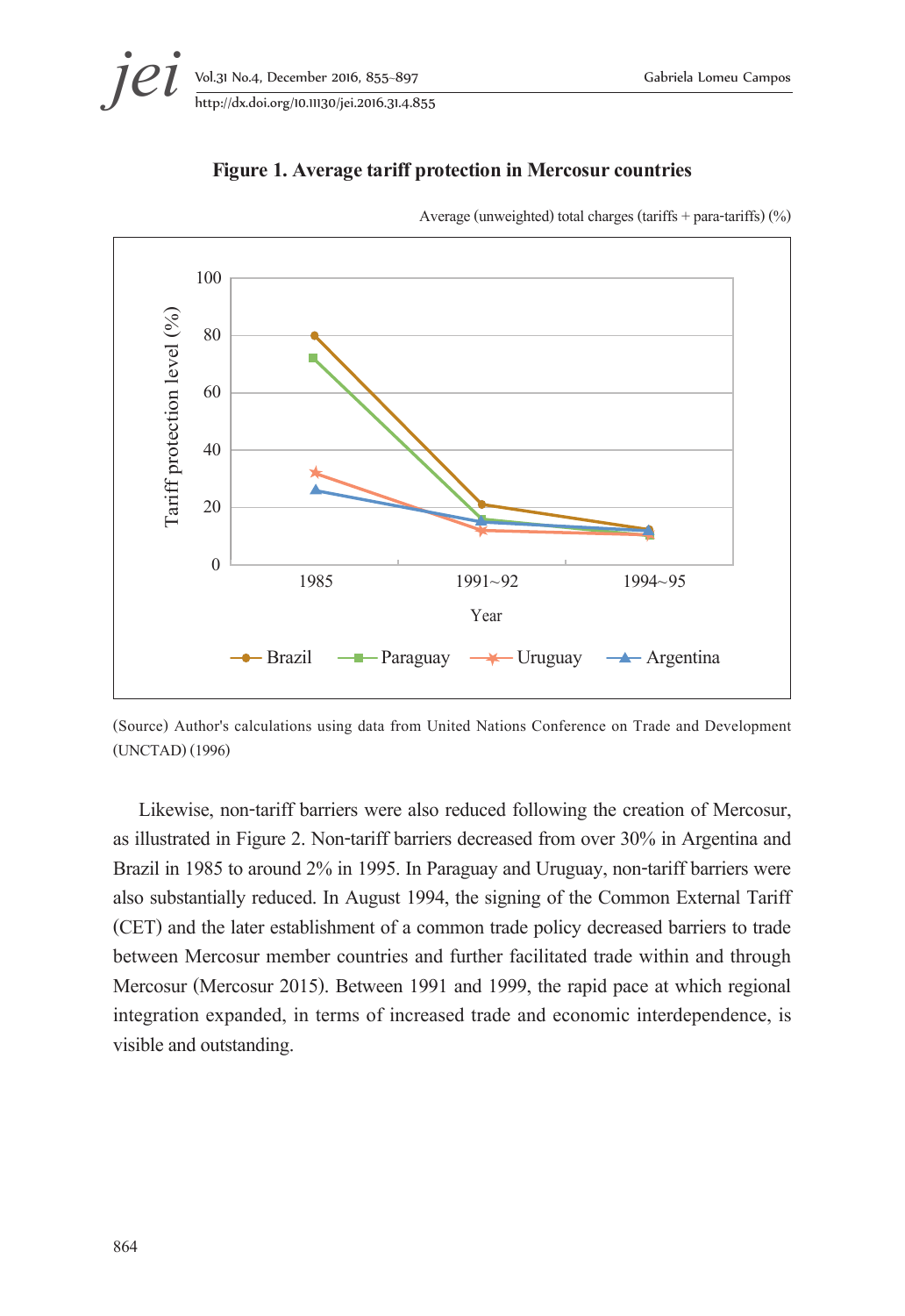

#### **Figure 1. Average tariff protection in Mercosur countries**



Average (unweighted) total charges (tariffs + para-tariffs) (%)

(Source) Author's calculations using data from United Nations Conference on Trade and Development (UNCTAD) (1996)

Likewise, non-tariff barriers were also reduced following the creation of Mercosur, as illustrated in Figure 2. Non-tariff barriers decreased from over 30% in Argentina and Brazil in 1985 to around 2% in 1995. In Paraguay and Uruguay, non-tariff barriers were also substantially reduced. In August 1994, the signing of the Common External Tariff (CET) and the later establishment of a common trade policy decreased barriers to trade between Mercosur member countries and further facilitated trade within and through Mercosur (Mercosur 2015). Between 1991 and 1999, the rapid pace at which regional integration expanded, in terms of increased trade and economic interdependence, is visible and outstanding.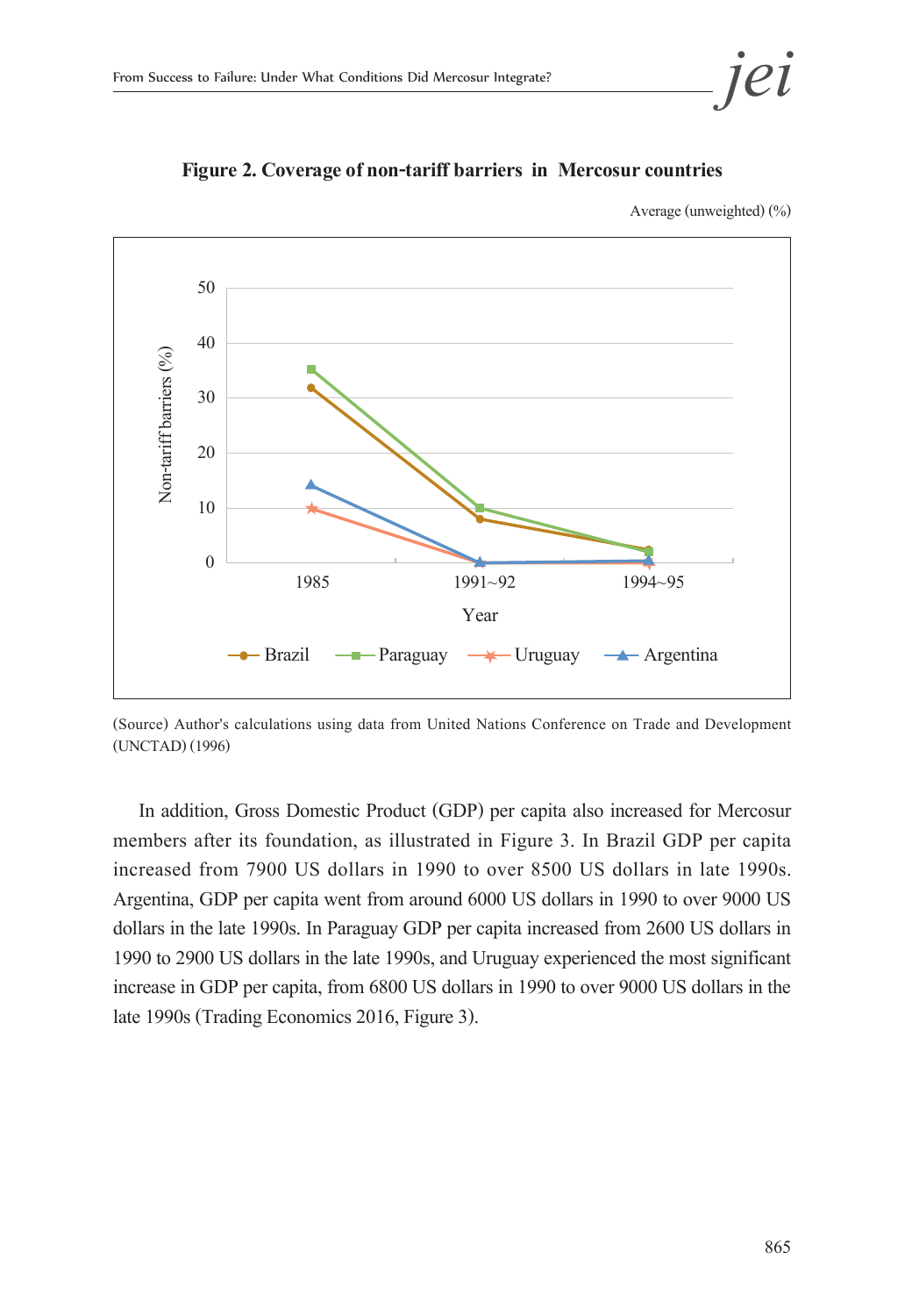



**Figure 2. Coverage of non-tariff barriers in Mercosur countries** 

Average (unweighted) (%)

(Source) Author's calculations using data from United Nations Conference on Trade and Development (UNCTAD) (1996)

In addition, Gross Domestic Product (GDP) per capita also increased for Mercosur members after its foundation, as illustrated in Figure 3. In Brazil GDP per capita increased from 7900 US dollars in 1990 to over 8500 US dollars in late 1990s. Argentina, GDP per capita went from around 6000 US dollars in 1990 to over 9000 US dollars in the late 1990s. In Paraguay GDP per capita increased from 2600 US dollars in 1990 to 2900 US dollars in the late 1990s, and Uruguay experienced the most significant increase in GDP per capita, from 6800 US dollars in 1990 to over 9000 US dollars in the late 1990s (Trading Economics 2016, Figure 3).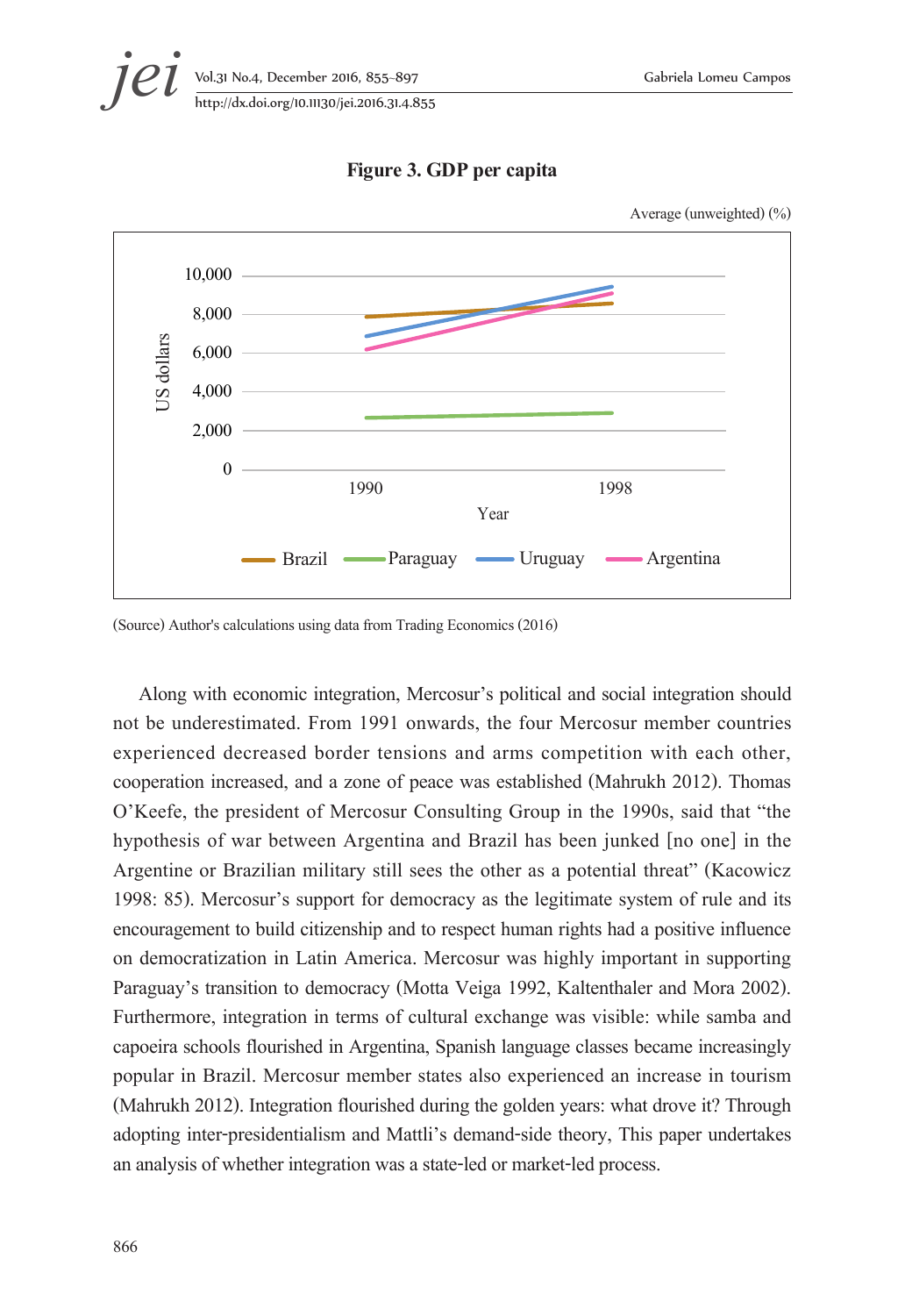Average (unweighted) (%)





**Figure 3. GDP per capita** 

#### (Source) Author's calculations using data from Trading Economics (2016)

Along with economic integration, Mercosur's political and social integration should not be underestimated. From 1991 onwards, the four Mercosur member countries experienced decreased border tensions and arms competition with each other, cooperation increased, and a zone of peace was established (Mahrukh 2012). Thomas O'Keefe, the president of Mercosur Consulting Group in the 1990s, said that "the hypothesis of war between Argentina and Brazil has been junked [no one] in the Argentine or Brazilian military still sees the other as a potential threat" (Kacowicz 1998: 85). Mercosur's support for democracy as the legitimate system of rule and its encouragement to build citizenship and to respect human rights had a positive influence on democratization in Latin America. Mercosur was highly important in supporting Paraguay's transition to democracy (Motta Veiga 1992, Kaltenthaler and Mora 2002). Furthermore, integration in terms of cultural exchange was visible: while samba and capoeira schools flourished in Argentina, Spanish language classes became increasingly popular in Brazil. Mercosur member states also experienced an increase in tourism (Mahrukh 2012). Integration flourished during the golden years: what drove it? Through adopting inter-presidentialism and Mattli's demand-side theory, This paper undertakes an analysis of whether integration was a state-led or market-led process.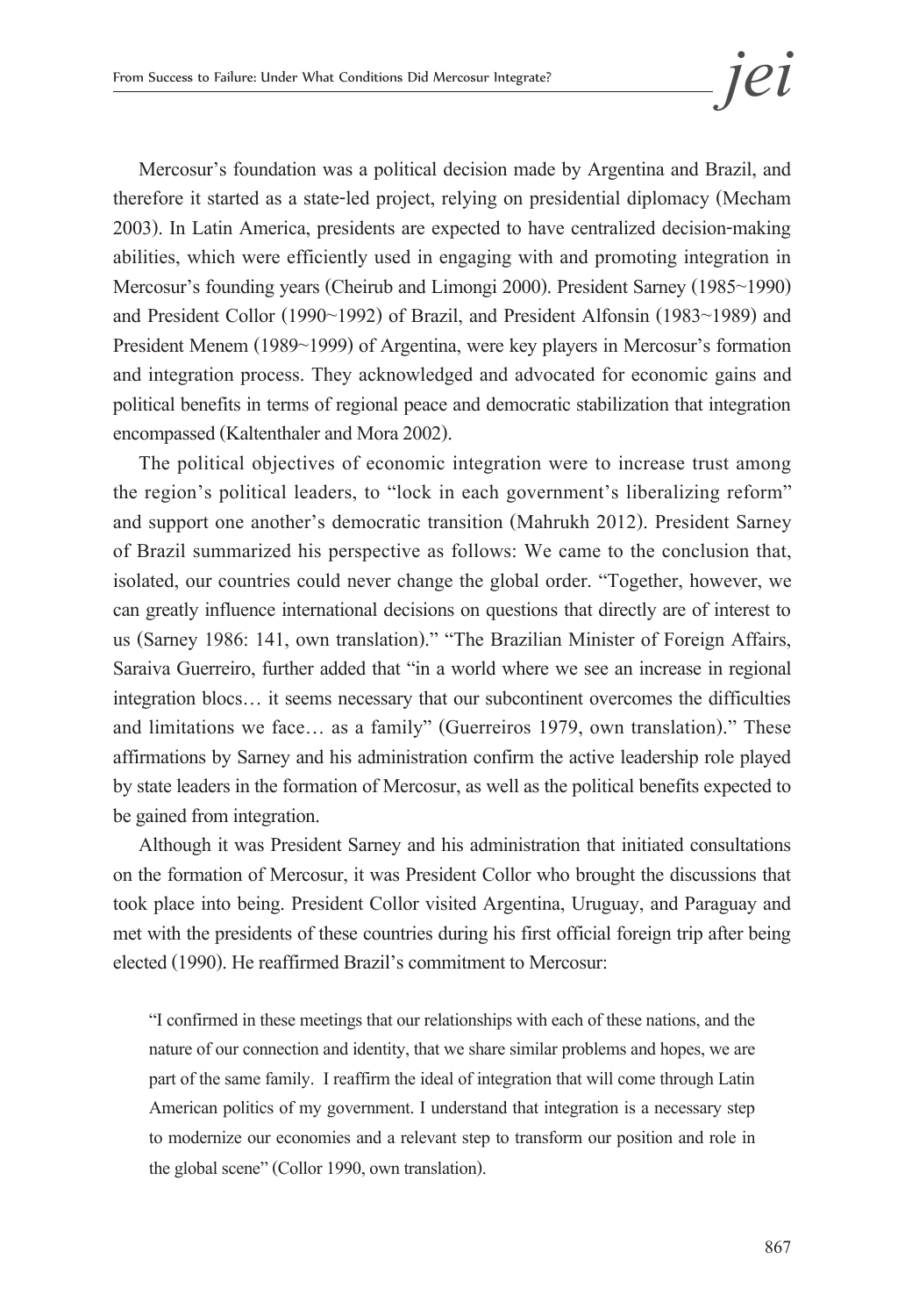Mercosur's foundation was a political decision made by Argentina and Brazil, and therefore it started as a state-led project, relying on presidential diplomacy (Mecham 2003). In Latin America, presidents are expected to have centralized decision-making abilities, which were efficiently used in engaging with and promoting integration in Mercosur's founding years (Cheirub and Limongi 2000). President Sarney (1985~1990) and President Collor (1990~1992) of Brazil, and President Alfonsin (1983~1989) and President Menem (1989~1999) of Argentina, were key players in Mercosur's formation and integration process. They acknowledged and advocated for economic gains and political benefits in terms of regional peace and democratic stabilization that integration encompassed (Kaltenthaler and Mora 2002).

The political objectives of economic integration were to increase trust among the region's political leaders, to "lock in each government's liberalizing reform" and support one another's democratic transition (Mahrukh 2012). President Sarney of Brazil summarized his perspective as follows: We came to the conclusion that, isolated, our countries could never change the global order. "Together, however, we can greatly influence international decisions on questions that directly are of interest to us (Sarney 1986: 141, own translation)." "The Brazilian Minister of Foreign Affairs, Saraiva Guerreiro, further added that "in a world where we see an increase in regional integration blocs… it seems necessary that our subcontinent overcomes the difficulties and limitations we face… as a family" (Guerreiros 1979, own translation)." These affirmations by Sarney and his administration confirm the active leadership role played by state leaders in the formation of Mercosur, as well as the political benefits expected to be gained from integration.

Although it was President Sarney and his administration that initiated consultations on the formation of Mercosur, it was President Collor who brought the discussions that took place into being. President Collor visited Argentina, Uruguay, and Paraguay and met with the presidents of these countries during his first official foreign trip after being elected (1990). He reaffirmed Brazil's commitment to Mercosur:

"I confirmed in these meetings that our relationships with each of these nations, and the nature of our connection and identity, that we share similar problems and hopes, we are part of the same family. I reaffirm the ideal of integration that will come through Latin American politics of my government. I understand that integration is a necessary step to modernize our economies and a relevant step to transform our position and role in the global scene" (Collor 1990, own translation).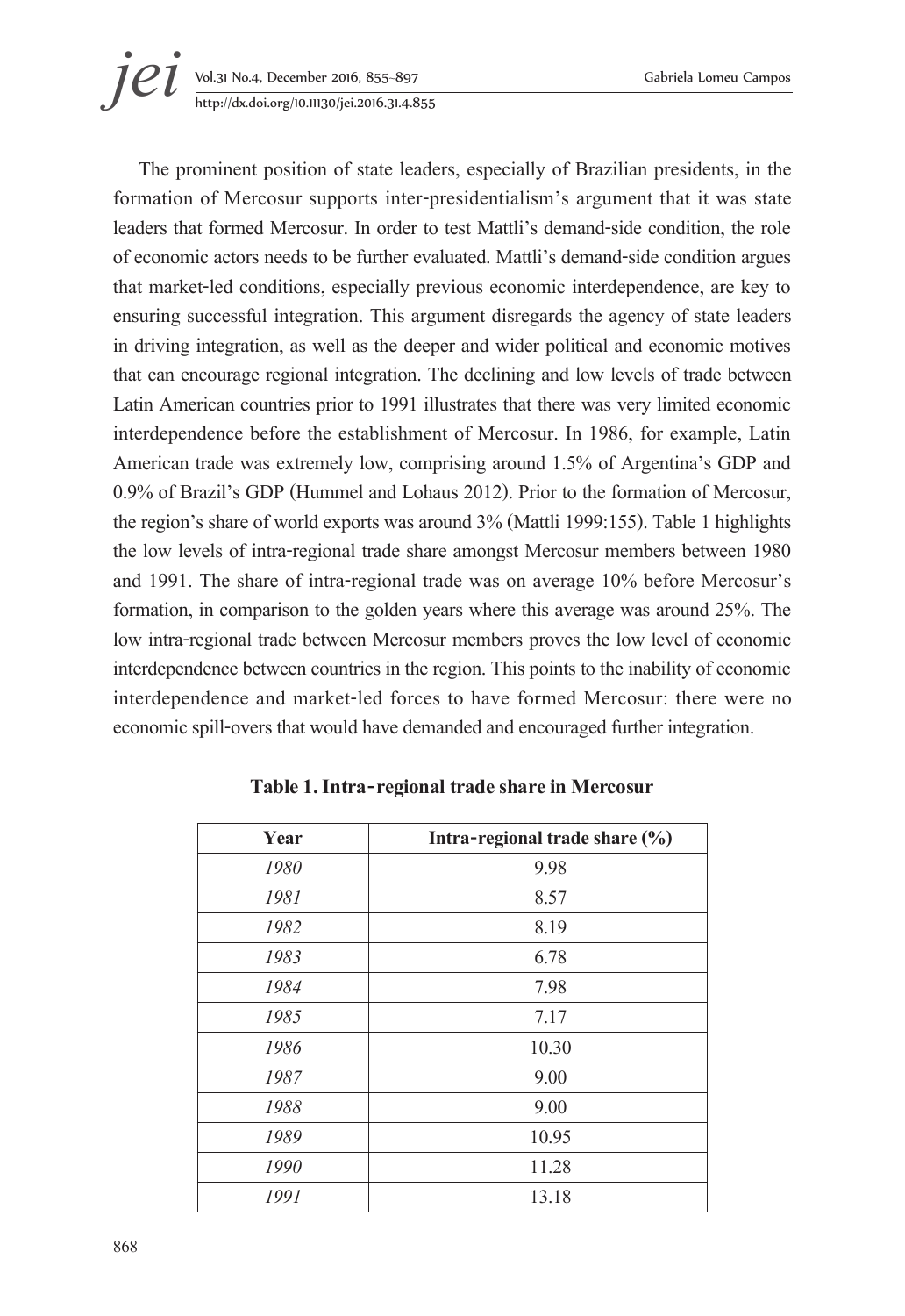

The prominent position of state leaders, especially of Brazilian presidents, in the formation of Mercosur supports inter-presidentialism's argument that it was state leaders that formed Mercosur. In order to test Mattli's demand-side condition, the role of economic actors needs to be further evaluated. Mattli's demand-side condition argues that market-led conditions, especially previous economic interdependence, are key to ensuring successful integration. This argument disregards the agency of state leaders in driving integration, as well as the deeper and wider political and economic motives that can encourage regional integration. The declining and low levels of trade between Latin American countries prior to 1991 illustrates that there was very limited economic interdependence before the establishment of Mercosur. In 1986, for example, Latin American trade was extremely low, comprising around 1.5% of Argentina's GDP and 0.9% of Brazil's GDP (Hummel and Lohaus 2012). Prior to the formation of Mercosur, the region's share of world exports was around 3% (Mattli 1999:155). Table 1 highlights the low levels of intra-regional trade share amongst Mercosur members between 1980 and 1991. The share of intra-regional trade was on average 10% before Mercosur's formation, in comparison to the golden years where this average was around 25%. The low intra-regional trade between Mercosur members proves the low level of economic interdependence between countries in the region. This points to the inability of economic interdependence and market-led forces to have formed Mercosur: there were no economic spill-overs that would have demanded and encouraged further integration.

| Year | Intra-regional trade share (%) |
|------|--------------------------------|
| 1980 | 9.98                           |
| 1981 | 8.57                           |
| 1982 | 8.19                           |
| 1983 | 6.78                           |
| 1984 | 7.98                           |
| 1985 | 7.17                           |
| 1986 | 10.30                          |
| 1987 | 9.00                           |
| 1988 | 9.00                           |
| 1989 | 10.95                          |
| 1990 | 11.28                          |
| 1991 | 13.18                          |

**Table 1. Intra-regional trade share in Mercosur**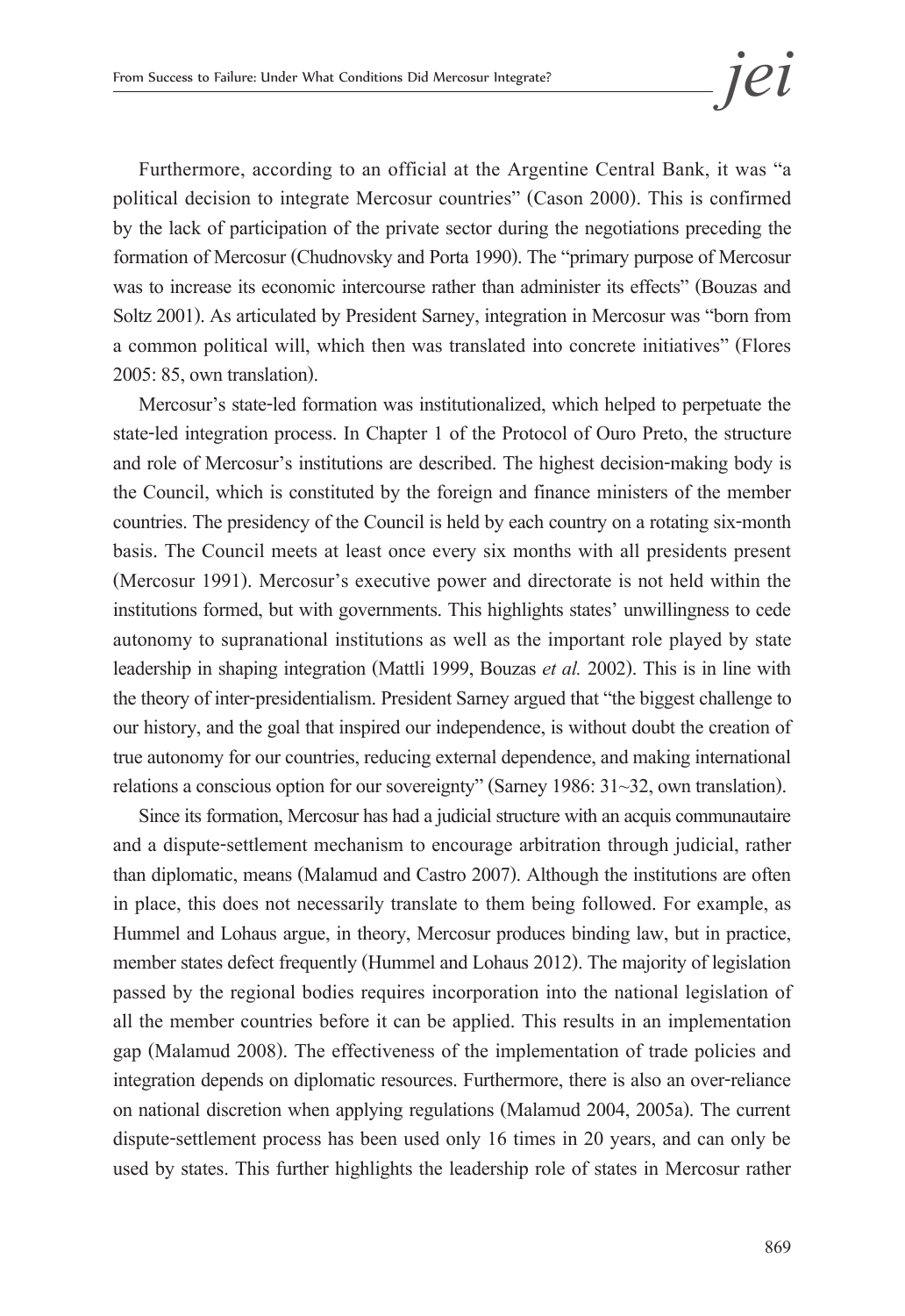Furthermore, according to an official at the Argentine Central Bank, it was "a political decision to integrate Mercosur countries" (Cason 2000). This is confirmed by the lack of participation of the private sector during the negotiations preceding the formation of Mercosur (Chudnovsky and Porta 1990). The "primary purpose of Mercosur was to increase its economic intercourse rather than administer its effects" (Bouzas and Soltz 2001). As articulated by President Sarney, integration in Mercosur was "born from a common political will, which then was translated into concrete initiatives" (Flores 2005: 85, own translation).

Mercosur's state-led formation was institutionalized, which helped to perpetuate the state-led integration process. In Chapter 1 of the Protocol of Ouro Preto, the structure and role of Mercosur's institutions are described. The highest decision-making body is the Council, which is constituted by the foreign and finance ministers of the member countries. The presidency of the Council is held by each country on a rotating six-month basis. The Council meets at least once every six months with all presidents present (Mercosur 1991). Mercosur's executive power and directorate is not held within the institutions formed, but with governments. This highlights states' unwillingness to cede autonomy to supranational institutions as well as the important role played by state leadership in shaping integration (Mattli 1999, Bouzas *et al.* 2002). This is in line with the theory of inter-presidentialism. President Sarney argued that "the biggest challenge to our history, and the goal that inspired our independence, is without doubt the creation of true autonomy for our countries, reducing external dependence, and making international relations a conscious option for our sovereignty" (Sarney 1986: 31~32, own translation).

Since its formation, Mercosur has had a judicial structure with an acquis communautaire and a dispute-settlement mechanism to encourage arbitration through judicial, rather than diplomatic, means (Malamud and Castro 2007). Although the institutions are often in place, this does not necessarily translate to them being followed. For example, as Hummel and Lohaus argue, in theory, Mercosur produces binding law, but in practice, member states defect frequently (Hummel and Lohaus 2012). The majority of legislation passed by the regional bodies requires incorporation into the national legislation of all the member countries before it can be applied. This results in an implementation gap (Malamud 2008). The effectiveness of the implementation of trade policies and integration depends on diplomatic resources. Furthermore, there is also an over-reliance on national discretion when applying regulations (Malamud 2004, 2005a). The current dispute-settlement process has been used only 16 times in 20 years, and can only be used by states. This further highlights the leadership role of states in Mercosur rather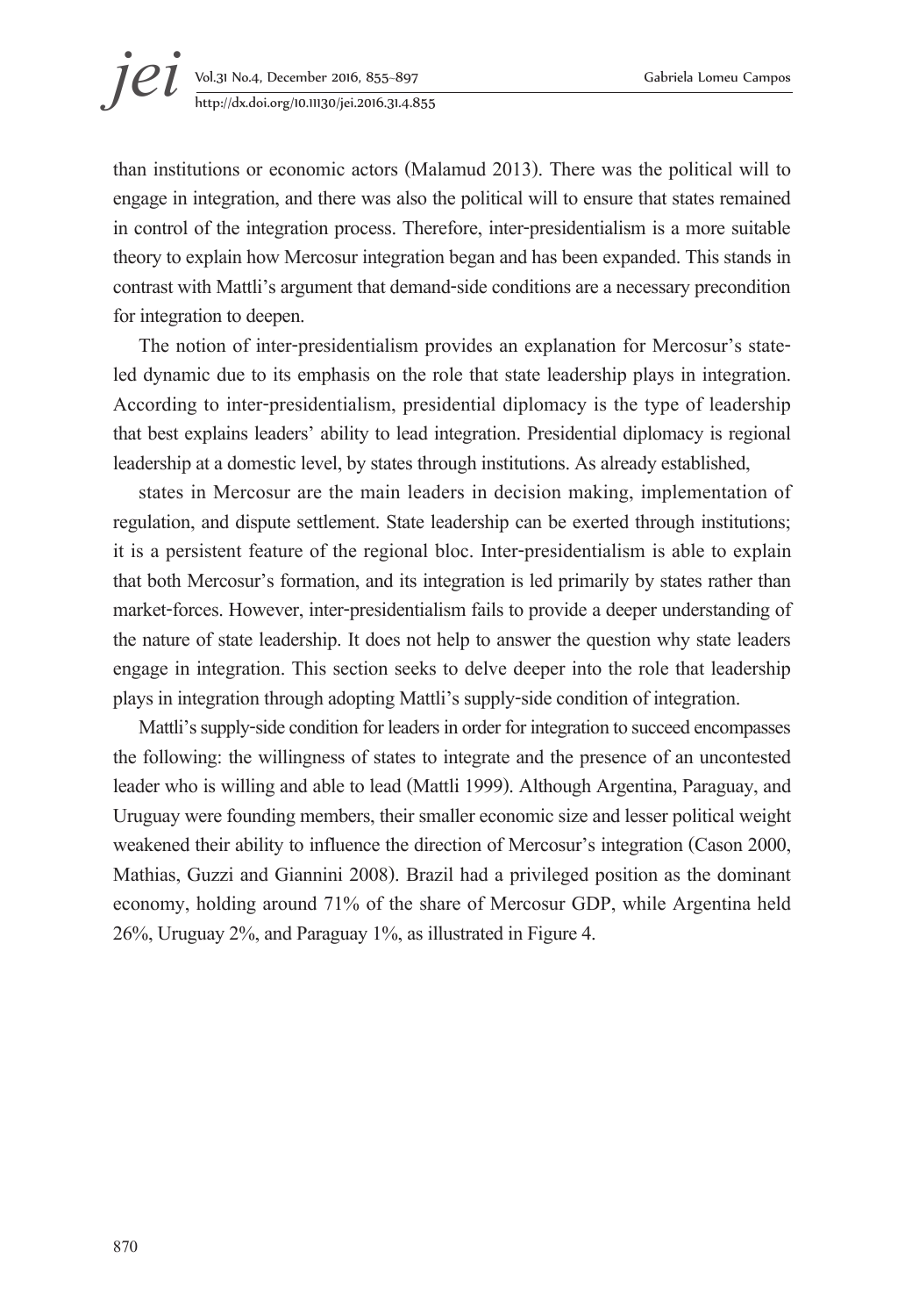# **jei** Vol.31 No.4, December 2016, 855–897 Gabriela Lomeu Campos<br>http://dx.doi.org/10.11130/jei.2016.31.4.855 http://dx.doi.org/10.11130/jei.2016.31.4.855

than institutions or economic actors (Malamud 2013). There was the political will to engage in integration, and there was also the political will to ensure that states remained in control of the integration process. Therefore, inter-presidentialism is a more suitable theory to explain how Mercosur integration began and has been expanded. This stands in contrast with Mattli's argument that demand-side conditions are a necessary precondition for integration to deepen.

The notion of inter-presidentialism provides an explanation for Mercosur's stateled dynamic due to its emphasis on the role that state leadership plays in integration. According to inter-presidentialism, presidential diplomacy is the type of leadership that best explains leaders' ability to lead integration. Presidential diplomacy is regional leadership at a domestic level, by states through institutions. As already established,

states in Mercosur are the main leaders in decision making, implementation of regulation, and dispute settlement. State leadership can be exerted through institutions; it is a persistent feature of the regional bloc. Inter-presidentialism is able to explain that both Mercosur's formation, and its integration is led primarily by states rather than market-forces. However, inter-presidentialism fails to provide a deeper understanding of the nature of state leadership. It does not help to answer the question why state leaders engage in integration. This section seeks to delve deeper into the role that leadership plays in integration through adopting Mattli's supply-side condition of integration.

Mattli's supply-side condition for leaders in order for integration to succeed encompasses the following: the willingness of states to integrate and the presence of an uncontested leader who is willing and able to lead (Mattli 1999). Although Argentina, Paraguay, and Uruguay were founding members, their smaller economic size and lesser political weight weakened their ability to influence the direction of Mercosur's integration (Cason 2000, Mathias, Guzzi and Giannini 2008). Brazil had a privileged position as the dominant economy, holding around 71% of the share of Mercosur GDP, while Argentina held 26%, Uruguay 2%, and Paraguay 1%, as illustrated in Figure 4.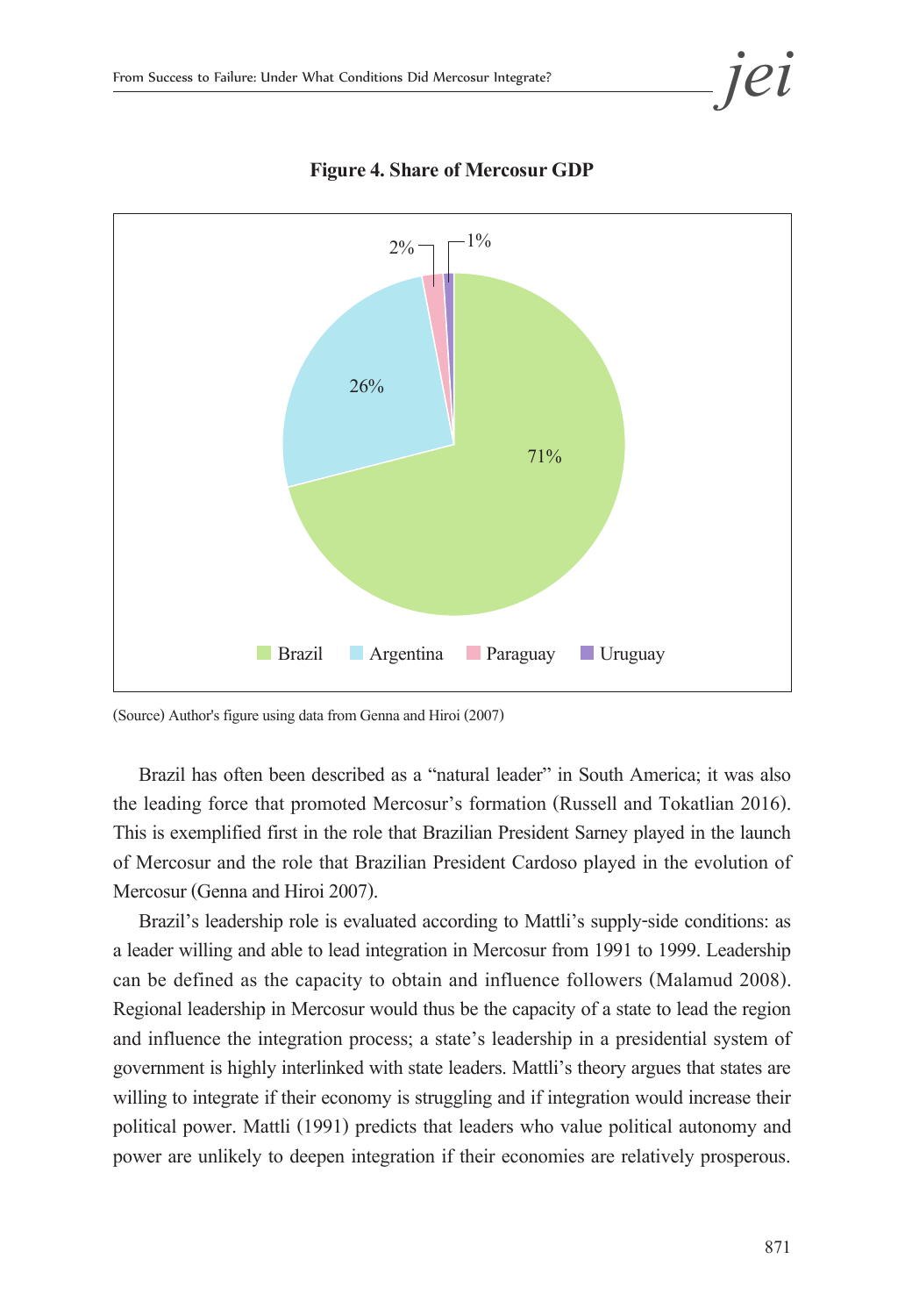

**Figure 4. Share of Mercosur GDP**

(Source) Author's figure using data from Genna and Hiroi (2007)

Brazil has often been described as a "natural leader" in South America; it was also the leading force that promoted Mercosur's formation (Russell and Tokatlian 2016). This is exemplified first in the role that Brazilian President Sarney played in the launch of Mercosur and the role that Brazilian President Cardoso played in the evolution of Mercosur (Genna and Hiroi 2007).

Brazil's leadership role is evaluated according to Mattli's supply-side conditions: as a leader willing and able to lead integration in Mercosur from 1991 to 1999. Leadership can be defined as the capacity to obtain and influence followers (Malamud 2008). Regional leadership in Mercosur would thus be the capacity of a state to lead the region and influence the integration process; a state's leadership in a presidential system of government is highly interlinked with state leaders. Mattli's theory argues that states are willing to integrate if their economy is struggling and if integration would increase their political power. Mattli (1991) predicts that leaders who value political autonomy and power are unlikely to deepen integration if their economies are relatively prosperous.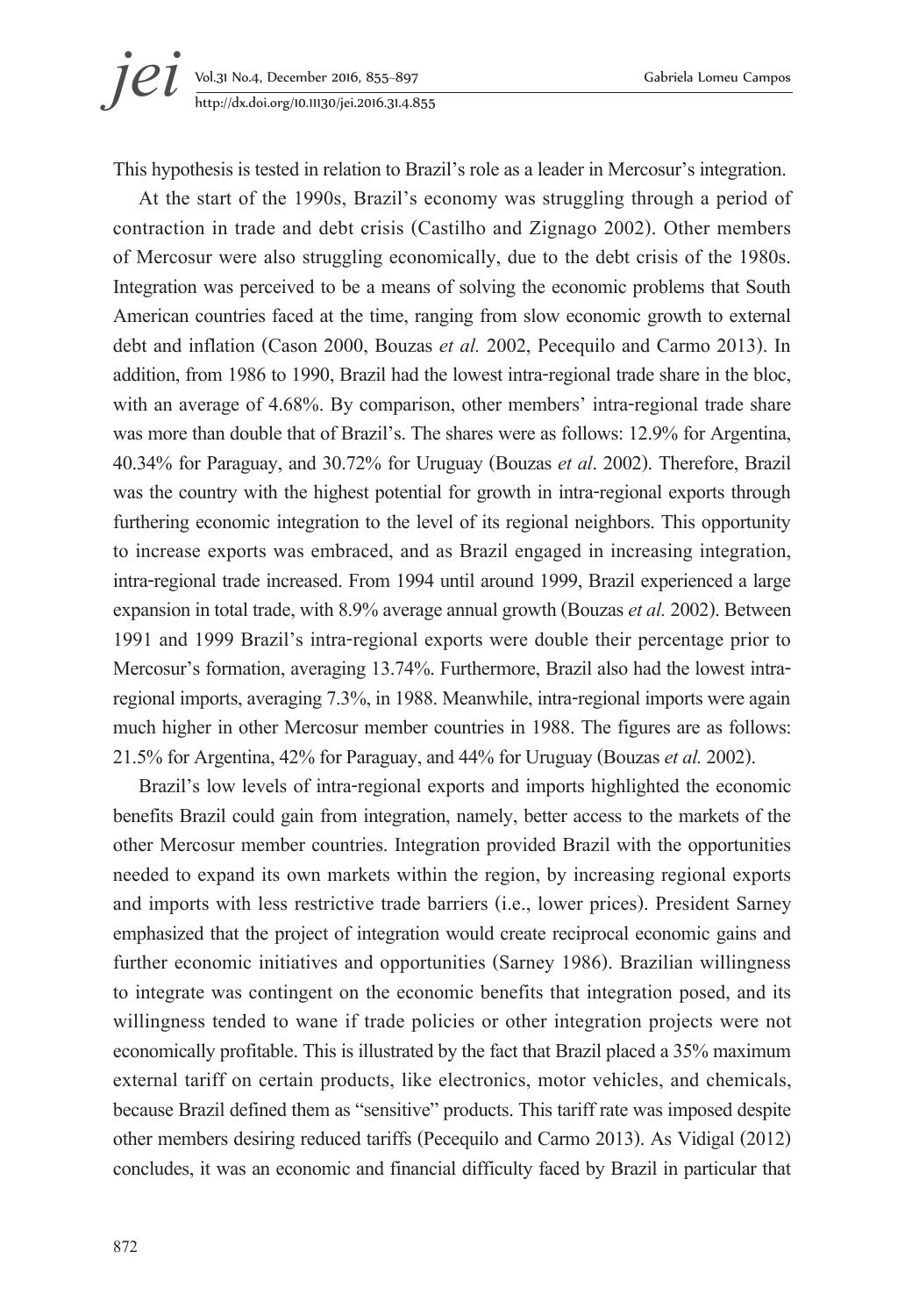

This hypothesis is tested in relation to Brazil's role as a leader in Mercosur's integration.

At the start of the 1990s, Brazil's economy was struggling through a period of contraction in trade and debt crisis (Castilho and Zignago 2002). Other members of Mercosur were also struggling economically, due to the debt crisis of the 1980s. Integration was perceived to be a means of solving the economic problems that South American countries faced at the time, ranging from slow economic growth to external debt and inflation (Cason 2000, Bouzas *et al.* 2002, Pecequilo and Carmo 2013). In addition, from 1986 to 1990, Brazil had the lowest intra-regional trade share in the bloc, with an average of 4.68%. By comparison, other members' intra-regional trade share was more than double that of Brazil's. The shares were as follows: 12.9% for Argentina, 40.34% for Paraguay, and 30.72% for Uruguay (Bouzas *et al*. 2002). Therefore, Brazil was the country with the highest potential for growth in intra-regional exports through furthering economic integration to the level of its regional neighbors. This opportunity to increase exports was embraced, and as Brazil engaged in increasing integration, intra-regional trade increased. From 1994 until around 1999, Brazil experienced a large expansion in total trade, with 8.9% average annual growth (Bouzas *et al.* 2002). Between 1991 and 1999 Brazil's intra-regional exports were double their percentage prior to Mercosur's formation, averaging 13.74%. Furthermore, Brazil also had the lowest intraregional imports, averaging 7.3%, in 1988. Meanwhile, intra-regional imports were again much higher in other Mercosur member countries in 1988. The figures are as follows: 21.5% for Argentina, 42% for Paraguay, and 44% for Uruguay (Bouzas *et al.* 2002).

Brazil's low levels of intra-regional exports and imports highlighted the economic benefits Brazil could gain from integration, namely, better access to the markets of the other Mercosur member countries. Integration provided Brazil with the opportunities needed to expand its own markets within the region, by increasing regional exports and imports with less restrictive trade barriers (i.e., lower prices). President Sarney emphasized that the project of integration would create reciprocal economic gains and further economic initiatives and opportunities (Sarney 1986). Brazilian willingness to integrate was contingent on the economic benefits that integration posed, and its willingness tended to wane if trade policies or other integration projects were not economically profitable. This is illustrated by the fact that Brazil placed a 35% maximum external tariff on certain products, like electronics, motor vehicles, and chemicals, because Brazil defined them as "sensitive" products. This tariff rate was imposed despite other members desiring reduced tariffs (Pecequilo and Carmo 2013). As Vidigal (2012) concludes, it was an economic and financial difficulty faced by Brazil in particular that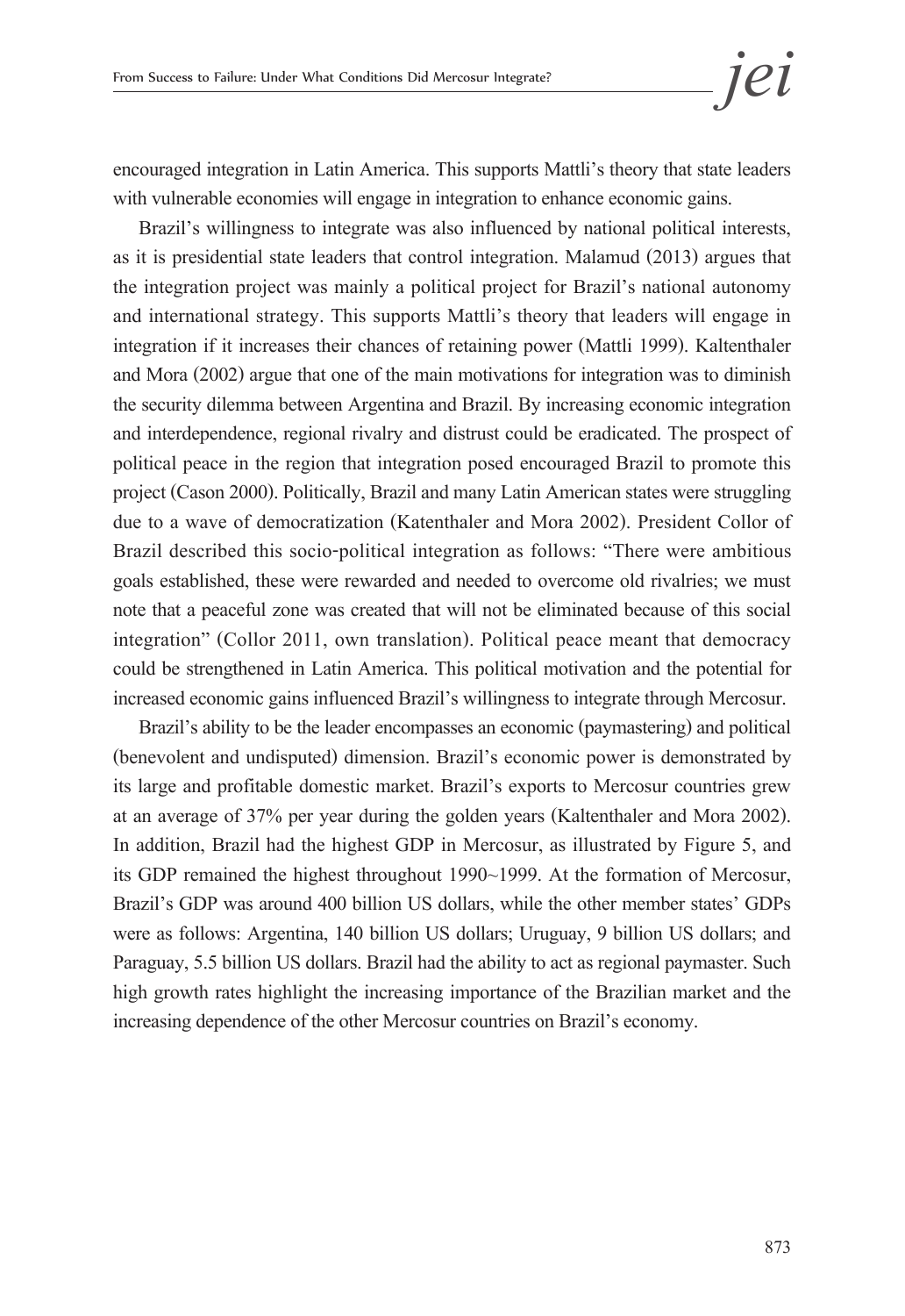encouraged integration in Latin America. This supports Mattli's theory that state leaders with vulnerable economies will engage in integration to enhance economic gains.

Brazil's willingness to integrate was also influenced by national political interests, as it is presidential state leaders that control integration. Malamud (2013) argues that the integration project was mainly a political project for Brazil's national autonomy and international strategy. This supports Mattli's theory that leaders will engage in integration if it increases their chances of retaining power (Mattli 1999). Kaltenthaler and Mora (2002) argue that one of the main motivations for integration was to diminish the security dilemma between Argentina and Brazil. By increasing economic integration and interdependence, regional rivalry and distrust could be eradicated. The prospect of political peace in the region that integration posed encouraged Brazil to promote this project (Cason 2000). Politically, Brazil and many Latin American states were struggling due to a wave of democratization (Katenthaler and Mora 2002). President Collor of Brazil described this socio-political integration as follows: "There were ambitious goals established, these were rewarded and needed to overcome old rivalries; we must note that a peaceful zone was created that will not be eliminated because of this social integration" (Collor 2011, own translation). Political peace meant that democracy could be strengthened in Latin America. This political motivation and the potential for increased economic gains influenced Brazil's willingness to integrate through Mercosur.

Brazil's ability to be the leader encompasses an economic (paymastering) and political (benevolent and undisputed) dimension. Brazil's economic power is demonstrated by its large and profitable domestic market. Brazil's exports to Mercosur countries grew at an average of 37% per year during the golden years (Kaltenthaler and Mora 2002). In addition, Brazil had the highest GDP in Mercosur, as illustrated by Figure 5, and its GDP remained the highest throughout 1990~1999. At the formation of Mercosur, Brazil's GDP was around 400 billion US dollars, while the other member states' GDPs were as follows: Argentina, 140 billion US dollars; Uruguay, 9 billion US dollars; and Paraguay, 5.5 billion US dollars. Brazil had the ability to act as regional paymaster. Such high growth rates highlight the increasing importance of the Brazilian market and the increasing dependence of the other Mercosur countries on Brazil's economy.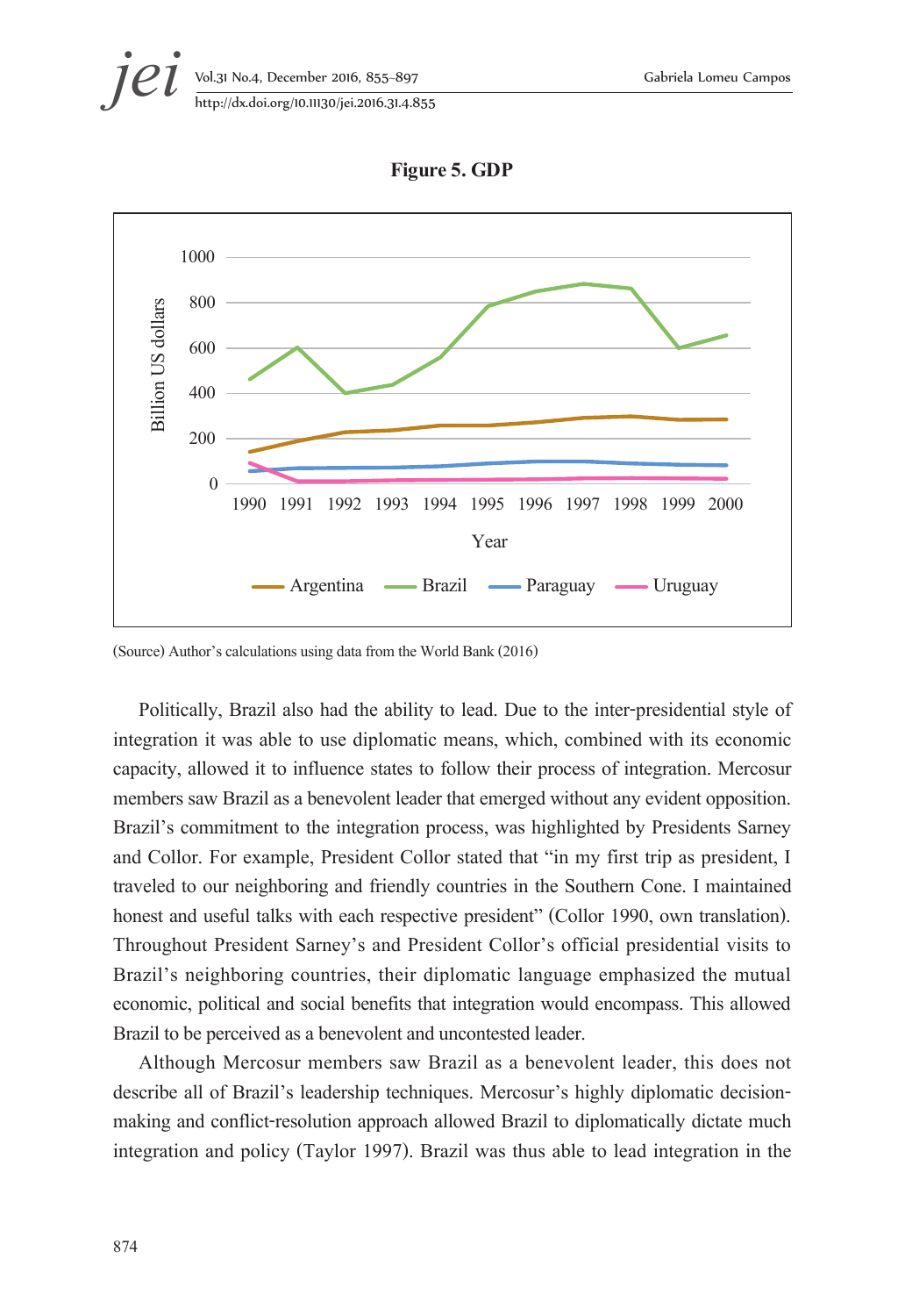



**Figure 5. GDP** 

(Source) Author's calculations using data from the World Bank (2016)

Politically, Brazil also had the ability to lead. Due to the inter-presidential style of integration it was able to use diplomatic means, which, combined with its economic capacity, allowed it to influence states to follow their process of integration. Mercosur members saw Brazil as a benevolent leader that emerged without any evident opposition. Brazil's commitment to the integration process, was highlighted by Presidents Sarney and Collor. For example, President Collor stated that "in my first trip as president, I traveled to our neighboring and friendly countries in the Southern Cone. I maintained honest and useful talks with each respective president" (Collor 1990, own translation). Throughout President Sarney's and President Collor's official presidential visits to Brazil's neighboring countries, their diplomatic language emphasized the mutual economic, political and social benefits that integration would encompass. This allowed Brazil to be perceived as a benevolent and uncontested leader.

Although Mercosur members saw Brazil as a benevolent leader, this does not describe all of Brazil's leadership techniques. Mercosur's highly diplomatic decisionmaking and conflict-resolution approach allowed Brazil to diplomatically dictate much integration and policy (Taylor 1997). Brazil was thus able to lead integration in the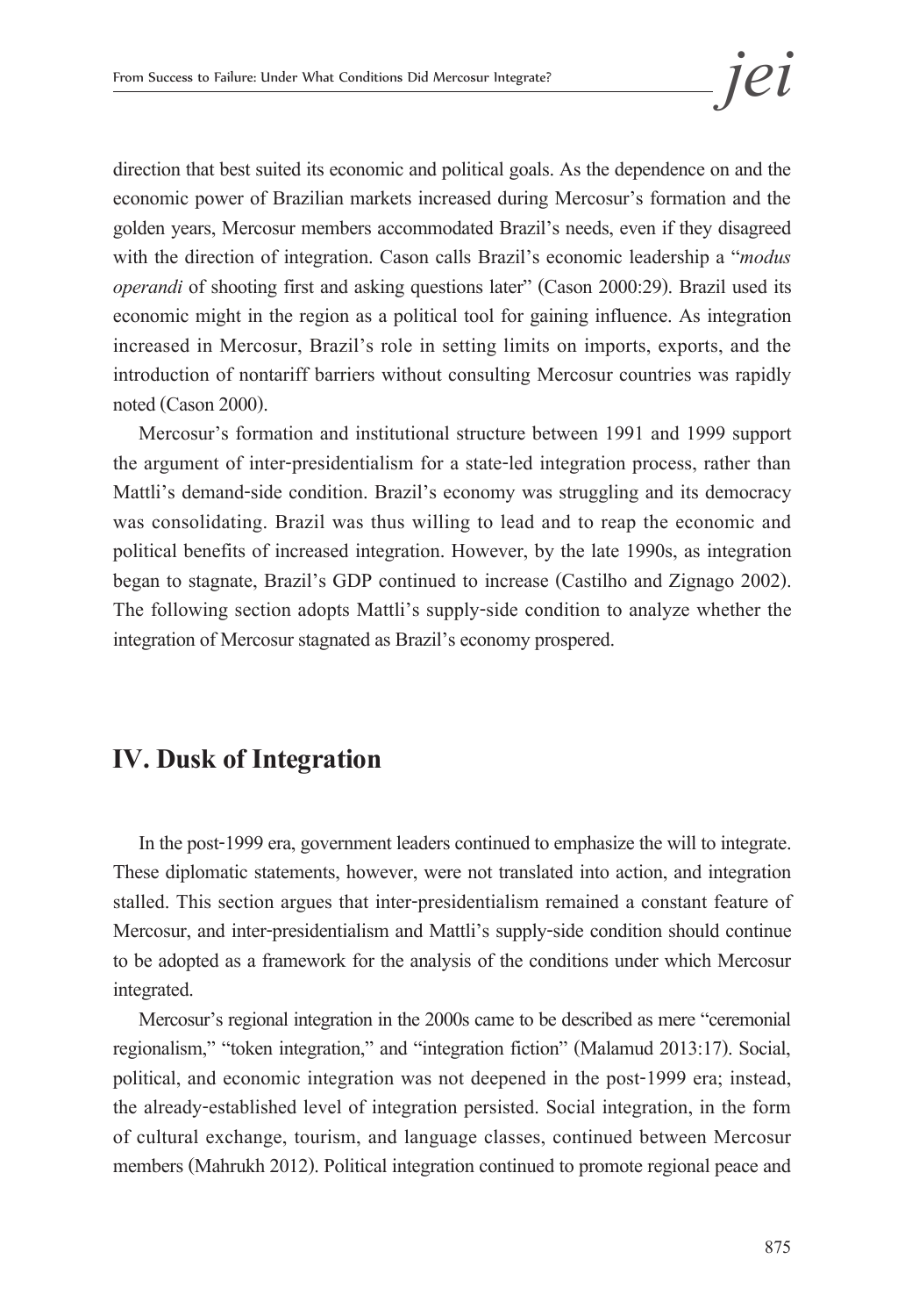direction that best suited its economic and political goals. As the dependence on and the economic power of Brazilian markets increased during Mercosur's formation and the golden years, Mercosur members accommodated Brazil's needs, even if they disagreed with the direction of integration. Cason calls Brazil's economic leadership a "*modus operandi* of shooting first and asking questions later" (Cason 2000:29). Brazil used its economic might in the region as a political tool for gaining influence. As integration increased in Mercosur, Brazil's role in setting limits on imports, exports, and the introduction of nontariff barriers without consulting Mercosur countries was rapidly noted (Cason 2000).

Mercosur's formation and institutional structure between 1991 and 1999 support the argument of inter-presidentialism for a state-led integration process, rather than Mattli's demand-side condition. Brazil's economy was struggling and its democracy was consolidating. Brazil was thus willing to lead and to reap the economic and political benefits of increased integration. However, by the late 1990s, as integration began to stagnate, Brazil's GDP continued to increase (Castilho and Zignago 2002). The following section adopts Mattli's supply-side condition to analyze whether the integration of Mercosur stagnated as Brazil's economy prospered.

### **IV. Dusk of Integration**

In the post-1999 era, government leaders continued to emphasize the will to integrate. These diplomatic statements, however, were not translated into action, and integration stalled. This section argues that inter-presidentialism remained a constant feature of Mercosur, and inter-presidentialism and Mattli's supply-side condition should continue to be adopted as a framework for the analysis of the conditions under which Mercosur integrated.

Mercosur's regional integration in the 2000s came to be described as mere "ceremonial regionalism," "token integration," and "integration fiction" (Malamud 2013:17). Social, political, and economic integration was not deepened in the post-1999 era; instead, the already-established level of integration persisted. Social integration, in the form of cultural exchange, tourism, and language classes, continued between Mercosur members (Mahrukh 2012). Political integration continued to promote regional peace and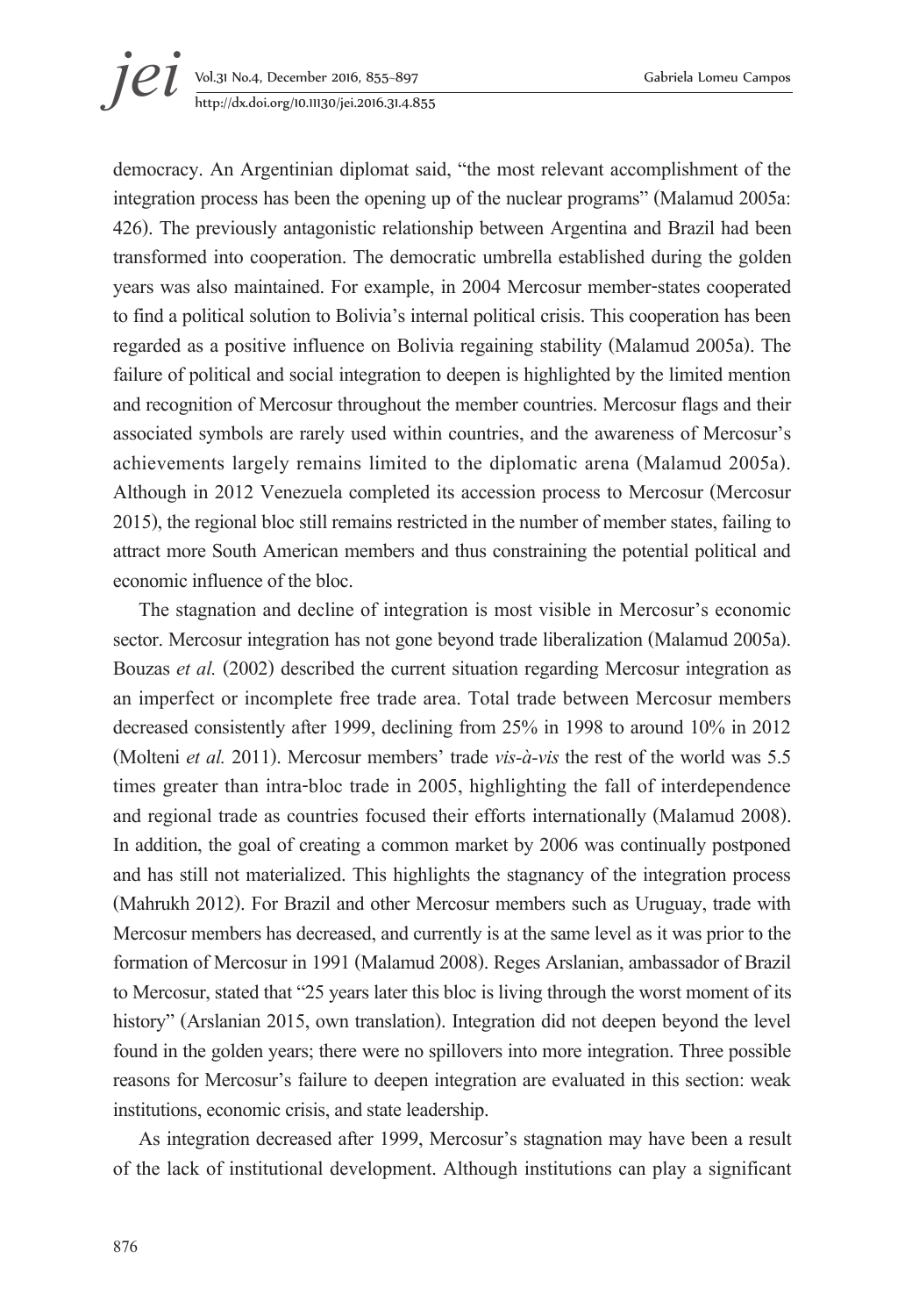# **jei** Vol.31 No.4, December 2016, 855–897 Gabriela Lomeu Campos<br>http://dx.doi.org/10.11130/jei.2016.31.4.855 http://dx.doi.org/10.11130/jei.2016.31.4.855

democracy. An Argentinian diplomat said, "the most relevant accomplishment of the integration process has been the opening up of the nuclear programs" (Malamud 2005a: 426). The previously antagonistic relationship between Argentina and Brazil had been transformed into cooperation. The democratic umbrella established during the golden years was also maintained. For example, in 2004 Mercosur member-states cooperated to find a political solution to Bolivia's internal political crisis. This cooperation has been regarded as a positive influence on Bolivia regaining stability (Malamud 2005a). The failure of political and social integration to deepen is highlighted by the limited mention and recognition of Mercosur throughout the member countries. Mercosur flags and their associated symbols are rarely used within countries, and the awareness of Mercosur's achievements largely remains limited to the diplomatic arena (Malamud 2005a). Although in 2012 Venezuela completed its accession process to Mercosur (Mercosur 2015), the regional bloc still remains restricted in the number of member states, failing to attract more South American members and thus constraining the potential political and economic influence of the bloc.

The stagnation and decline of integration is most visible in Mercosur's economic sector. Mercosur integration has not gone beyond trade liberalization (Malamud 2005a). Bouzas *et al.* (2002) described the current situation regarding Mercosur integration as an imperfect or incomplete free trade area. Total trade between Mercosur members decreased consistently after 1999, declining from 25% in 1998 to around 10% in 2012 (Molteni *et al.* 2011). Mercosur members' trade *vis-à-vis* the rest of the world was 5.5 times greater than intra-bloc trade in 2005, highlighting the fall of interdependence and regional trade as countries focused their efforts internationally (Malamud 2008). In addition, the goal of creating a common market by 2006 was continually postponed and has still not materialized. This highlights the stagnancy of the integration process (Mahrukh 2012). For Brazil and other Mercosur members such as Uruguay, trade with Mercosur members has decreased, and currently is at the same level as it was prior to the formation of Mercosur in 1991 (Malamud 2008). Reges Arslanian, ambassador of Brazil to Mercosur, stated that "25 years later this bloc is living through the worst moment of its history" (Arslanian 2015, own translation). Integration did not deepen beyond the level found in the golden years; there were no spillovers into more integration. Three possible reasons for Mercosur's failure to deepen integration are evaluated in this section: weak institutions, economic crisis, and state leadership.

As integration decreased after 1999, Mercosur's stagnation may have been a result of the lack of institutional development. Although institutions can play a significant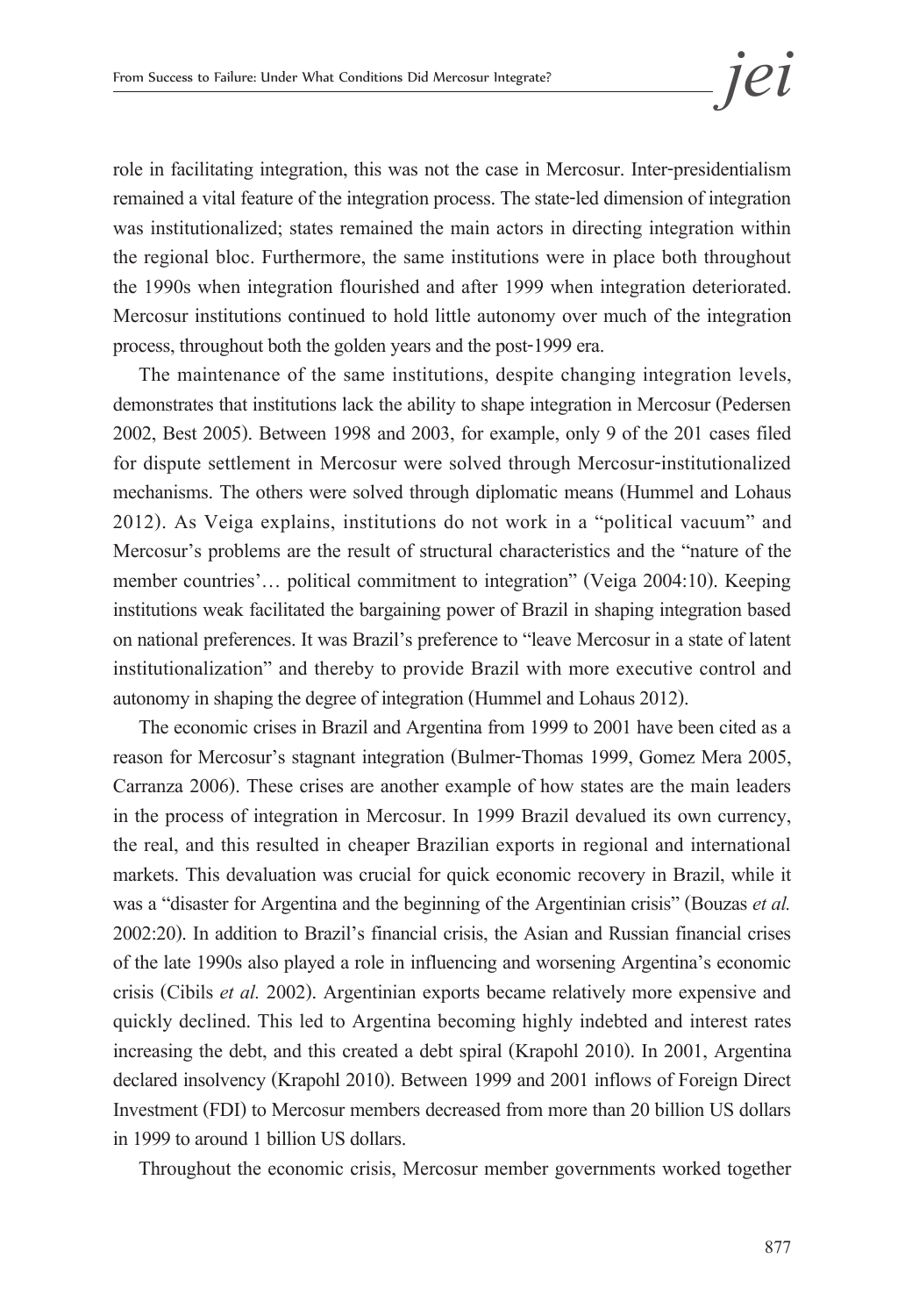role in facilitating integration, this was not the case in Mercosur. Inter-presidentialism remained a vital feature of the integration process. The state-led dimension of integration was institutionalized; states remained the main actors in directing integration within the regional bloc. Furthermore, the same institutions were in place both throughout the 1990s when integration flourished and after 1999 when integration deteriorated. Mercosur institutions continued to hold little autonomy over much of the integration process, throughout both the golden years and the post-1999 era.

The maintenance of the same institutions, despite changing integration levels, demonstrates that institutions lack the ability to shape integration in Mercosur (Pedersen 2002, Best 2005). Between 1998 and 2003, for example, only 9 of the 201 cases filed for dispute settlement in Mercosur were solved through Mercosur-institutionalized mechanisms. The others were solved through diplomatic means (Hummel and Lohaus 2012). As Veiga explains, institutions do not work in a "political vacuum" and Mercosur's problems are the result of structural characteristics and the "nature of the member countries'… political commitment to integration" (Veiga 2004:10). Keeping institutions weak facilitated the bargaining power of Brazil in shaping integration based on national preferences. It was Brazil's preference to "leave Mercosur in a state of latent institutionalization" and thereby to provide Brazil with more executive control and autonomy in shaping the degree of integration (Hummel and Lohaus 2012).

The economic crises in Brazil and Argentina from 1999 to 2001 have been cited as a reason for Mercosur's stagnant integration (Bulmer-Thomas 1999, Gomez Mera 2005, Carranza 2006). These crises are another example of how states are the main leaders in the process of integration in Mercosur. In 1999 Brazil devalued its own currency, the real, and this resulted in cheaper Brazilian exports in regional and international markets. This devaluation was crucial for quick economic recovery in Brazil, while it was a "disaster for Argentina and the beginning of the Argentinian crisis" (Bouzas *et al.* 2002:20). In addition to Brazil's financial crisis, the Asian and Russian financial crises of the late 1990s also played a role in influencing and worsening Argentina's economic crisis (Cibils *et al.* 2002). Argentinian exports became relatively more expensive and quickly declined. This led to Argentina becoming highly indebted and interest rates increasing the debt, and this created a debt spiral (Krapohl 2010). In 2001, Argentina declared insolvency (Krapohl 2010). Between 1999 and 2001 inflows of Foreign Direct Investment (FDI) to Mercosur members decreased from more than 20 billion US dollars in 1999 to around 1 billion US dollars.

Throughout the economic crisis, Mercosur member governments worked together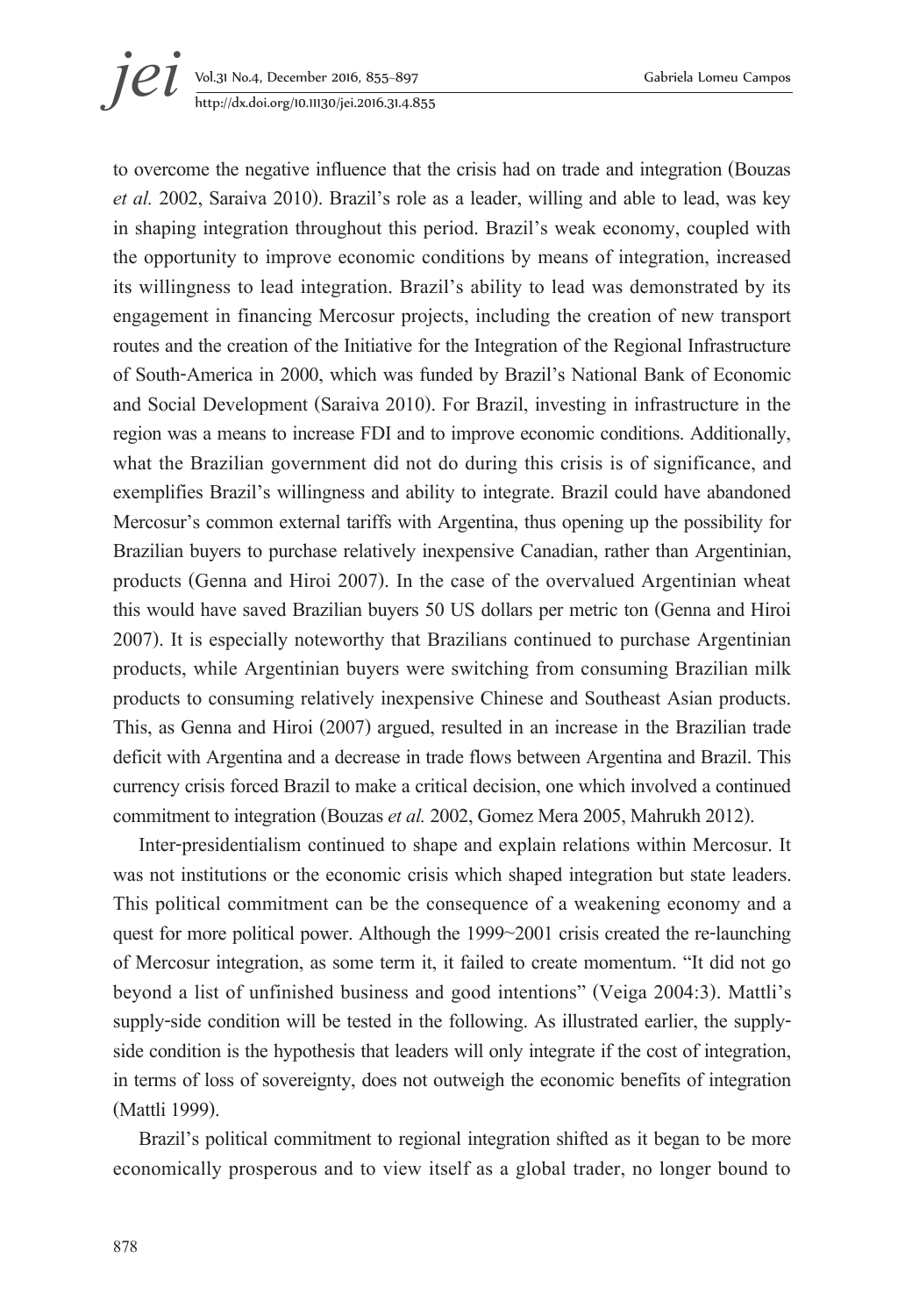# **jei** Vol.31 No.4, December 2016, 855–897 Gabriela Lomeu Campos<br>http://dx.doi.org/10.11130/jei.2016.31.4.855 http://dx.doi.org/10.11130/jei.2016.31.4.855

to overcome the negative influence that the crisis had on trade and integration (Bouzas *et al.* 2002, Saraiva 2010). Brazil's role as a leader, willing and able to lead, was key in shaping integration throughout this period. Brazil's weak economy, coupled with the opportunity to improve economic conditions by means of integration, increased its willingness to lead integration. Brazil's ability to lead was demonstrated by its engagement in financing Mercosur projects, including the creation of new transport routes and the creation of the Initiative for the Integration of the Regional Infrastructure of South-America in 2000, which was funded by Brazil's National Bank of Economic and Social Development (Saraiva 2010). For Brazil, investing in infrastructure in the region was a means to increase FDI and to improve economic conditions. Additionally, what the Brazilian government did not do during this crisis is of significance, and exemplifies Brazil's willingness and ability to integrate. Brazil could have abandoned Mercosur's common external tariffs with Argentina, thus opening up the possibility for Brazilian buyers to purchase relatively inexpensive Canadian, rather than Argentinian, products (Genna and Hiroi 2007). In the case of the overvalued Argentinian wheat this would have saved Brazilian buyers 50 US dollars per metric ton (Genna and Hiroi 2007). It is especially noteworthy that Brazilians continued to purchase Argentinian products, while Argentinian buyers were switching from consuming Brazilian milk products to consuming relatively inexpensive Chinese and Southeast Asian products. This, as Genna and Hiroi (2007) argued, resulted in an increase in the Brazilian trade deficit with Argentina and a decrease in trade flows between Argentina and Brazil. This currency crisis forced Brazil to make a critical decision, one which involved a continued commitment to integration (Bouzas *et al.* 2002, Gomez Mera 2005, Mahrukh 2012).

Inter-presidentialism continued to shape and explain relations within Mercosur. It was not institutions or the economic crisis which shaped integration but state leaders. This political commitment can be the consequence of a weakening economy and a quest for more political power. Although the 1999~2001 crisis created the re-launching of Mercosur integration, as some term it, it failed to create momentum. "It did not go beyond a list of unfinished business and good intentions" (Veiga 2004:3). Mattli's supply-side condition will be tested in the following. As illustrated earlier, the supplyside condition is the hypothesis that leaders will only integrate if the cost of integration, in terms of loss of sovereignty, does not outweigh the economic benefits of integration (Mattli 1999).

Brazil's political commitment to regional integration shifted as it began to be more economically prosperous and to view itself as a global trader, no longer bound to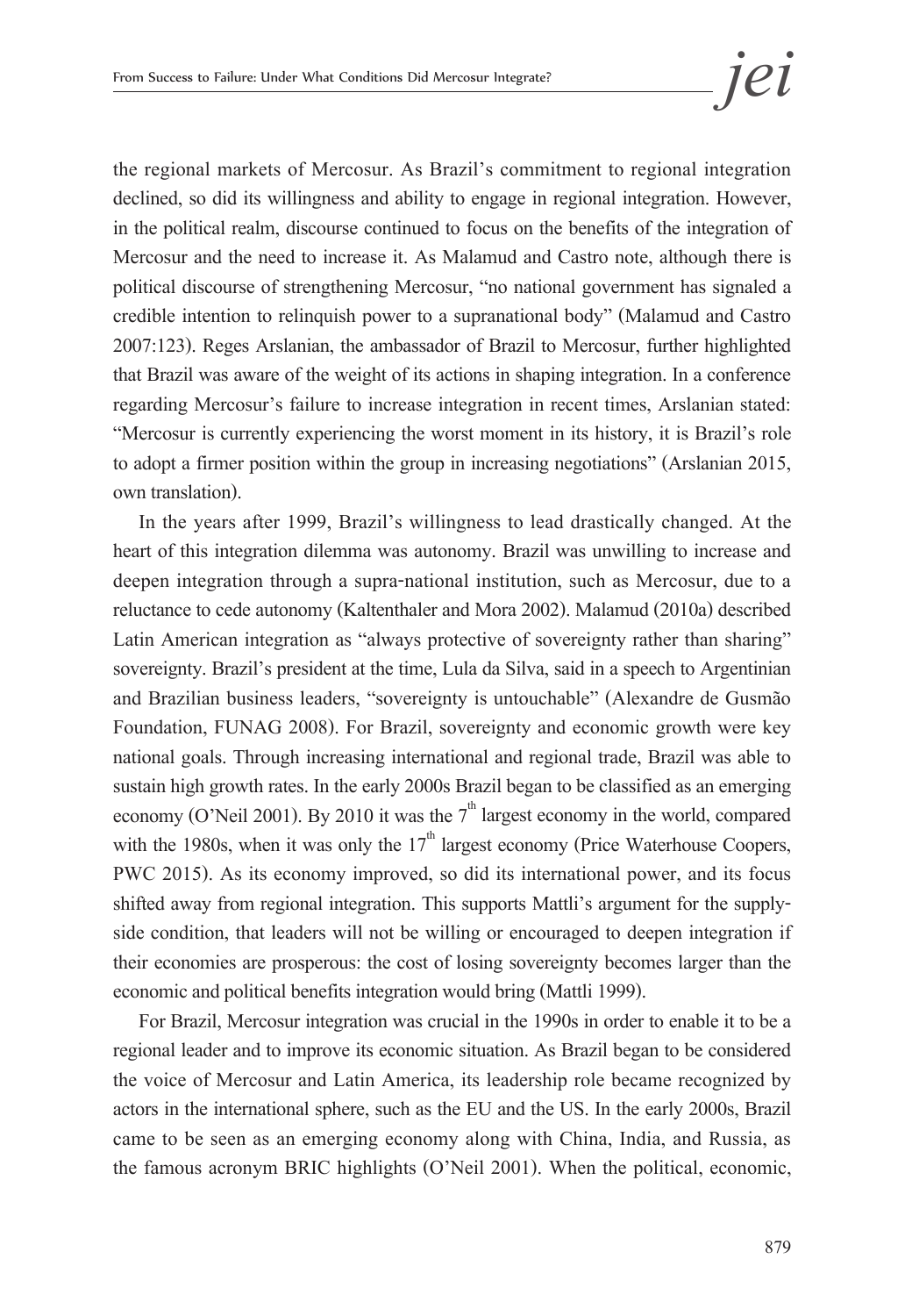the regional markets of Mercosur. As Brazil's commitment to regional integration declined, so did its willingness and ability to engage in regional integration. However, in the political realm, discourse continued to focus on the benefits of the integration of Mercosur and the need to increase it. As Malamud and Castro note, although there is political discourse of strengthening Mercosur, "no national government has signaled a credible intention to relinquish power to a supranational body" (Malamud and Castro 2007:123). Reges Arslanian, the ambassador of Brazil to Mercosur, further highlighted that Brazil was aware of the weight of its actions in shaping integration. In a conference regarding Mercosur's failure to increase integration in recent times, Arslanian stated: "Mercosur is currently experiencing the worst moment in its history, it is Brazil's role to adopt a firmer position within the group in increasing negotiations" (Arslanian 2015, own translation).

In the years after 1999, Brazil's willingness to lead drastically changed. At the heart of this integration dilemma was autonomy. Brazil was unwilling to increase and deepen integration through a supra-national institution, such as Mercosur, due to a reluctance to cede autonomy (Kaltenthaler and Mora 2002). Malamud (2010a) described Latin American integration as "always protective of sovereignty rather than sharing" sovereignty. Brazil's president at the time, Lula da Silva, said in a speech to Argentinian and Brazilian business leaders, "sovereignty is untouchable" (Alexandre de Gusmão Foundation, FUNAG 2008). For Brazil, sovereignty and economic growth were key national goals. Through increasing international and regional trade, Brazil was able to sustain high growth rates. In the early 2000s Brazil began to be classified as an emerging economy (O'Neil 2001). By 2010 it was the  $7<sup>th</sup>$  largest economy in the world, compared with the 1980s, when it was only the  $17<sup>th</sup>$  largest economy (Price Waterhouse Coopers, PWC 2015). As its economy improved, so did its international power, and its focus shifted away from regional integration. This supports Mattli's argument for the supplyside condition, that leaders will not be willing or encouraged to deepen integration if their economies are prosperous: the cost of losing sovereignty becomes larger than the economic and political benefits integration would bring (Mattli 1999).

For Brazil, Mercosur integration was crucial in the 1990s in order to enable it to be a regional leader and to improve its economic situation. As Brazil began to be considered the voice of Mercosur and Latin America, its leadership role became recognized by actors in the international sphere, such as the EU and the US. In the early 2000s, Brazil came to be seen as an emerging economy along with China, India, and Russia, as the famous acronym BRIC highlights (O'Neil 2001). When the political, economic,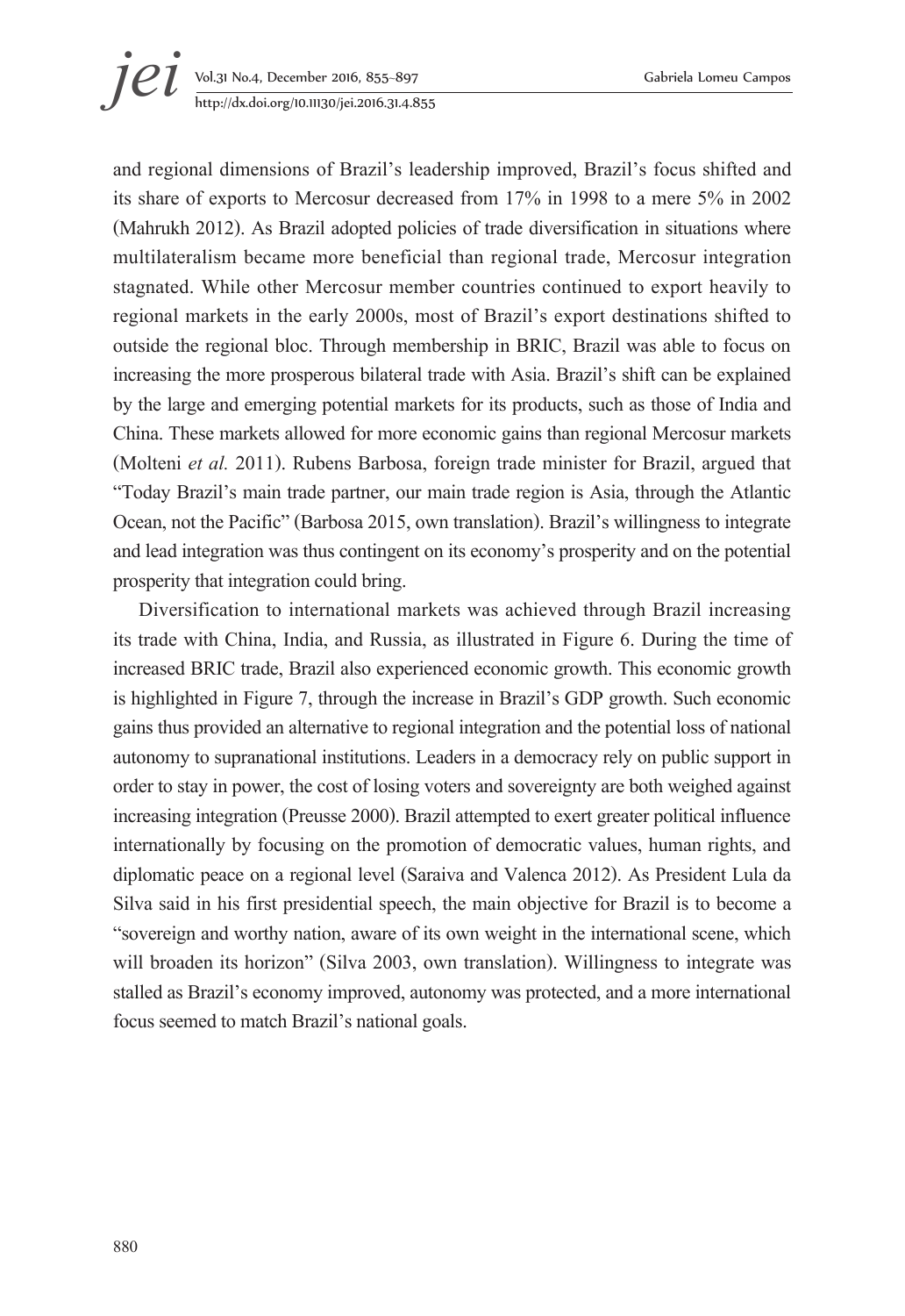# **jei** Vol.31 No.4, December 2016, 855–897 Gabriela Lomeu Campos<br>http://dx.doi.org/10.11130/jei.2016.31.4.855 http://dx.doi.org/10.11130/jei.2016.31.4.855

and regional dimensions of Brazil's leadership improved, Brazil's focus shifted and its share of exports to Mercosur decreased from 17% in 1998 to a mere 5% in 2002 (Mahrukh 2012). As Brazil adopted policies of trade diversification in situations where multilateralism became more beneficial than regional trade, Mercosur integration stagnated. While other Mercosur member countries continued to export heavily to regional markets in the early 2000s, most of Brazil's export destinations shifted to outside the regional bloc. Through membership in BRIC, Brazil was able to focus on increasing the more prosperous bilateral trade with Asia. Brazil's shift can be explained by the large and emerging potential markets for its products, such as those of India and China. These markets allowed for more economic gains than regional Mercosur markets (Molteni *et al.* 2011). Rubens Barbosa, foreign trade minister for Brazil, argued that "Today Brazil's main trade partner, our main trade region is Asia, through the Atlantic Ocean, not the Pacific" (Barbosa 2015, own translation). Brazil's willingness to integrate and lead integration was thus contingent on its economy's prosperity and on the potential prosperity that integration could bring.

Diversification to international markets was achieved through Brazil increasing its trade with China, India, and Russia, as illustrated in Figure 6. During the time of increased BRIC trade, Brazil also experienced economic growth. This economic growth is highlighted in Figure 7, through the increase in Brazil's GDP growth. Such economic gains thus provided an alternative to regional integration and the potential loss of national autonomy to supranational institutions. Leaders in a democracy rely on public support in order to stay in power, the cost of losing voters and sovereignty are both weighed against increasing integration (Preusse 2000). Brazil attempted to exert greater political influence internationally by focusing on the promotion of democratic values, human rights, and diplomatic peace on a regional level (Saraiva and Valenca 2012). As President Lula da Silva said in his first presidential speech, the main objective for Brazil is to become a "sovereign and worthy nation, aware of its own weight in the international scene, which will broaden its horizon" (Silva 2003, own translation). Willingness to integrate was stalled as Brazil's economy improved, autonomy was protected, and a more international focus seemed to match Brazil's national goals.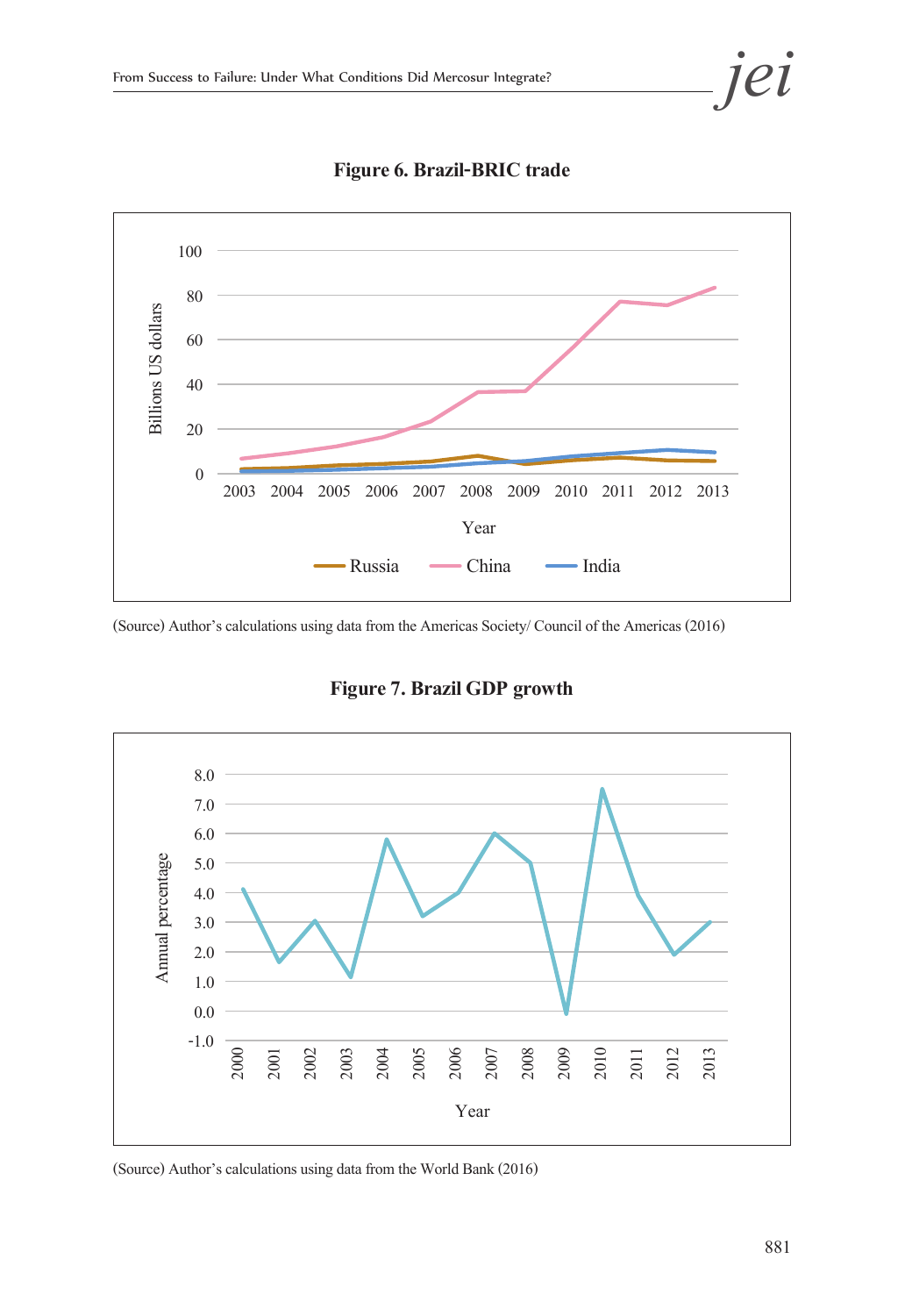

**Figure 6. Brazil-BRIC trade** 

(Source) Author's calculations using data from the Americas Society/ Council of the Americas (2016)

 $8.0 -$ 7.0 6.0 Annual percentage Annual percentage 5.0 4.0 3.0 2.0 1.0 0.0 -1.0 2007 2008 2009 2010 2012 2013 2000 2001 2002 2003 2004 2005 2006 2011 Year

**Figure 7. Brazil GDP growth** 

(Source) Author's calculations using data from the World Bank (2016)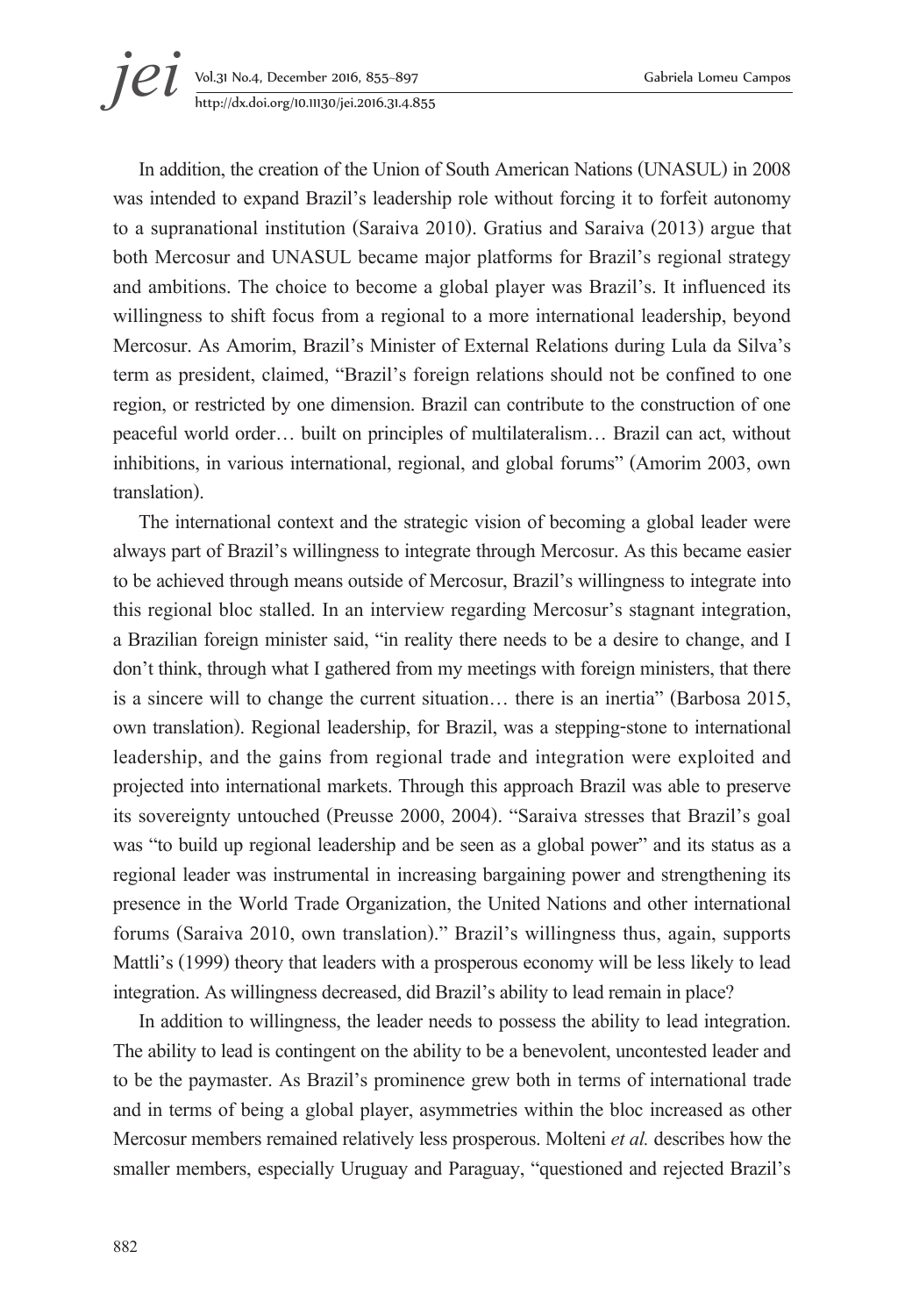# **jei** Vol.31 No.4, December 2016, 855–897 Gabriela Lomeu Campos<br>http://dx.doi.org/10.11130/jei.2016.31.4.855 http://dx.doi.org/10.11130/jei.2016.31.4.855

In addition, the creation of the Union of South American Nations (UNASUL) in 2008 was intended to expand Brazil's leadership role without forcing it to forfeit autonomy to a supranational institution (Saraiva 2010). Gratius and Saraiva (2013) argue that both Mercosur and UNASUL became major platforms for Brazil's regional strategy and ambitions. The choice to become a global player was Brazil's. It influenced its willingness to shift focus from a regional to a more international leadership, beyond Mercosur. As Amorim, Brazil's Minister of External Relations during Lula da Silva's term as president, claimed, "Brazil's foreign relations should not be confined to one region, or restricted by one dimension. Brazil can contribute to the construction of one peaceful world order… built on principles of multilateralism… Brazil can act, without inhibitions, in various international, regional, and global forums" (Amorim 2003, own translation).

The international context and the strategic vision of becoming a global leader were always part of Brazil's willingness to integrate through Mercosur. As this became easier to be achieved through means outside of Mercosur, Brazil's willingness to integrate into this regional bloc stalled. In an interview regarding Mercosur's stagnant integration, a Brazilian foreign minister said, "in reality there needs to be a desire to change, and I don't think, through what I gathered from my meetings with foreign ministers, that there is a sincere will to change the current situation… there is an inertia" (Barbosa 2015, own translation). Regional leadership, for Brazil, was a stepping-stone to international leadership, and the gains from regional trade and integration were exploited and projected into international markets. Through this approach Brazil was able to preserve its sovereignty untouched (Preusse 2000, 2004). "Saraiva stresses that Brazil's goal was "to build up regional leadership and be seen as a global power" and its status as a regional leader was instrumental in increasing bargaining power and strengthening its presence in the World Trade Organization, the United Nations and other international forums (Saraiva 2010, own translation)." Brazil's willingness thus, again, supports Mattli's (1999) theory that leaders with a prosperous economy will be less likely to lead integration. As willingness decreased, did Brazil's ability to lead remain in place?

In addition to willingness, the leader needs to possess the ability to lead integration. The ability to lead is contingent on the ability to be a benevolent, uncontested leader and to be the paymaster. As Brazil's prominence grew both in terms of international trade and in terms of being a global player, asymmetries within the bloc increased as other Mercosur members remained relatively less prosperous. Molteni *et al.* describes how the smaller members, especially Uruguay and Paraguay, "questioned and rejected Brazil's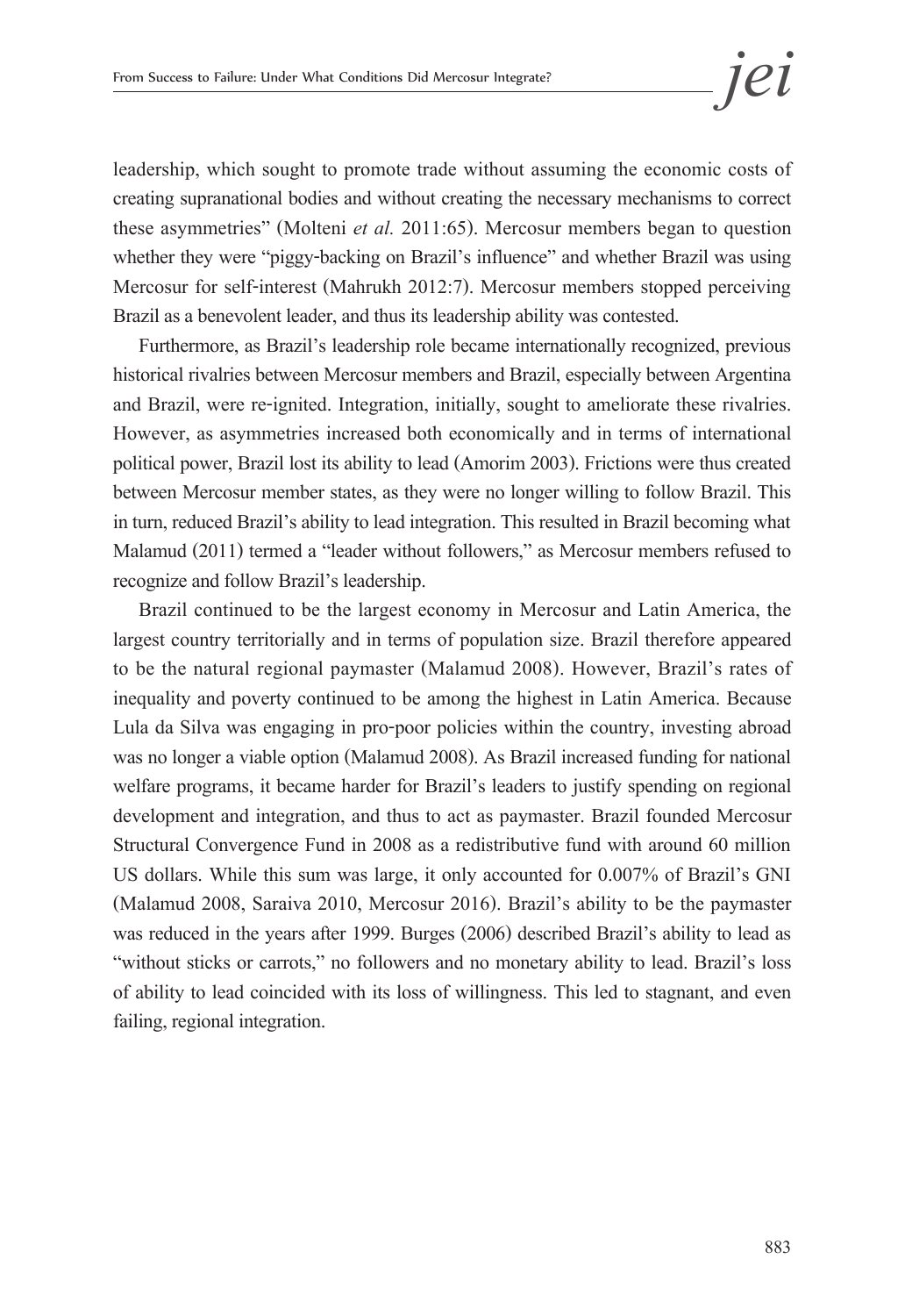leadership, which sought to promote trade without assuming the economic costs of creating supranational bodies and without creating the necessary mechanisms to correct these asymmetries" (Molteni *et al.* 2011:65). Mercosur members began to question whether they were "piggy-backing on Brazil's influence" and whether Brazil was using Mercosur for self-interest (Mahrukh 2012:7). Mercosur members stopped perceiving Brazil as a benevolent leader, and thus its leadership ability was contested.

Furthermore, as Brazil's leadership role became internationally recognized, previous historical rivalries between Mercosur members and Brazil, especially between Argentina and Brazil, were re-ignited. Integration, initially, sought to ameliorate these rivalries. However, as asymmetries increased both economically and in terms of international political power, Brazil lost its ability to lead (Amorim 2003). Frictions were thus created between Mercosur member states, as they were no longer willing to follow Brazil. This in turn, reduced Brazil's ability to lead integration. This resulted in Brazil becoming what Malamud (2011) termed a "leader without followers," as Mercosur members refused to recognize and follow Brazil's leadership.

Brazil continued to be the largest economy in Mercosur and Latin America, the largest country territorially and in terms of population size. Brazil therefore appeared to be the natural regional paymaster (Malamud 2008). However, Brazil's rates of inequality and poverty continued to be among the highest in Latin America. Because Lula da Silva was engaging in pro-poor policies within the country, investing abroad was no longer a viable option (Malamud 2008). As Brazil increased funding for national welfare programs, it became harder for Brazil's leaders to justify spending on regional development and integration, and thus to act as paymaster. Brazil founded Mercosur Structural Convergence Fund in 2008 as a redistributive fund with around 60 million US dollars. While this sum was large, it only accounted for 0.007% of Brazil's GNI (Malamud 2008, Saraiva 2010, Mercosur 2016). Brazil's ability to be the paymaster was reduced in the years after 1999. Burges (2006) described Brazil's ability to lead as "without sticks or carrots," no followers and no monetary ability to lead. Brazil's loss of ability to lead coincided with its loss of willingness. This led to stagnant, and even failing, regional integration.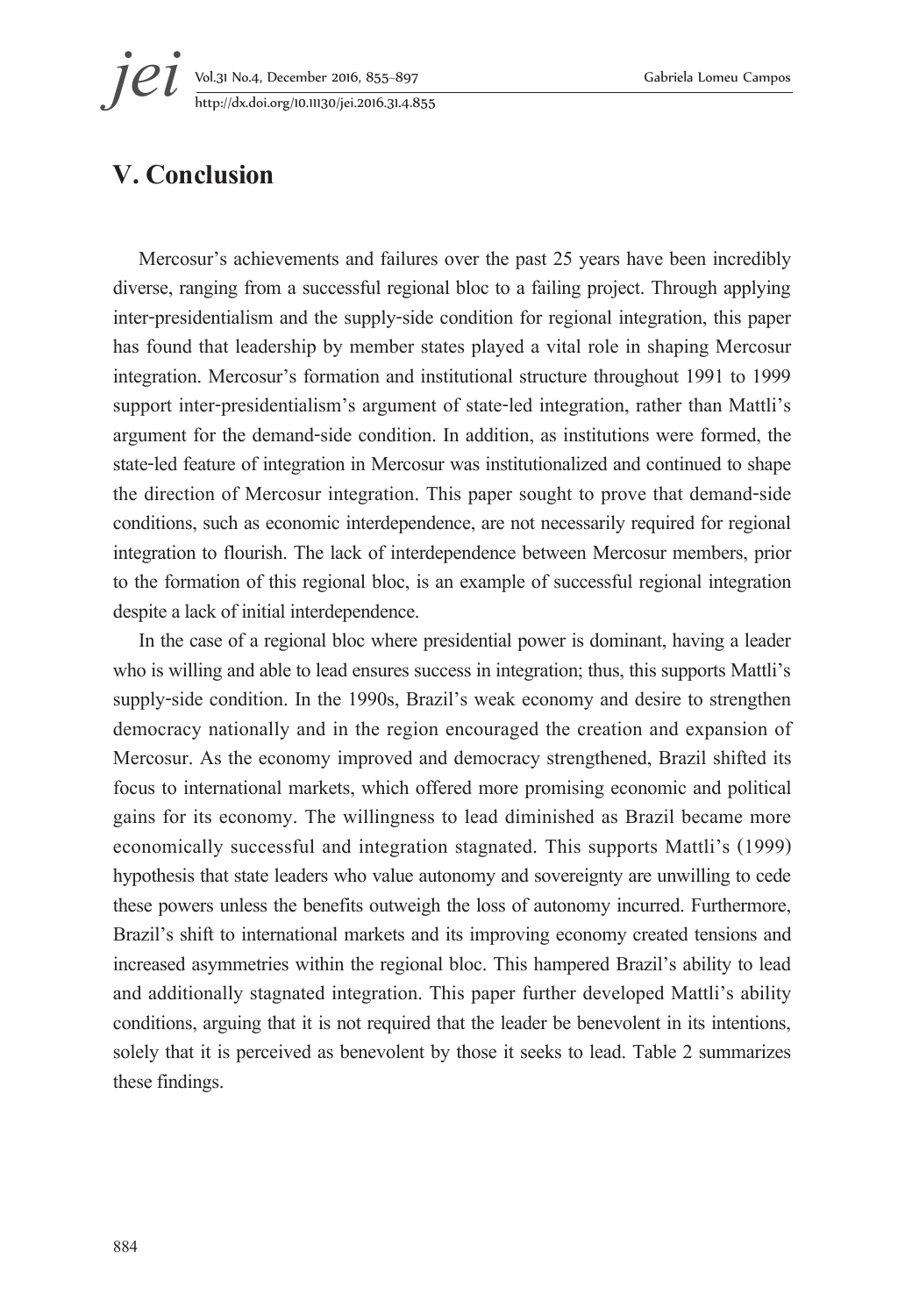**jei** Vol.31 No.4, December 2016, 855–897 Gabriela Lomeu Campos<br>http://dx.doi.org/10.11130/jei.2016.31.4.855 http://dx.doi.org/10.11130/jei.2016.31.4.855

### **V. Conclusion**

Mercosur's achievements and failures over the past 25 years have been incredibly diverse, ranging from a successful regional bloc to a failing project. Through applying inter-presidentialism and the supply-side condition for regional integration, this paper has found that leadership by member states played a vital role in shaping Mercosur integration. Mercosur's formation and institutional structure throughout 1991 to 1999 support inter-presidentialism's argument of state-led integration, rather than Mattli's argument for the demand-side condition. In addition, as institutions were formed, the state-led feature of integration in Mercosur was institutionalized and continued to shape the direction of Mercosur integration. This paper sought to prove that demand-side conditions, such as economic interdependence, are not necessarily required for regional integration to flourish. The lack of interdependence between Mercosur members, prior to the formation of this regional bloc, is an example of successful regional integration despite a lack of initial interdependence.

In the case of a regional bloc where presidential power is dominant, having a leader who is willing and able to lead ensures success in integration; thus, this supports Mattli's supply-side condition. In the 1990s, Brazil's weak economy and desire to strengthen democracy nationally and in the region encouraged the creation and expansion of Mercosur. As the economy improved and democracy strengthened, Brazil shifted its focus to international markets, which offered more promising economic and political gains for its economy. The willingness to lead diminished as Brazil became more economically successful and integration stagnated. This supports Mattli's (1999) hypothesis that state leaders who value autonomy and sovereignty are unwilling to cede these powers unless the benefits outweigh the loss of autonomy incurred. Furthermore, Brazil's shift to international markets and its improving economy created tensions and increased asymmetries within the regional bloc. This hampered Brazil's ability to lead and additionally stagnated integration. This paper further developed Mattli's ability conditions, arguing that it is not required that the leader be benevolent in its intentions, solely that it is perceived as benevolent by those it seeks to lead. Table 2 summarizes these findings.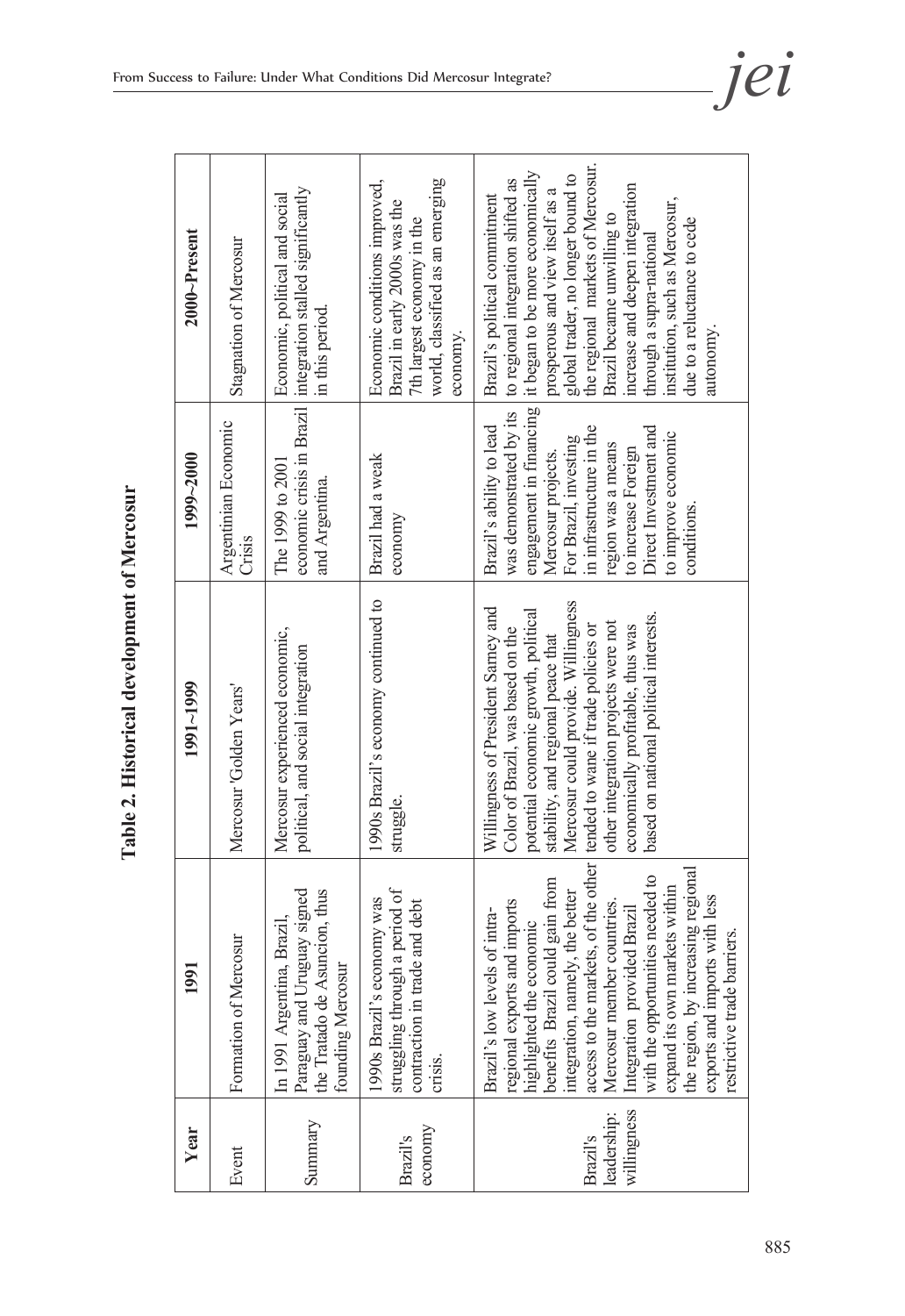| l<br>$\ddot{\zeta}$                                  |
|------------------------------------------------------|
| $\frac{1}{2}$<br>Į<br>Í<br>I<br>$\ddot{\phantom{a}}$ |
| .<br>.<br>.<br>.                                     |
| i<br>d                                               |

| Year                                   | 1991                                                                                                                                                                                                                                                                                                                                                                                                                                                                                 | 1991~1999                                                                                                                                                                                                                                                                                                           | 1999~2000                                                                                                                                                                                                                                                             | $2000$ <sup><math>\sim</math>Present</sup>                                                                                                                                                                                                                                                                                                                                                      |
|----------------------------------------|--------------------------------------------------------------------------------------------------------------------------------------------------------------------------------------------------------------------------------------------------------------------------------------------------------------------------------------------------------------------------------------------------------------------------------------------------------------------------------------|---------------------------------------------------------------------------------------------------------------------------------------------------------------------------------------------------------------------------------------------------------------------------------------------------------------------|-----------------------------------------------------------------------------------------------------------------------------------------------------------------------------------------------------------------------------------------------------------------------|-------------------------------------------------------------------------------------------------------------------------------------------------------------------------------------------------------------------------------------------------------------------------------------------------------------------------------------------------------------------------------------------------|
| Event                                  | Formation of Mercosur                                                                                                                                                                                                                                                                                                                                                                                                                                                                | Mercosur Golden Years'                                                                                                                                                                                                                                                                                              | Argentinian Economic<br>Crisis                                                                                                                                                                                                                                        | Stagnation of Mercosur                                                                                                                                                                                                                                                                                                                                                                          |
| Summary                                | Paraguay and Uruguay signed<br>the Tratado de Asuncion, thus<br>Brazil,<br>founding Mercosur<br>In 1991 Argentina,                                                                                                                                                                                                                                                                                                                                                                   | Mercosur experienced economic,<br>political, and social integration                                                                                                                                                                                                                                                 | The 1999 to 2001<br>and Argentina.                                                                                                                                                                                                                                    | economic crisis in Brazil integration stalled significantly<br>Economic, political and social<br>in this period.                                                                                                                                                                                                                                                                                |
| economy<br>Brazil's                    | struggling through a period of<br>1990s Brazil's economy was<br>and debt<br>contraction in trade<br>crisis.                                                                                                                                                                                                                                                                                                                                                                          | 1990s Brazil's economy continued to<br>struggle.                                                                                                                                                                                                                                                                    | Brazil had a weak<br>economy                                                                                                                                                                                                                                          | world, classified as an emerging<br>Economic conditions improved,<br>Brazil in early 2000s was the<br>7th largest economy in the<br>economy.                                                                                                                                                                                                                                                    |
| willingness<br>leadership:<br>Brazil's | access to the markets, of the other   tended to wane if trade policies or<br>the region, by increasing regional<br>with the opportunities needed to<br>benefits Brazil could gain from<br>expand its own markets within<br>integration, namely, the better<br>exports and imports with less<br>Mercosur member countries.<br>regional exports and imports<br>highlighted the economic<br>Integration provided Brazil<br>Brazil's low levels of intra-<br>restrictive trade barriers. | Mercosur could provide. Willingness<br>Willingness of President Sarney and<br>potential economic growth, political<br>based on national political interests.<br>other integration projects were not<br>economically profitable, thus was<br>Color of Brazil, was based on the<br>stability, and regional peace that | engagement in financing<br>was demonstrated by its<br>Brazil's ability to lead<br>in infrastructure in the<br>Direct Investment and<br>to improve economic<br>For Brazil, investing<br>region was a means<br>to increase Foreign<br>Mercosur projects.<br>conditions. | the regional markets of Mercosur.<br>it began to be more economically<br>global trader, no longer bound to<br>to regional integration shifted as<br>increase and deepen integration<br>prosperous and view itself as a<br>Brazil's political commitment<br>institution, such as Mercosur,<br>Brazil became unwilling to<br>due to a reluctance to cede<br>through a supra-national<br>autonomy. |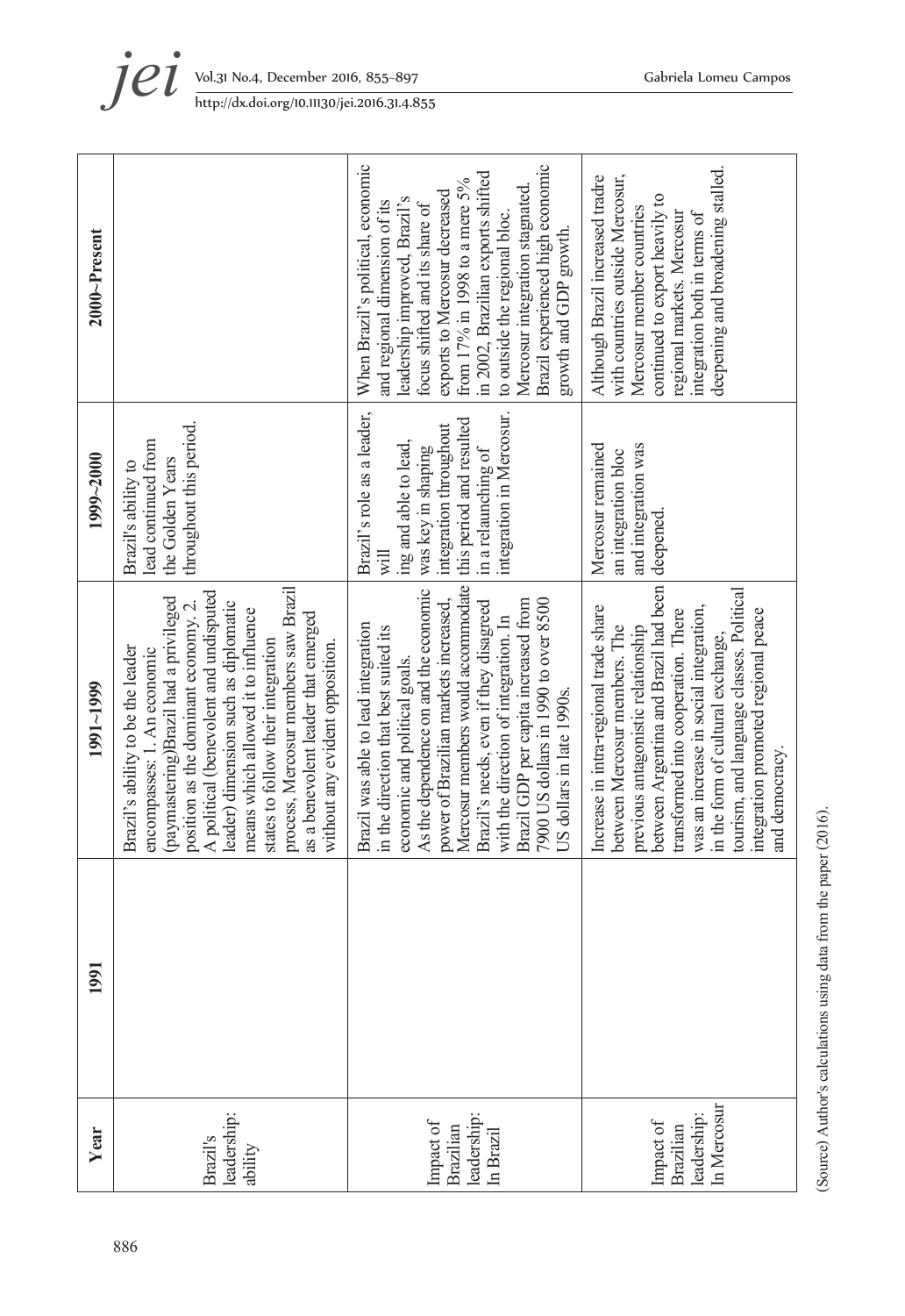| Brazil's ability to be the leader<br>encompasses: 1. An economic<br>1991~1999                                                                                                                                                                                                                                                                                                                                                         |
|---------------------------------------------------------------------------------------------------------------------------------------------------------------------------------------------------------------------------------------------------------------------------------------------------------------------------------------------------------------------------------------------------------------------------------------|
| process, Mercosur members saw Brazil<br>A political (benevolent and undisputed<br>(paymastering)Brazil had a privileged<br>position as the dominant economy. 2.<br>leader) dimension such as diplomatic<br>means which allowed it to influence<br>as a benevolent leader that emerged<br>states to follow their integration<br>without any evident opposition.                                                                        |
| Mercosur members would accommodate<br>As the dependence on and the economic<br>Brazil GDP per capita increased from<br>7900 US dollars in 1990 to over 8500<br>power of Brazilian markets increased,<br>Brazil's needs, even if they disagreed<br>with the direction of integration. In<br>Brazil was able to lead integration<br>in the direction that best suited its<br>economic and political goals.<br>US dollars in late 1990s. |
| between Argentina and Brazil had been<br>tourism, and language classes. Political<br>Increase in intra-regional trade share<br>was an increase in social integration,<br>integration promoted regional peace<br>transformed into cooperation. There<br>between Mercosur members. The<br>previous antagonistic relationship<br>in the form of cultural exchange,<br>and democracy.                                                     |

(Source) Author's calculations using data from the paper (2016). (Source) Author's calculations using data from the paper (2016).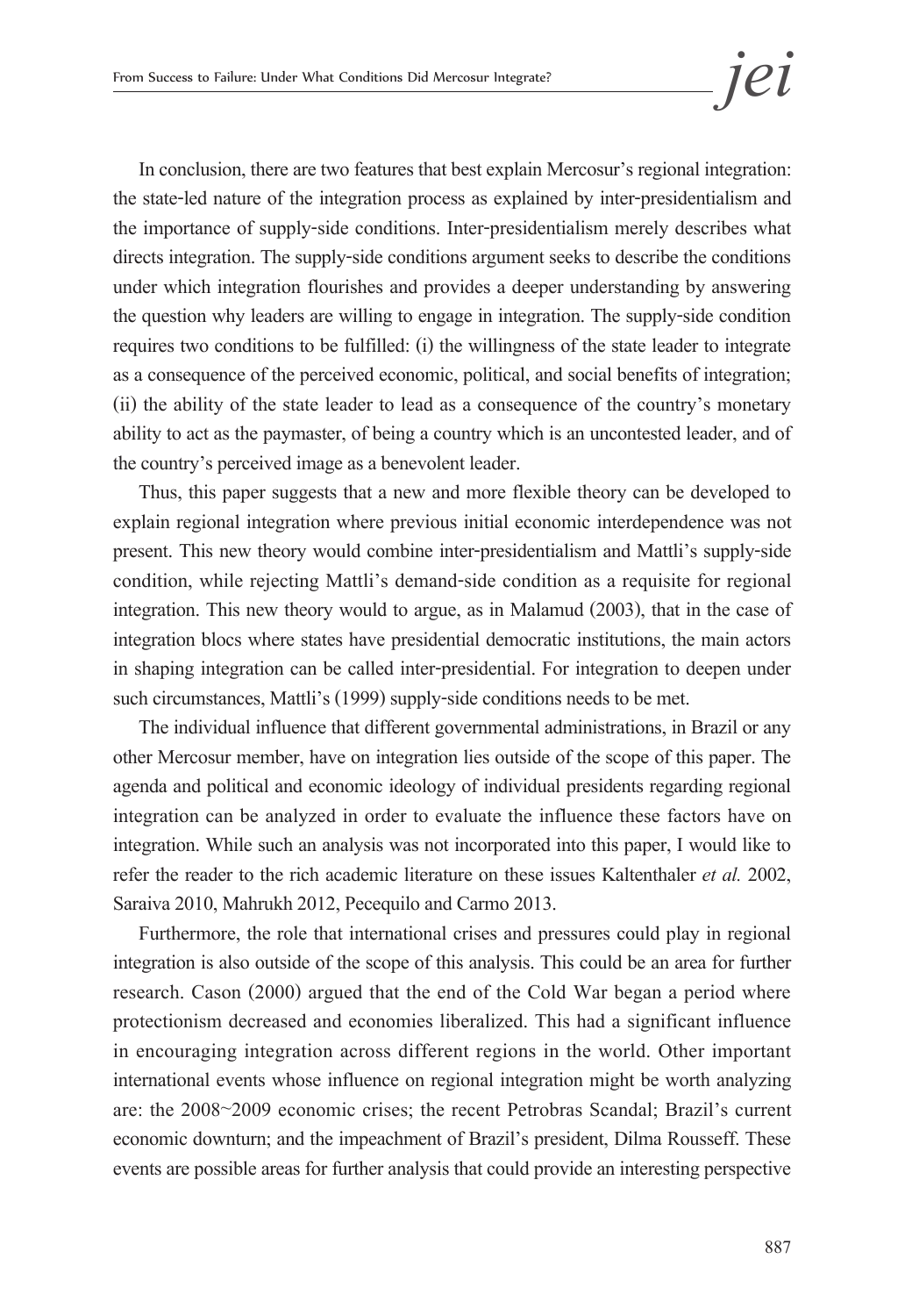In conclusion, there are two features that best explain Mercosur's regional integration: the state-led nature of the integration process as explained by inter-presidentialism and the importance of supply-side conditions. Inter-presidentialism merely describes what directs integration. The supply-side conditions argument seeks to describe the conditions under which integration flourishes and provides a deeper understanding by answering the question why leaders are willing to engage in integration. The supply-side condition requires two conditions to be fulfilled: (i) the willingness of the state leader to integrate as a consequence of the perceived economic, political, and social benefits of integration; (ii) the ability of the state leader to lead as a consequence of the country's monetary ability to act as the paymaster, of being a country which is an uncontested leader, and of the country's perceived image as a benevolent leader.

Thus, this paper suggests that a new and more flexible theory can be developed to explain regional integration where previous initial economic interdependence was not present. This new theory would combine inter-presidentialism and Mattli's supply-side condition, while rejecting Mattli's demand-side condition as a requisite for regional integration. This new theory would to argue, as in Malamud (2003), that in the case of integration blocs where states have presidential democratic institutions, the main actors in shaping integration can be called inter-presidential. For integration to deepen under such circumstances, Mattli's (1999) supply-side conditions needs to be met.

The individual influence that different governmental administrations, in Brazil or any other Mercosur member, have on integration lies outside of the scope of this paper. The agenda and political and economic ideology of individual presidents regarding regional integration can be analyzed in order to evaluate the influence these factors have on integration. While such an analysis was not incorporated into this paper, I would like to refer the reader to the rich academic literature on these issues Kaltenthaler *et al.* 2002, Saraiva 2010, Mahrukh 2012, Pecequilo and Carmo 2013.

Furthermore, the role that international crises and pressures could play in regional integration is also outside of the scope of this analysis. This could be an area for further research. Cason (2000) argued that the end of the Cold War began a period where protectionism decreased and economies liberalized. This had a significant influence in encouraging integration across different regions in the world. Other important international events whose influence on regional integration might be worth analyzing are: the 2008~2009 economic crises; the recent Petrobras Scandal; Brazil's current economic downturn; and the impeachment of Brazil's president, Dilma Rousseff. These events are possible areas for further analysis that could provide an interesting perspective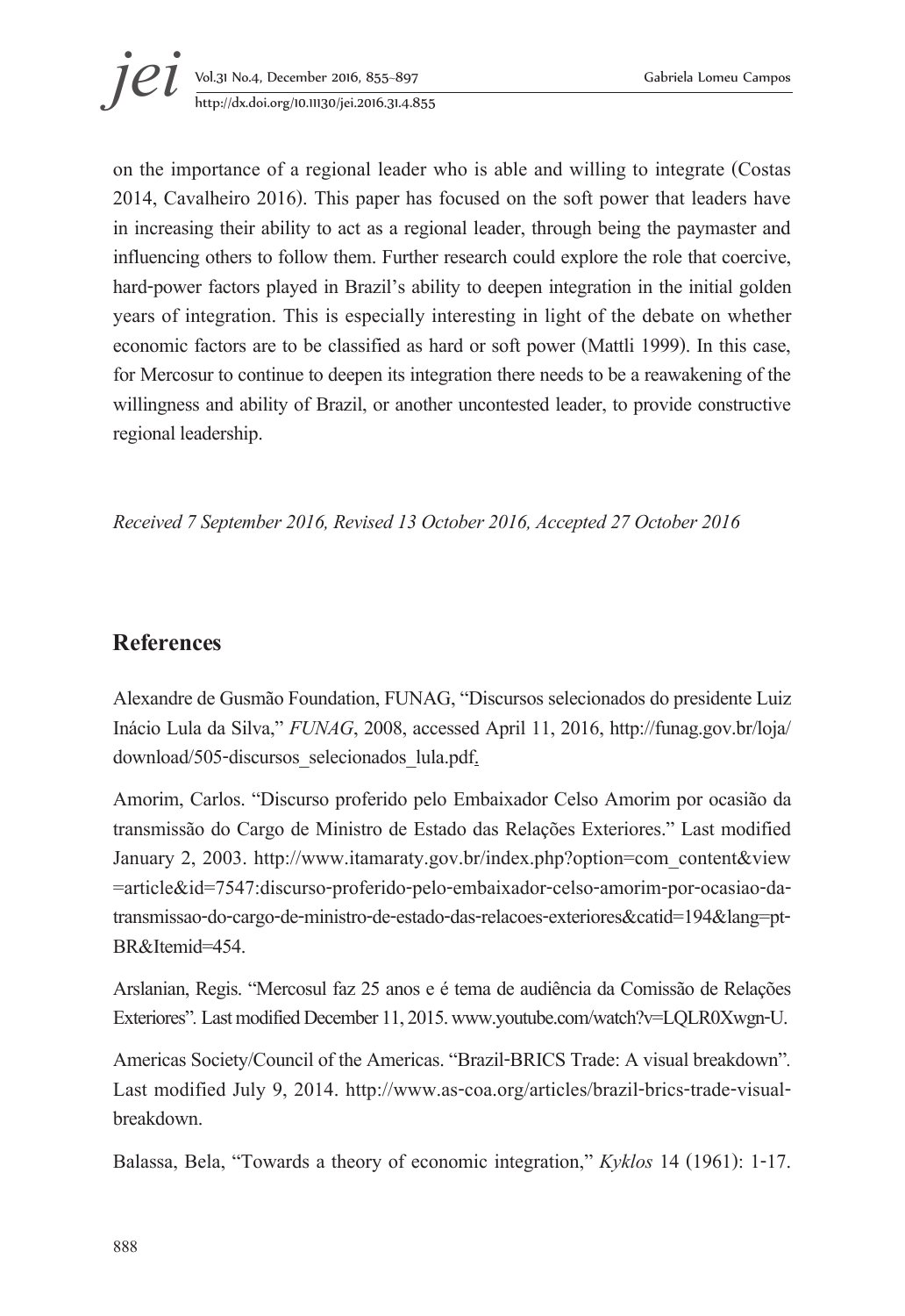on the importance of a regional leader who is able and willing to integrate (Costas 2014, Cavalheiro 2016). This paper has focused on the soft power that leaders have in increasing their ability to act as a regional leader, through being the paymaster and influencing others to follow them. Further research could explore the role that coercive, hard-power factors played in Brazil's ability to deepen integration in the initial golden years of integration. This is especially interesting in light of the debate on whether economic factors are to be classified as hard or soft power (Mattli 1999). In this case, for Mercosur to continue to deepen its integration there needs to be a reawakening of the willingness and ability of Brazil, or another uncontested leader, to provide constructive regional leadership.

*Received 7 September 2016, Revised 13 October 2016, Accepted 27 October 2016* 

#### **References**

Alexandre de Gusmão Foundation, FUNAG, "Discursos selecionados do presidente Luiz Inácio Lula da Silva," *FUNAG*, 2008, accessed April 11, 2016, http://funag.gov.br/loja/ download/505-discursos\_selecionados\_lula.pdf.

Amorim, Carlos. "Discurso proferido pelo Embaixador Celso Amorim por ocasião da transmissão do Cargo de Ministro de Estado das Relações Exteriores." Last modified January 2, 2003. http://www.itamaraty.gov.br/index.php?option=com\_content&view =article&id=7547:discurso-proferido-pelo-embaixador-celso-amorim-por-ocasiao-datransmissao-do-cargo-de-ministro-de-estado-das-relacoes-exteriores&catid=194&lang=pt-BR&Itemid=454.

Arslanian, Regis. "Mercosul faz 25 anos e é tema de audiência da Comissão de Relações Exteriores"*.* Last modified December 11, 2015. www.youtube.com/watch?v=LQLR0Xwgn-U.

Americas Society/Council of the Americas. "Brazil-BRICS Trade: A visual breakdown"*.* Last modified July 9, 2014. http://www.as-coa.org/articles/brazil-brics-trade-visualbreakdown.

Balassa, Bela, "Towards a theory of economic integration," *Kyklos* 14 (1961): 1-17.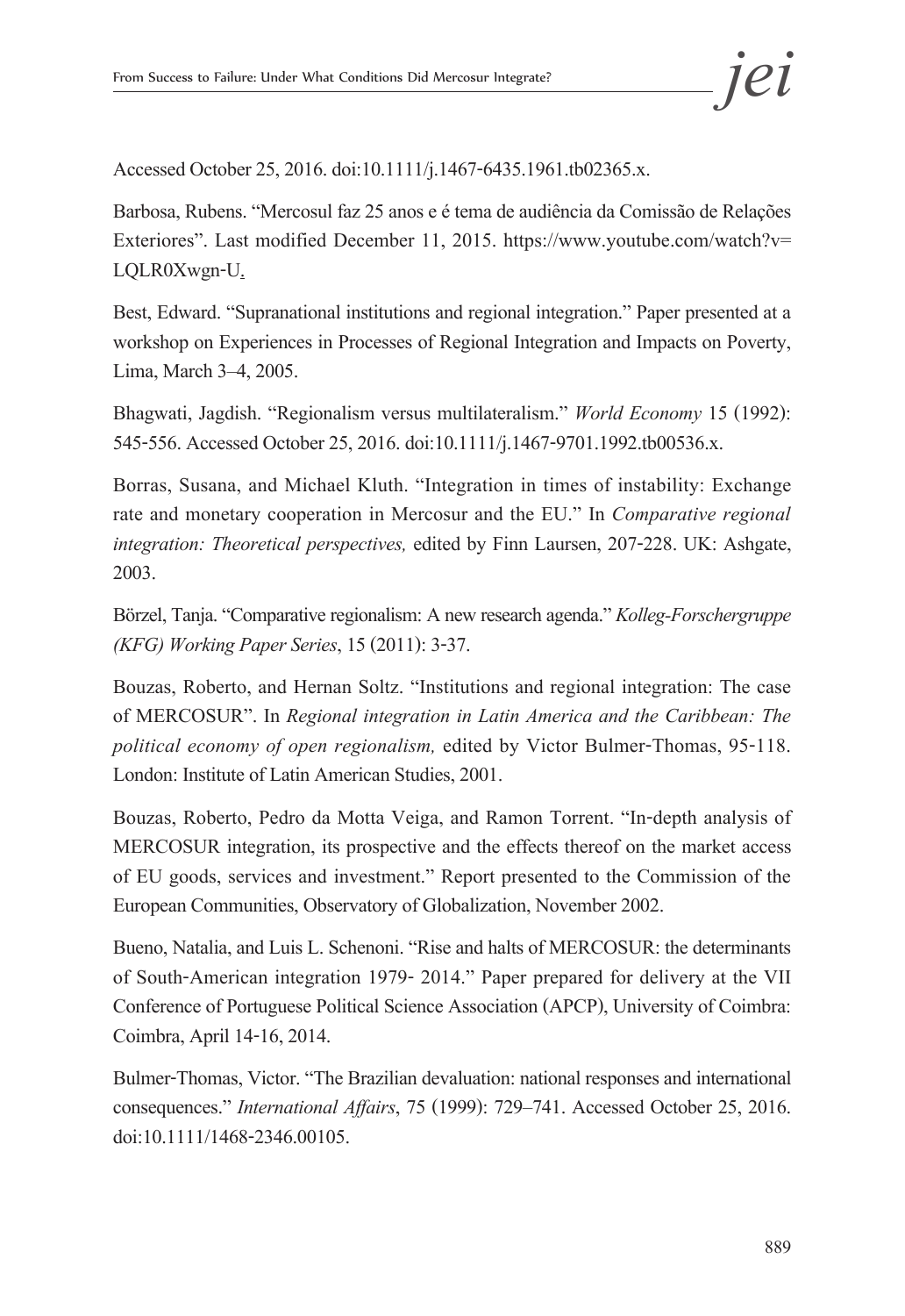Accessed October 25, 2016. doi:10.1111/j.1467-6435.1961.tb02365.x.

Barbosa, Rubens. "Mercosul faz 25 anos e é tema de audiência da Comissão de Relações Exteriores". Last modified December 11, 2015. https://www.youtube.com/watch?v= LQLR0Xwgn-U.

Best, Edward. "Supranational institutions and regional integration." Paper presented at a workshop on Experiences in Processes of Regional Integration and Impacts on Poverty, Lima, March 3–4, 2005.

Bhagwati, Jagdish. "Regionalism versus multilateralism." *World Economy* 15 (1992): 545-556. Accessed October 25, 2016. doi:10.1111/j.1467-9701.1992.tb00536.x.

Borras, Susana, and Michael Kluth. "Integration in times of instability: Exchange rate and monetary cooperation in Mercosur and the EU." In *Comparative regional integration: Theoretical perspectives,* edited by Finn Laursen, 207-228. UK: Ashgate, 2003.

Börzel, Tanja. "Comparative regionalism: A new research agenda." *Kolleg-Forschergruppe (KFG) Working Paper Series*, 15 (2011): 3-37.

Bouzas, Roberto, and Hernan Soltz. "Institutions and regional integration: The case of MERCOSUR". In *Regional integration in Latin America and the Caribbean: The political economy of open regionalism,* edited by Victor Bulmer-Thomas, 95-118. London: Institute of Latin American Studies, 2001.

Bouzas, Roberto, Pedro da Motta Veiga, and Ramon Torrent. "In-depth analysis of MERCOSUR integration, its prospective and the effects thereof on the market access of EU goods, services and investment." Report presented to the Commission of the European Communities, Observatory of Globalization, November 2002.

Bueno, Natalia, and Luis L. Schenoni. "Rise and halts of MERCOSUR: the determinants of South-American integration 1979- 2014." Paper prepared for delivery at the VII Conference of Portuguese Political Science Association (APCP), University of Coimbra: Coimbra, April 14-16, 2014.

Bulmer-Thomas, Victor. "The Brazilian devaluation: national responses and international consequences." *International Affairs*, 75 (1999): 729–741. Accessed October 25, 2016. doi:10.1111/1468-2346.00105.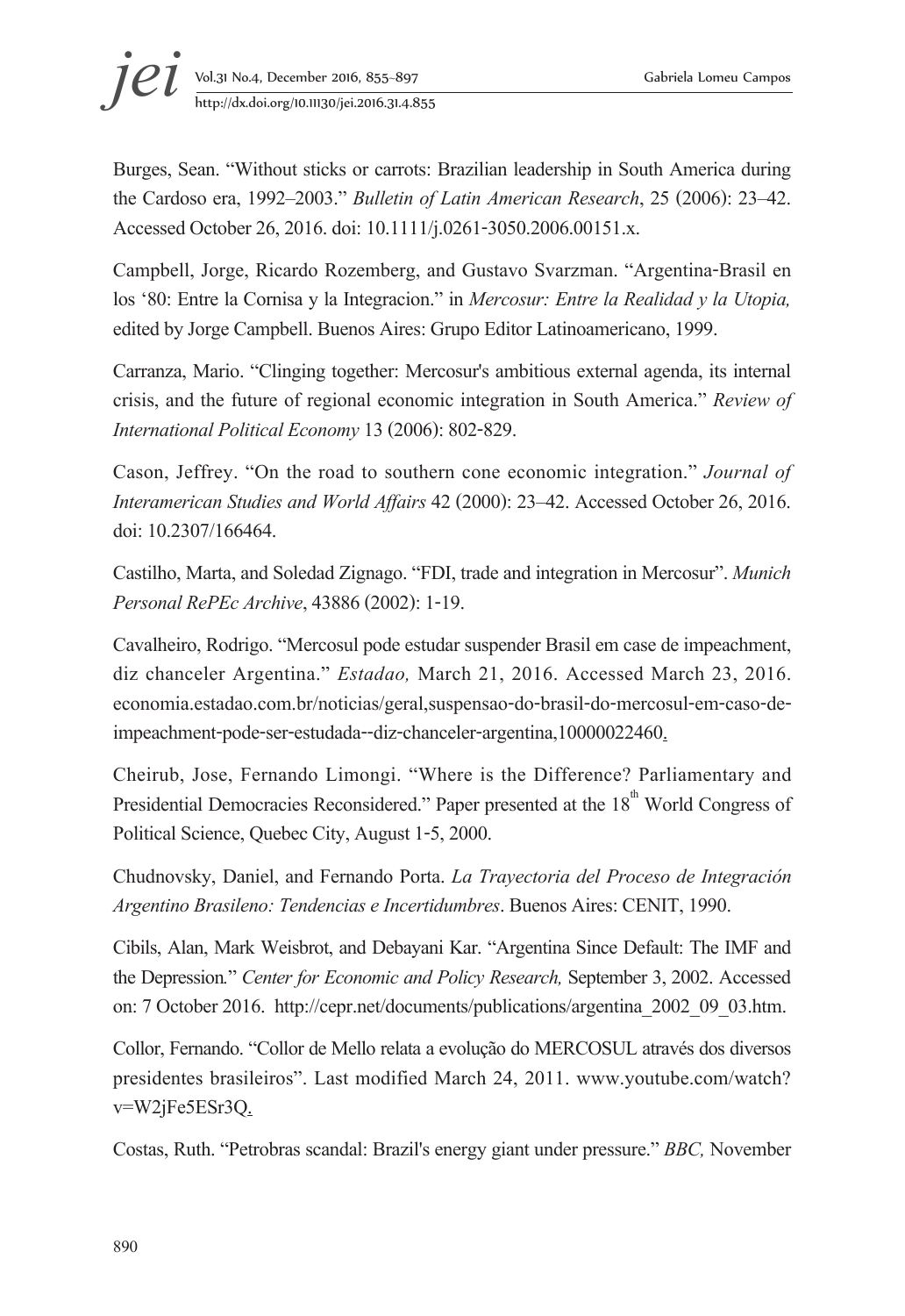Burges, Sean. "Without sticks or carrots: Brazilian leadership in South America during the Cardoso era, 1992–2003." *Bulletin of Latin American Research*, 25 (2006): 23–42. Accessed October 26, 2016. doi: 10.1111/j.0261-3050.2006.00151.x.

Campbell, Jorge, Ricardo Rozemberg, and Gustavo Svarzman. "Argentina-Brasil en los '80: Entre la Cornisa y la Integracion." in *Mercosur: Entre la Realidad y la Utopia,*  edited by Jorge Campbell. Buenos Aires: Grupo Editor Latinoamericano, 1999.

Carranza, Mario. "Clinging together: Mercosur's ambitious external agenda, its internal crisis, and the future of regional economic integration in South America." *Review of International Political Economy* 13(2006): 802-829.

Cason, Jeffrey. "On the road to southern cone economic integration." *Journal of Interamerican Studies and World Affairs* 42 (2000): 23–42. Accessed October 26, 2016. doi: 10.2307/166464.

Castilho, Marta, and Soledad Zignago. "FDI, trade and integration in Mercosur". *Munich Personal RePEc Archive*, 43886 (2002): 1-19.

Cavalheiro, Rodrigo. "Mercosul pode estudar suspender Brasil em case de impeachment, diz chanceler Argentina." *Estadao,* March 21, 2016. Accessed March 23, 2016. economia.estadao.com.br/noticias/geral,suspensao-do-brasil-do-mercosul-em-caso-deimpeachment-pode-ser-estudada--diz-chanceler-argentina,10000022460.

Cheirub, Jose, Fernando Limongi. "Where is the Difference? Parliamentary and Presidential Democracies Reconsidered." Paper presented at the 18<sup>th</sup> World Congress of Political Science, Quebec City, August 1-5, 2000.

Chudnovsky, Daniel, and Fernando Porta. *La Trayectoria del Proceso de Integración Argentino Brasileno: Tendencias e Incertidumbres*. Buenos Aires: CENIT, 1990.

Cibils, Alan, Mark Weisbrot, and Debayani Kar. "Argentina Since Default: The IMF and the Depression*.*" *Center for Economic and Policy Research,* September 3, 2002. Accessed on: 7 October 2016. http://cepr.net/documents/publications/argentina\_2002\_09\_03.htm.

Collor, Fernando. "Collor de Mello relata a evolução do MERCOSUL através dos diversos presidentes brasileiros". Last modified March 24, 2011. www.youtube.com/watch? v=W2jFe5ESr3Q.

Costas, Ruth. "Petrobras scandal: Brazil's energy giant under pressure." *BBC,* November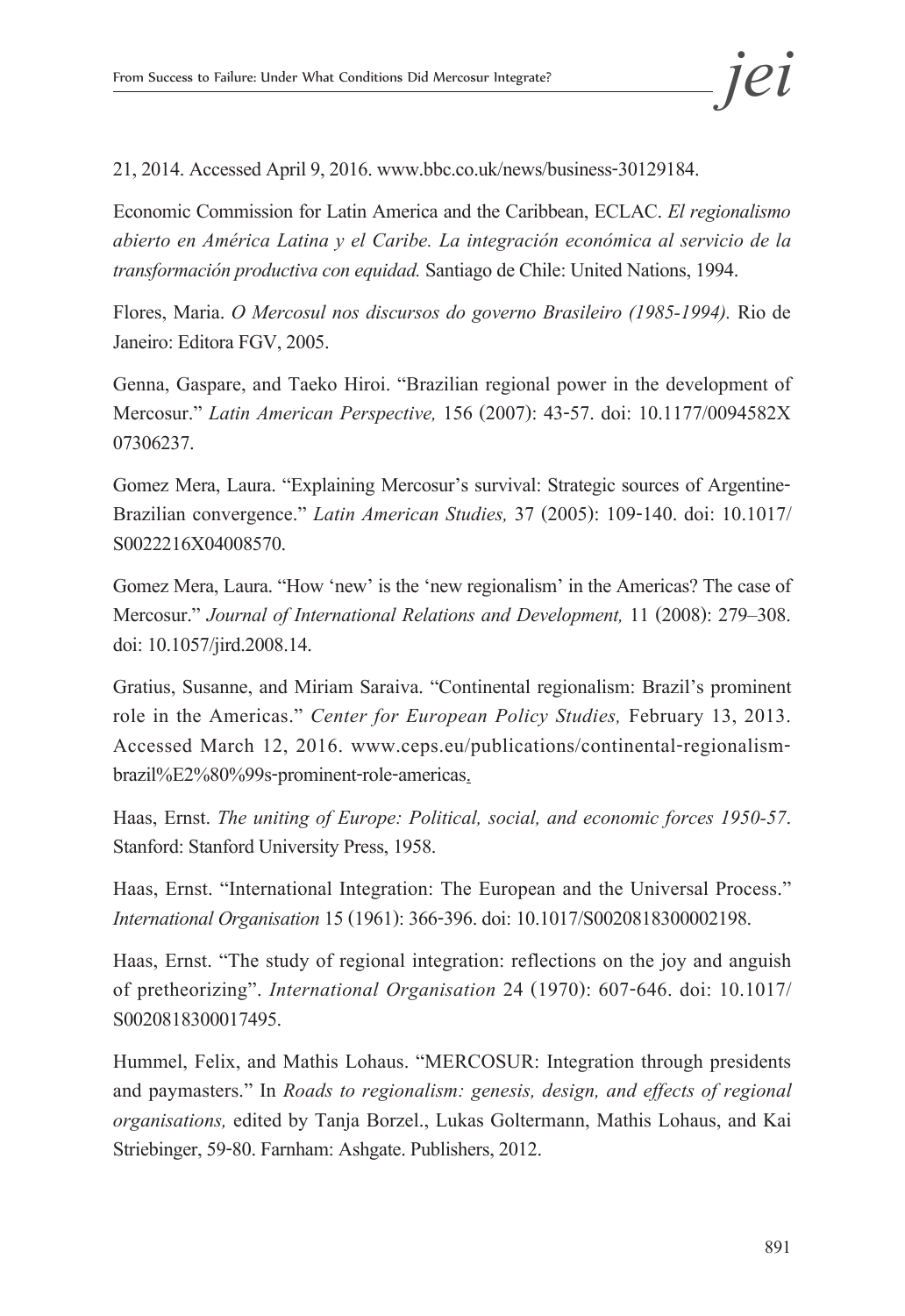21, 2014. Accessed April 9, 2016. www.bbc.co.uk/news/business-30129184.

Economic Commission for Latin America and the Caribbean, ECLAC. *El regionalismo abierto en América Latina y el Caribe. La integración económica al servicio de la transformación productiva con equidad.* Santiago de Chile: United Nations, 1994.

Flores, Maria. *O Mercosul nos discursos do governo Brasileiro (1985-1994).* Rio de Janeiro: Editora FGV, 2005.

Genna, Gaspare, and Taeko Hiroi. "Brazilian regional power in the development of Mercosur." *Latin American Perspective,* 156 (2007): 43-57. doi: 10.1177/0094582X 07306237.

Gomez Mera, Laura. "Explaining Mercosur's survival: Strategic sources of Argentine-Brazilian convergence." *Latin American Studies,* 37 (2005): 109-140. doi: 10.1017/ S0022216X04008570.

Gomez Mera, Laura. "How 'new' is the 'new regionalism' in the Americas? The case of Mercosur." *Journal of International Relations and Development,* 11 (2008): 279–308. doi: 10.1057/jird.2008.14.

Gratius, Susanne, and Miriam Saraiva. "Continental regionalism: Brazil's prominent role in the Americas." *Center for European Policy Studies,* February 13, 2013. Accessed March 12, 2016. www.ceps.eu/publications/continental-regionalismbrazil%E2%80%99s-prominent-role-americas.

Haas, Ernst. *The uniting of Europe: Political, social, and economic forces 1950-57*. Stanford: Stanford University Press, 1958.

Haas, Ernst. "International Integration: The European and the Universal Process." *International Organisation* 15(1961): 366-396. doi: 10.1017/S0020818300002198.

Haas, Ernst. "The study of regional integration: reflections on the joy and anguish of pretheorizing". *International Organisation* 24 (1970): 607-646. doi: 10.1017/ S0020818300017495.

Hummel, Felix, and Mathis Lohaus. "MERCOSUR: Integration through presidents and paymasters." In *Roads to regionalism: genesis, design, and effects of regional organisations,* edited by Tanja Borzel., Lukas Goltermann, Mathis Lohaus, and Kai Striebinger, 59-80. Farnham: Ashgate. Publishers, 2012.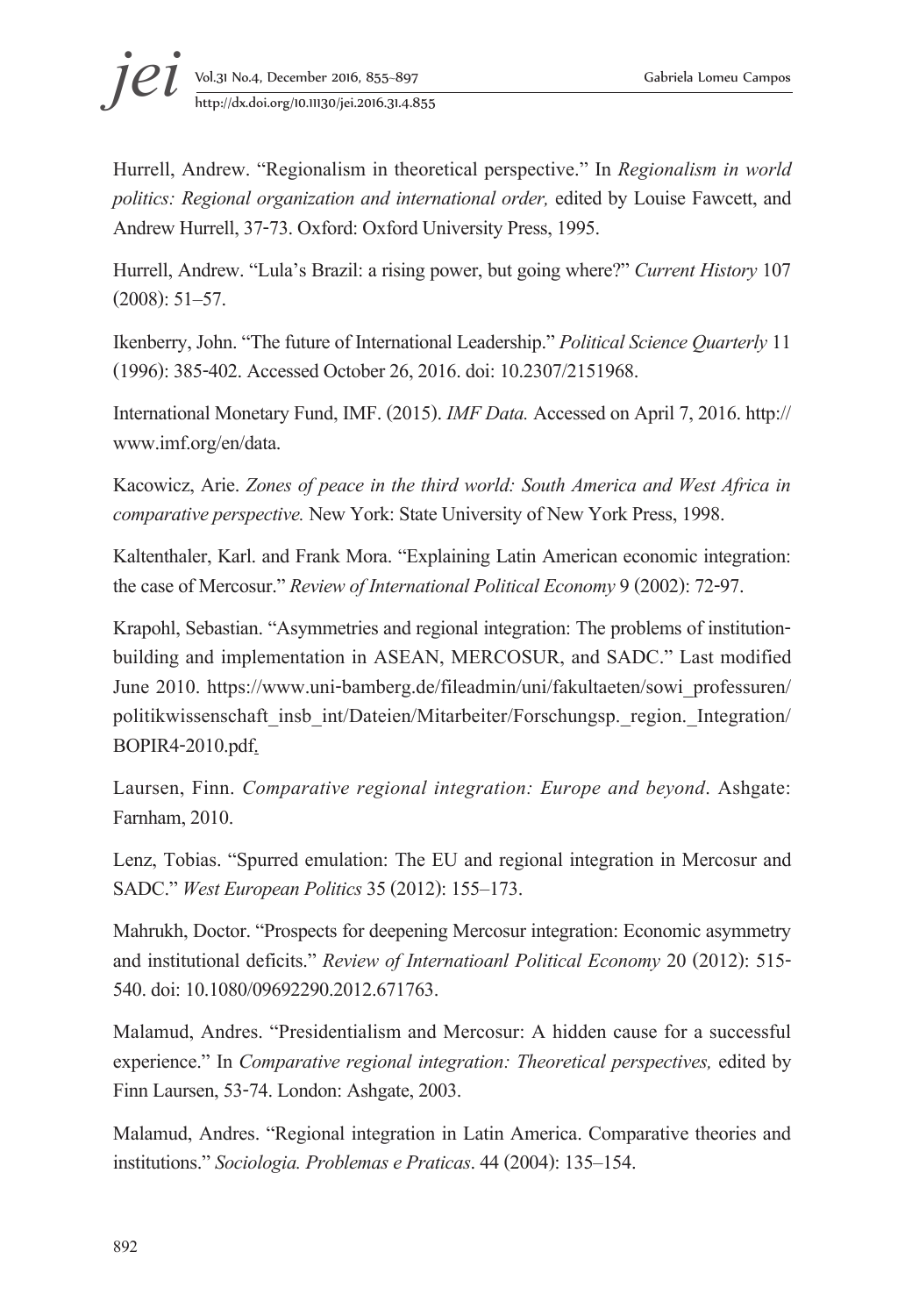Hurrell, Andrew. "Regionalism in theoretical perspective." In *Regionalism in world politics: Regional organization and international order,* edited by Louise Fawcett, and Andrew Hurrell, 37-73. Oxford: Oxford University Press, 1995.

Hurrell, Andrew. "Lula's Brazil: a rising power, but going where?" *Current History* 107 (2008): 51–57.

Ikenberry, John. "The future of International Leadership." *Political Science Quarterly* 11 (1996): 385-402. Accessed October 26, 2016. doi: 10.2307/2151968.

International Monetary Fund, IMF. (2015). *IMF Data.* Accessed on April 7, 2016. http:// www.imf.org/en/data.

Kacowicz, Arie. *Zones of peace in the third world: South America and West Africa in comparative perspective.* New York: State University of New York Press, 1998.

Kaltenthaler, Karl. and Frank Mora. "Explaining Latin American economic integration: the case of Mercosur." *Review of International Political Economy* 9(2002): 72-97.

Krapohl, Sebastian. "Asymmetries and regional integration: The problems of institutionbuilding and implementation in ASEAN, MERCOSUR, and SADC." Last modified June 2010. https://www.uni-bamberg.de/fileadmin/uni/fakultaeten/sowi\_professuren/ politikwissenschaft\_insb\_int/Dateien/Mitarbeiter/Forschungsp.\_region.\_Integration/ BOPIR4-2010.pdf.

Laursen, Finn. *Comparative regional integration: Europe and beyond*. Ashgate: Farnham, 2010.

Lenz, Tobias. "Spurred emulation: The EU and regional integration in Mercosur and SADC." *West European Politics* 35 (2012): 155–173.

Mahrukh, Doctor. "Prospects for deepening Mercosur integration: Economic asymmetry and institutional deficits." *Review of Internatioanl Political Economy* 20 (2012): 515- 540. doi: 10.1080/09692290.2012.671763.

Malamud, Andres. "Presidentialism and Mercosur: A hidden cause for a successful experience." In *Comparative regional integration: Theoretical perspectives,* edited by Finn Laursen, 53-74. London: Ashgate, 2003.

Malamud, Andres. "Regional integration in Latin America. Comparative theories and institutions." *Sociologia. Problemas e Praticas*. 44(2004): 135–154.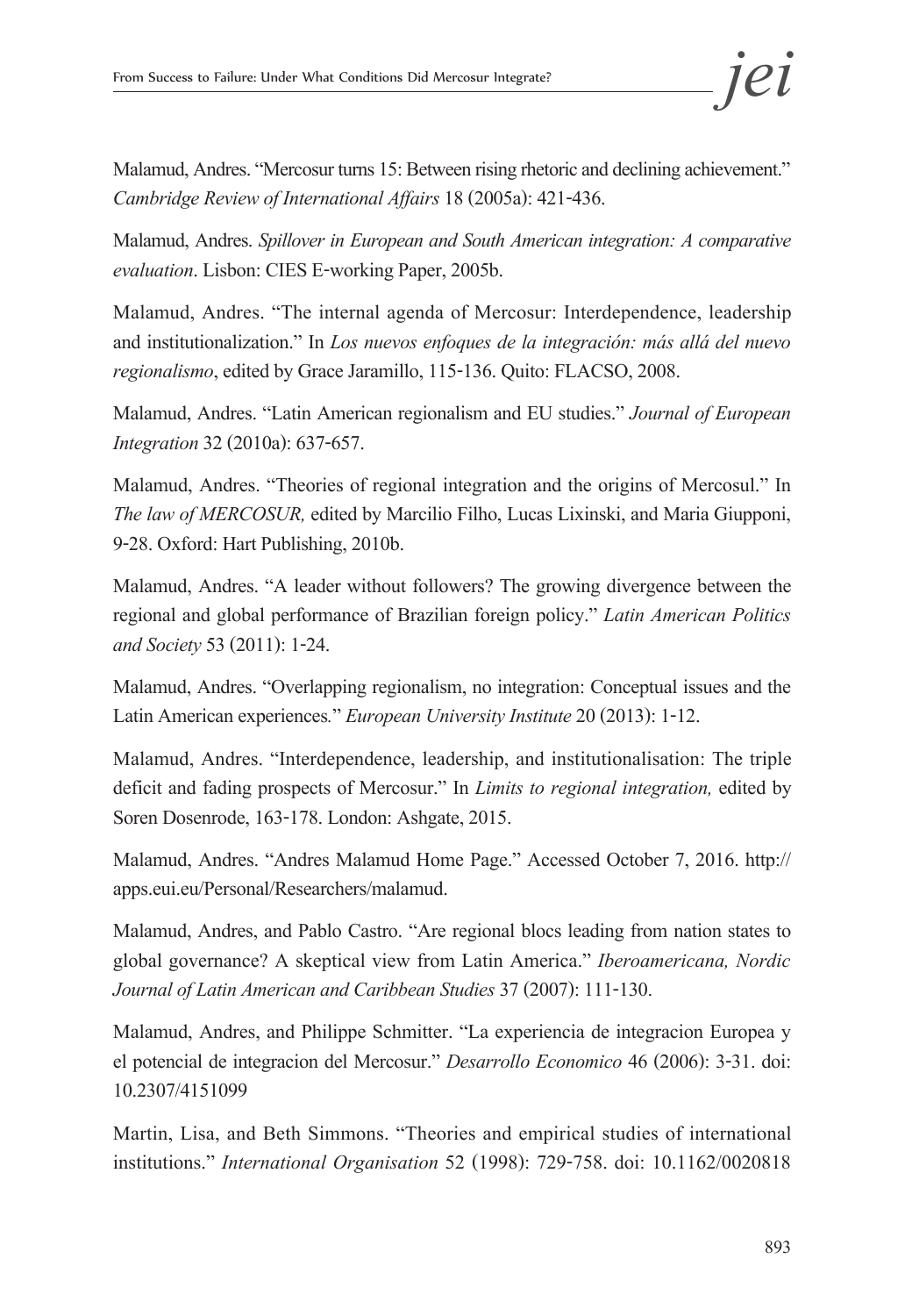Malamud, Andres. "Mercosur turns 15: Between rising rhetoric and declining achievement." *Cambridge Review of International Affairs* 18(2005a): 421-436.

Malamud, Andres. *Spillover in European and South American integration: A comparative evaluation*. Lisbon: CIES E-working Paper, 2005b.

Malamud, Andres. "The internal agenda of Mercosur: Interdependence, leadership and institutionalization." In *Los nuevos enfoques de la integración: más allá del nuevo regionalismo*, edited by Grace Jaramillo, 115-136. Quito: FLACSO, 2008.

Malamud, Andres. "Latin American regionalism and EU studies." *Journal of European Integration* 32(2010a): 637-657.

Malamud, Andres. "Theories of regional integration and the origins of Mercosul." In *The law of MERCOSUR,* edited by Marcilio Filho, Lucas Lixinski, and Maria Giupponi, 9-28. Oxford: Hart Publishing, 2010b.

Malamud, Andres. "A leader without followers? The growing divergence between the regional and global performance of Brazilian foreign policy." *Latin American Politics and Society* 53 (2011): 1-24.

Malamud, Andres. "Overlapping regionalism, no integration: Conceptual issues and the Latin American experiences*.*" *European University Institute* 20 (2013): 1-12.

Malamud, Andres. "Interdependence, leadership, and institutionalisation: The triple deficit and fading prospects of Mercosur." In *Limits to regional integration,* edited by Soren Dosenrode, 163-178. London: Ashgate, 2015.

Malamud, Andres. "Andres Malamud Home Page." Accessed October 7, 2016. http:// apps.eui.eu/Personal/Researchers/malamud.

Malamud, Andres, and Pablo Castro. "Are regional blocs leading from nation states to global governance? A skeptical view from Latin America." *Iberoamericana, Nordic Journal of Latin American and Caribbean Studies* 37(2007): 111-130.

Malamud, Andres, and Philippe Schmitter. "La experiencia de integracion Europea y el potencial de integracion del Mercosur." *Desarrollo Economico* 46 (2006): 3-31. doi: 10.2307/4151099

Martin, Lisa, and Beth Simmons. "Theories and empirical studies of international institutions." *International Organisation* 52 (1998): 729-758. doi: 10.1162/0020818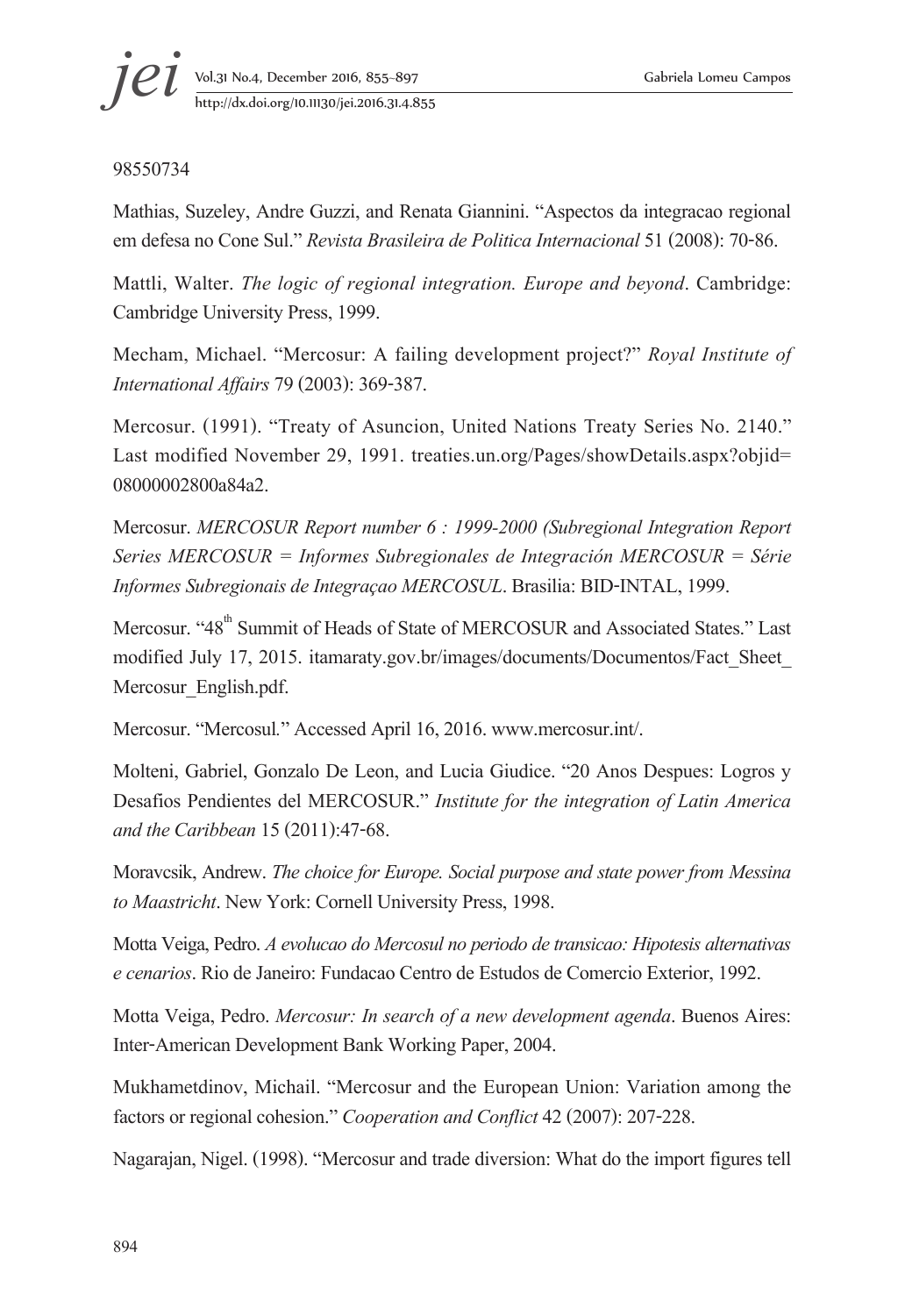#### 98550734

Mathias, Suzeley, Andre Guzzi, and Renata Giannini. "Aspectos da integracao regional em defesa no Cone Sul." *Revista Brasileira de Politica Internacional* 51(2008): 70-86.

Mattli, Walter. *The logic of regional integration. Europe and beyond*. Cambridge: Cambridge University Press, 1999.

Mecham, Michael. "Mercosur: A failing development project?" *Royal Institute of International Affairs* 79(2003): 369-387.

Mercosur. (1991). "Treaty of Asuncion, United Nations Treaty Series No. 2140." Last modified November 29, 1991. treaties.un.org/Pages/showDetails.aspx?objid= 08000002800a84a2.

Mercosur. *MERCOSUR Report number 6 : 1999-2000 (Subregional Integration Report Series MERCOSUR = Informes Subregionales de Integración MERCOSUR = Série Informes Subregionais de Integraçao MERCOSUL*. Brasilia: BID-INTAL, 1999.

Mercosur. "48<sup>th</sup> Summit of Heads of State of MERCOSUR and Associated States." Last modified July 17, 2015. itamaraty.gov.br/images/documents/Documentos/Fact\_Sheet\_ Mercosur\_English.pdf.

Mercosur. "Mercosul*.*" Accessed April 16, 2016. www.mercosur.int/.

Molteni, Gabriel, Gonzalo De Leon, and Lucia Giudice. "20 Anos Despues: Logros y Desafios Pendientes del MERCOSUR." *Institute for the integration of Latin America and the Caribbean* 15(2011):47-68.

Moravcsik, Andrew. *The choice for Europe. Social purpose and state power from Messina to Maastricht*. New York: Cornell University Press, 1998.

Motta Veiga, Pedro. *A evolucao do Mercosul no periodo de transicao: Hipotesis alternativas e cenarios*. Rio de Janeiro: Fundacao Centro de Estudos de Comercio Exterior, 1992.

Motta Veiga, Pedro. *Mercosur: In search of a new development agenda*. Buenos Aires: Inter-American Development Bank Working Paper, 2004.

Mukhametdinov, Michail. "Mercosur and the European Union: Variation among the factors or regional cohesion." *Cooperation and Conflict* 42(2007): 207-228.

Nagarajan, Nigel. (1998). "Mercosur and trade diversion: What do the import figures tell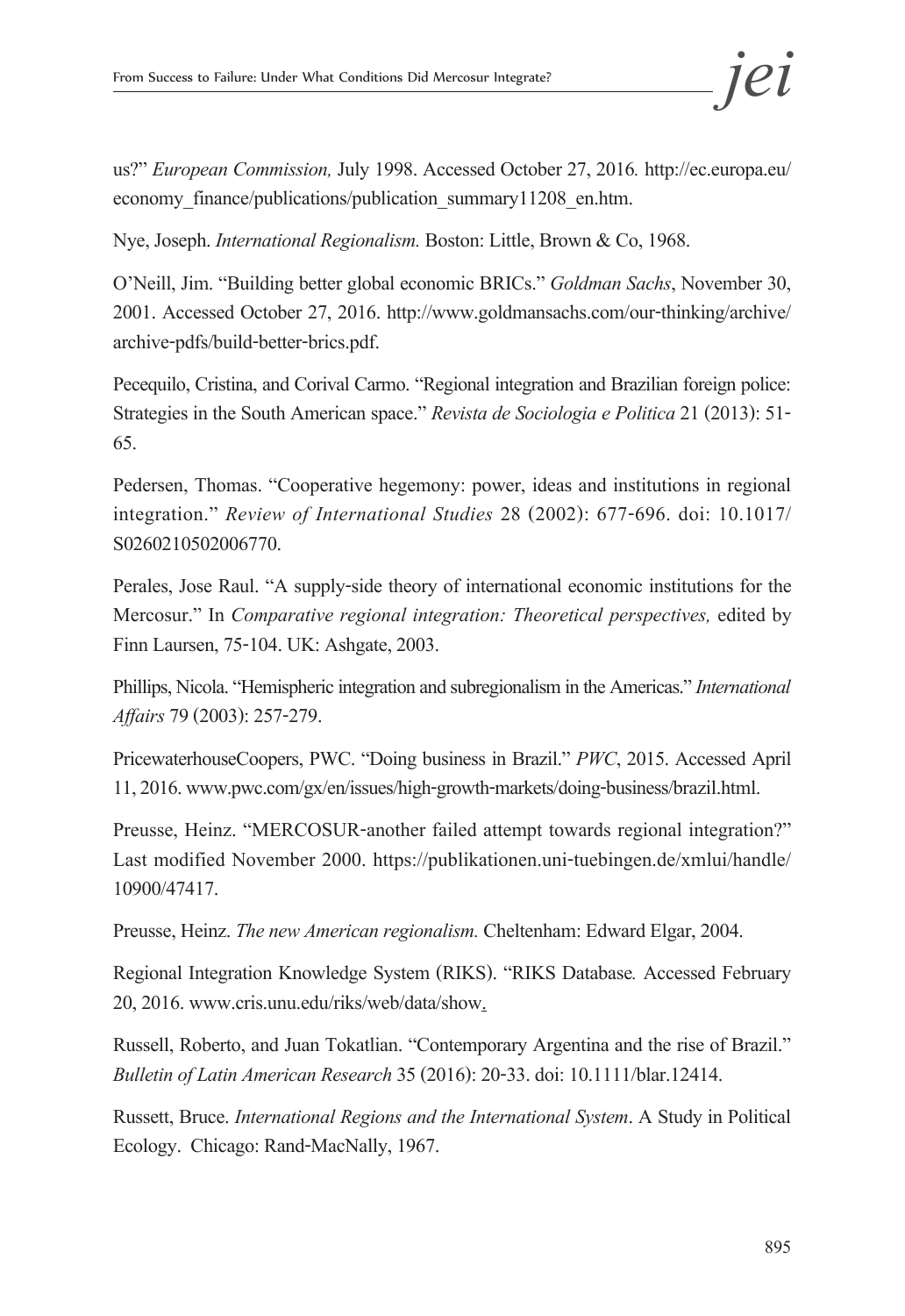us?" *European Commission,* July 1998. Accessed October 27, 2016*.* http://ec.europa.eu/ economy\_finance/publications/publication\_summary11208\_en.htm.

Nye, Joseph. *International Regionalism.* Boston: Little, Brown & Co, 1968.

O'Neill, Jim. "Building better global economic BRICs." *Goldman Sachs*, November 30, 2001. Accessed October 27, 2016. http://www.goldmansachs.com/our-thinking/archive/ archive-pdfs/build-better-brics.pdf.

Pecequilo, Cristina, and Corival Carmo. "Regional integration and Brazilian foreign police: Strategies in the South American space." *Revista de Sociologia e Politica* 21 (2013): 51- 65.

Pedersen, Thomas. "Cooperative hegemony: power, ideas and institutions in regional integration." *Review of International Studies* 28 (2002): 677-696. doi: 10.1017/ S0260210502006770.

Perales, Jose Raul. "A supply-side theory of international economic institutions for the Mercosur." In *Comparative regional integration: Theoretical perspectives,* edited by Finn Laursen, 75-104. UK: Ashgate, 2003.

Phillips, Nicola. "Hemispheric integration and subregionalism in the Americas." *International Affairs* 79 (2003): 257-279.

PricewaterhouseCoopers, PWC. "Doing business in Brazil." *PWC*, 2015. Accessed April 11, 2016. www.pwc.com/gx/en/issues/high-growth-markets/doing-business/brazil.html.

Preusse, Heinz. "MERCOSUR-another failed attempt towards regional integration?" Last modified November 2000. https://publikationen.uni-tuebingen.de/xmlui/handle/ 10900/47417.

Preusse, Heinz. *The new American regionalism.* Cheltenham: Edward Elgar, 2004.

Regional Integration Knowledge System (RIKS). "RIKS Database*.* Accessed February 20, 2016. www.cris.unu.edu/riks/web/data/show.

Russell, Roberto, and Juan Tokatlian. "Contemporary Argentina and the rise of Brazil." *Bulletin of Latin American Research* 35 (2016): 20-33. doi: 10.1111/blar.12414.

Russett, Bruce. *International Regions and the International System*. A Study in Political Ecology. Chicago: Rand-MacNally, 1967.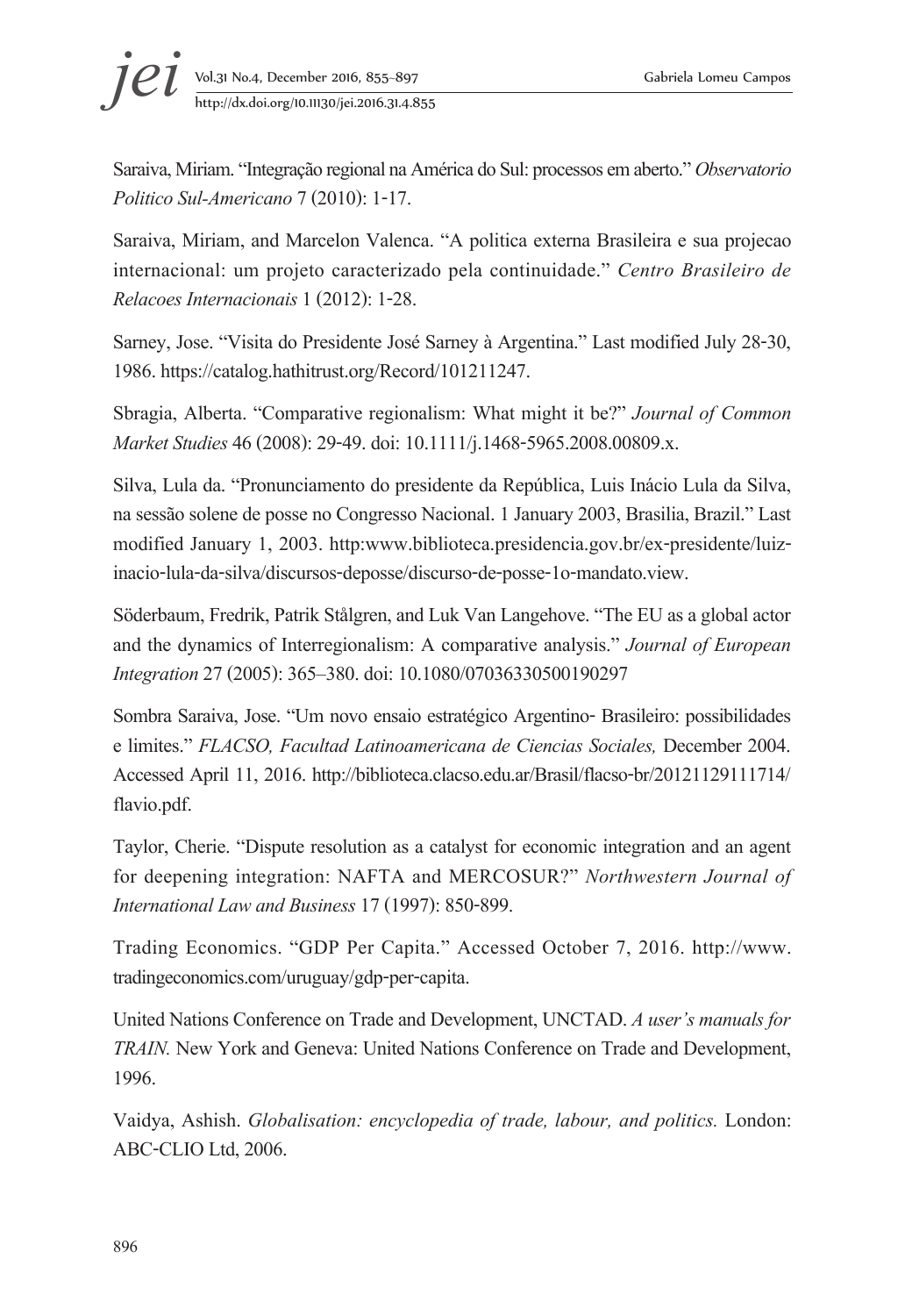Saraiva, Miriam. "Integração regional na América do Sul: processos em aberto." *Observatorio Politico Sul-Americano* 7(2010): 1-17.

Saraiva, Miriam, and Marcelon Valenca. "A politica externa Brasileira e sua projecao internacional: um projeto caracterizado pela continuidade." *Centro Brasileiro de Relacoes Internacionais* 1 (2012): 1-28.

Sarney, Jose. "Visita do Presidente José Sarney à Argentina." Last modified July 28-30, 1986. https://catalog.hathitrust.org/Record/101211247.

Sbragia, Alberta. "Comparative regionalism: What might it be?" *Journal of Common Market Studies* 46(2008): 29-49. doi: 10.1111/j.1468-5965.2008.00809.x.

Silva, Lula da. "Pronunciamento do presidente da República, Luis Inácio Lula da Silva, na sessão solene de posse no Congresso Nacional. 1 January 2003, Brasilia, Brazil." Last modified January 1, 2003. http:www.biblioteca.presidencia.gov.br/ex-presidente/luizinacio-lula-da-silva/discursos-deposse/discurso-de-posse-1o-mandato.view.

Söderbaum, Fredrik, Patrik Stålgren, and Luk Van Langehove. "The EU as a global actor and the dynamics of Interregionalism: A comparative analysis." *Journal of European Integration* 27 (2005): 365–380. doi: 10.1080/07036330500190297

Sombra Saraiva, Jose. "Um novo ensaio estratégico Argentino- Brasileiro: possibilidades e limites." *FLACSO, Facultad Latinoamericana de Ciencias Sociales,* December 2004. Accessed April 11, 2016. http://biblioteca.clacso.edu.ar/Brasil/flacso-br/20121129111714/ flavio.pdf.

Taylor, Cherie. "Dispute resolution as a catalyst for economic integration and an agent for deepening integration: NAFTA and MERCOSUR?" *Northwestern Journal of International Law and Business* 17(1997): 850-899.

Trading Economics. "GDP Per Capita." Accessed October 7, 2016. http://www. tradingeconomics.com/uruguay/gdp-per-capita.

United Nations Conference on Trade and Development, UNCTAD. *A user's manuals for TRAIN.* New York and Geneva: United Nations Conference on Trade and Development, 1996.

Vaidya, Ashish. *Globalisation: encyclopedia of trade, labour, and politics.* London: ABC-CLIO Ltd, 2006.